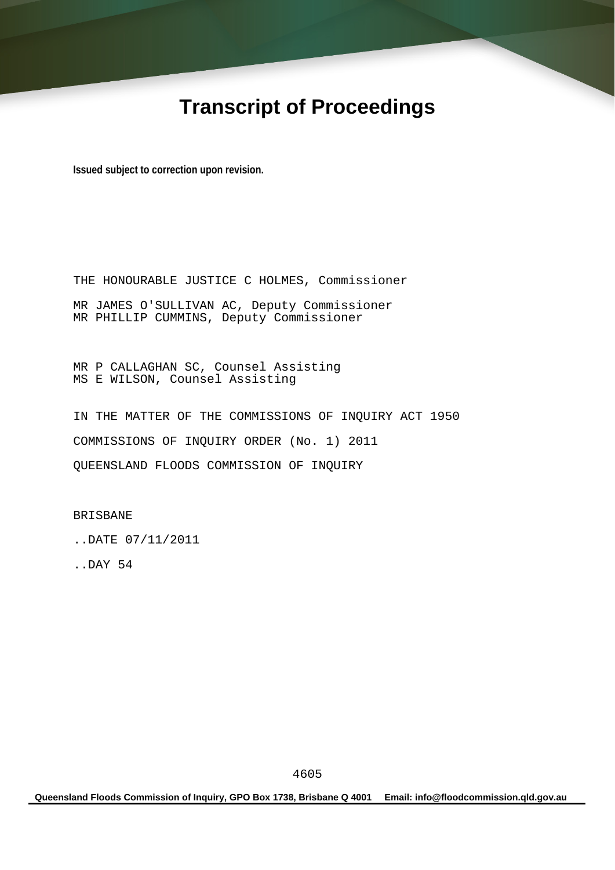# **Transcript of Proceedings**

**Issued subject to correction upon revision.** 

THE HONOURABLE JUSTICE C HOLMES, Commissioner MR JAMES O'SULLIVAN AC, Deputy Commissioner MR PHILLIP CUMMINS, Deputy Commissioner

MR P CALLAGHAN SC, Counsel Assisting MS E WILSON, Counsel Assisting

IN THE MATTER OF THE COMMISSIONS OF INQUIRY ACT 1950 COMMISSIONS OF INQUIRY ORDER (No. 1) 2011 QUEENSLAND FLOODS COMMISSION OF INQUIRY

BRISBANE

..DATE 07/11/2011

..DAY 54

**Queensland Floods Commission of Inquiry, GPO Box 1738, Brisbane Q 4001 Email: info@floodcommission.qld.gov.au**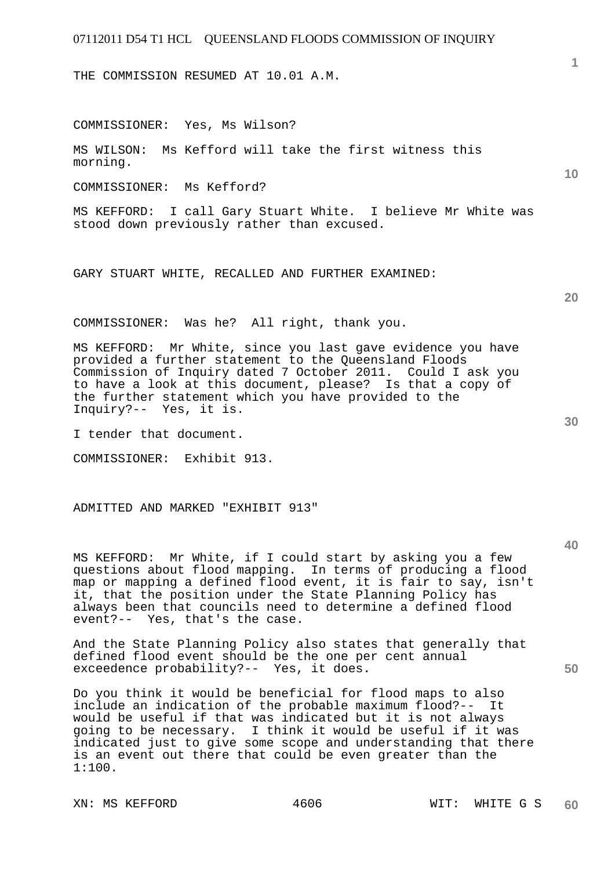THE COMMISSION RESUMED AT 10.01 A.M.

COMMISSIONER: Yes, Ms Wilson?

MS WILSON: Ms Kefford will take the first witness this morning.

COMMISSIONER: Ms Kefford?

MS KEFFORD: I call Gary Stuart White. I believe Mr White was stood down previously rather than excused.

GARY STUART WHITE, RECALLED AND FURTHER EXAMINED:

COMMISSIONER: Was he? All right, thank you.

MS KEFFORD: Mr White, since you last gave evidence you have provided a further statement to the Queensland Floods Commission of Inquiry dated 7 October 2011. Could I ask you to have a look at this document, please? Is that a copy of the further statement which you have provided to the Inquiry?-- Yes, it is.

I tender that document.

COMMISSIONER: Exhibit 913.

ADMITTED AND MARKED "EXHIBIT 913"

MS KEFFORD: Mr White, if I could start by asking you a few questions about flood mapping. In terms of producing a flood map or mapping a defined flood event, it is fair to say, isn't it, that the position under the State Planning Policy has always been that councils need to determine a defined flood event?-- Yes, that's the case.

And the State Planning Policy also states that generally that defined flood event should be the one per cent annual exceedence probability?-- Yes, it does.

Do you think it would be beneficial for flood maps to also include an indication of the probable maximum flood?-- It would be useful if that was indicated but it is not always going to be necessary. I think it would be useful if it was indicated just to give some scope and understanding that there is an event out there that could be even greater than the 1:100.

XN: MS KEFFORD 4606 WIT: WHITE G S

**20** 

**30** 

**50** 

**10**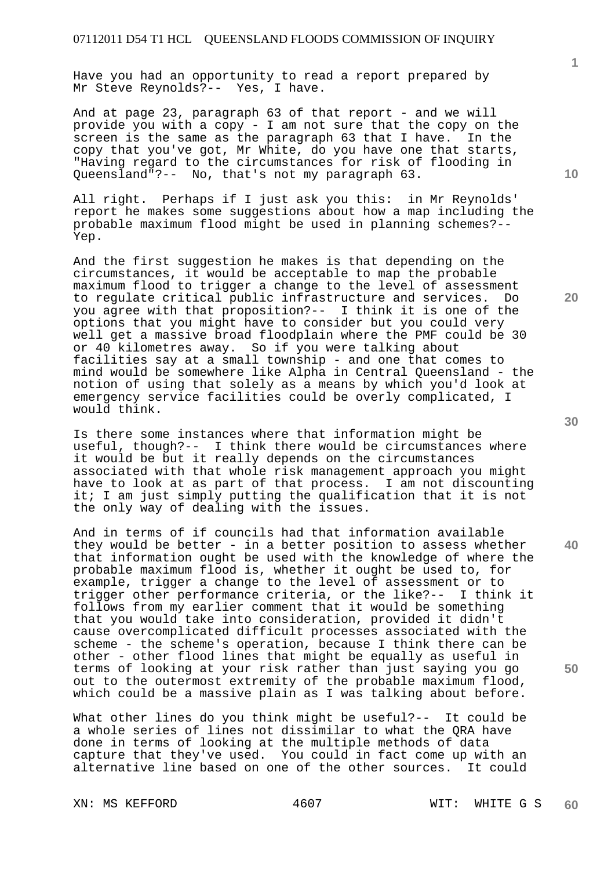Have you had an opportunity to read a report prepared by Mr Steve Reynolds?-- Yes, I have.

And at page 23, paragraph 63 of that report - and we will provide you with a copy - I am not sure that the copy on the screen is the same as the paragraph 63 that I have. In the copy that you've got, Mr White, do you have one that starts, "Having regard to the circumstances for risk of flooding in Queensland"?-- No, that's not my paragraph 63.

All right. Perhaps if I just ask you this: in Mr Reynolds' report he makes some suggestions about how a map including the probable maximum flood might be used in planning schemes?-- Yep.

And the first suggestion he makes is that depending on the circumstances, it would be acceptable to map the probable maximum flood to trigger a change to the level of assessment to regulate critical public infrastructure and services. Do you agree with that proposition?-- I think it is one of the options that you might have to consider but you could very well get a massive broad floodplain where the PMF could be 30 or 40 kilometres away. So if you were talking about facilities say at a small township - and one that comes to mind would be somewhere like Alpha in Central Queensland - the notion of using that solely as a means by which you'd look at emergency service facilities could be overly complicated, I would think.

Is there some instances where that information might be useful, though?-- I think there would be circumstances where it would be but it really depends on the circumstances associated with that whole risk management approach you might have to look at as part of that process. I am not discounting it; I am just simply putting the qualification that it is not the only way of dealing with the issues.

And in terms of if councils had that information available they would be better - in a better position to assess whether that information ought be used with the knowledge of where the probable maximum flood is, whether it ought be used to, for example, trigger a change to the level of assessment or to trigger other performance criteria, or the like?-- I think it follows from my earlier comment that it would be something that you would take into consideration, provided it didn't cause overcomplicated difficult processes associated with the scheme - the scheme's operation, because I think there can be other - other flood lines that might be equally as useful in terms of looking at your risk rather than just saying you go out to the outermost extremity of the probable maximum flood, which could be a massive plain as I was talking about before.

What other lines do you think might be useful?-- It could be a whole series of lines not dissimilar to what the QRA have done in terms of looking at the multiple methods of data capture that they've used. You could in fact come up with an alternative line based on one of the other sources. It could

XN: MS KEFFORD 4607 WIT: WHITE G S

**30** 

**20** 

**40** 

**50** 

**10**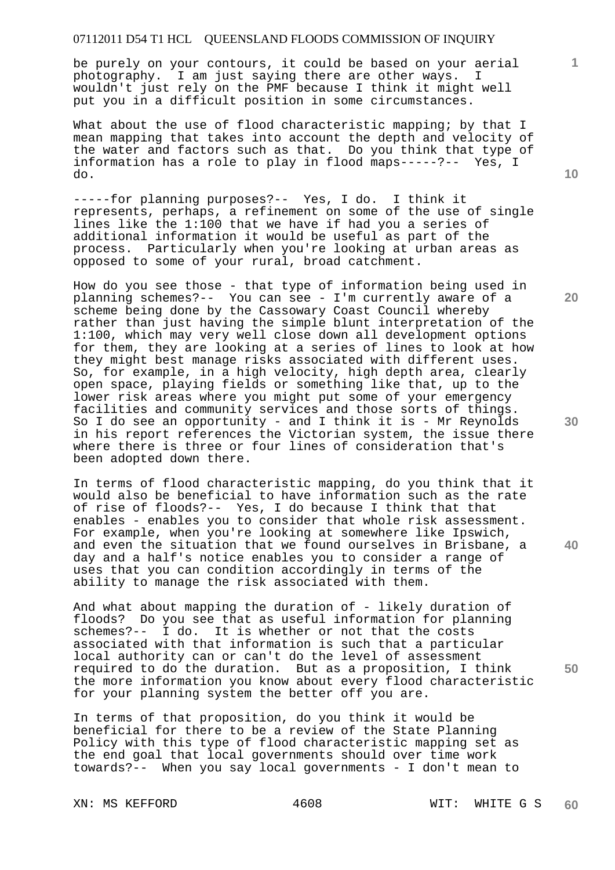be purely on your contours, it could be based on your aerial photography. I am just saying there are other ways. wouldn't just rely on the PMF because I think it might well put you in a difficult position in some circumstances.

What about the use of flood characteristic mapping; by that I mean mapping that takes into account the depth and velocity of the water and factors such as that. Do you think that type of information has a role to play in flood maps-----?-- Yes, I do.

-----for planning purposes?-- Yes, I do. I think it represents, perhaps, a refinement on some of the use of single lines like the 1:100 that we have if had you a series of additional information it would be useful as part of the process. Particularly when you're looking at urban areas as opposed to some of your rural, broad catchment.

How do you see those - that type of information being used in planning schemes?-- You can see - I'm currently aware of a scheme being done by the Cassowary Coast Council whereby rather than just having the simple blunt interpretation of the 1:100, which may very well close down all development options for them, they are looking at a series of lines to look at how they might best manage risks associated with different uses. So, for example, in a high velocity, high depth area, clearly open space, playing fields or something like that, up to the lower risk areas where you might put some of your emergency facilities and community services and those sorts of things. So I do see an opportunity - and I think it is - Mr Reynolds in his report references the Victorian system, the issue there where there is three or four lines of consideration that's been adopted down there.

In terms of flood characteristic mapping, do you think that it would also be beneficial to have information such as the rate of rise of floods?-- Yes, I do because I think that that enables - enables you to consider that whole risk assessment. For example, when you're looking at somewhere like Ipswich, and even the situation that we found ourselves in Brisbane, a day and a half's notice enables you to consider a range of uses that you can condition accordingly in terms of the ability to manage the risk associated with them.

And what about mapping the duration of - likely duration of floods? Do you see that as useful information for planning schemes?--  $\overline{I}$  do. It is whether or not that the costs associated with that information is such that a particular local authority can or can't do the level of assessment required to do the duration. But as a proposition, I think the more information you know about every flood characteristic for your planning system the better off you are.

In terms of that proposition, do you think it would be beneficial for there to be a review of the State Planning Policy with this type of flood characteristic mapping set as the end goal that local governments should over time work towards?-- When you say local governments - I don't mean to

**10** 

**1**

**20** 

**30** 

**40**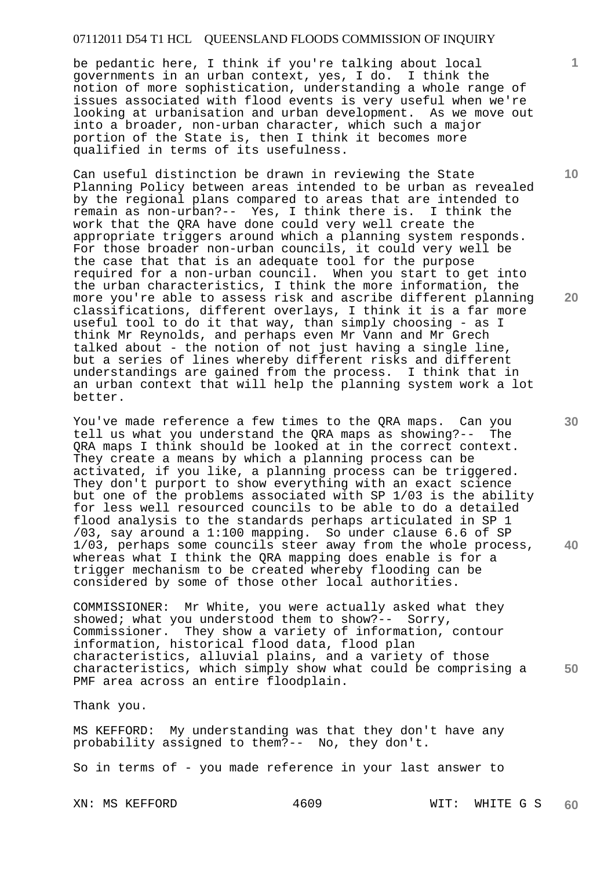be pedantic here, I think if you're talking about local governments in an urban context, yes, I do. I think the notion of more sophistication, understanding a whole range of issues associated with flood events is very useful when we're looking at urbanisation and urban development. As we move out into a broader, non-urban character, which such a major portion of the State is, then I think it becomes more qualified in terms of its usefulness.

Can useful distinction be drawn in reviewing the State Planning Policy between areas intended to be urban as revealed by the regional plans compared to areas that are intended to<br>remain as non-urban?-- Yes. I think there is. I think the remain as non-urban?-- Yes, I think there is. work that the QRA have done could very well create the appropriate triggers around which a planning system responds. For those broader non-urban councils, it could very well be the case that that is an adequate tool for the purpose required for a non-urban council. When you start to get into the urban characteristics, I think the more information, the more you're able to assess risk and ascribe different planning classifications, different overlays, I think it is a far more useful tool to do it that way, than simply choosing - as I think Mr Reynolds, and perhaps even Mr Vann and Mr Grech talked about - the notion of not just having a single line, but a series of lines whereby different risks and different understandings are gained from the process. I think that in an urban context that will help the planning system work a lot better.

You've made reference a few times to the QRA maps. Can you<br>tell us what you understand the ORA maps as showing?-- The tell us what you understand the QRA maps as showing?--QRA maps I think should be looked at in the correct context. They create a means by which a planning process can be activated, if you like, a planning process can be triggered. They don't purport to show everything with an exact science but one of the problems associated with SP 1/03 is the ability for less well resourced councils to be able to do a detailed flood analysis to the standards perhaps articulated in SP 1 /03, say around a 1:100 mapping. So under clause 6.6 of SP 1/03, perhaps some councils steer away from the whole process, whereas what I think the QRA mapping does enable is for a trigger mechanism to be created whereby flooding can be considered by some of those other local authorities.

**50**  COMMISSIONER: Mr White, you were actually asked what they showed; what you understood them to show?-- Sorry, Commissioner. They show a variety of information, contour information, historical flood data, flood plan characteristics, alluvial plains, and a variety of those characteristics, which simply show what could be comprising a PMF area across an entire floodplain.

Thank you.

MS KEFFORD: My understanding was that they don't have any probability assigned to them?-- No, they don't.

So in terms of - you made reference in your last answer to

**10** 

**1**

**20**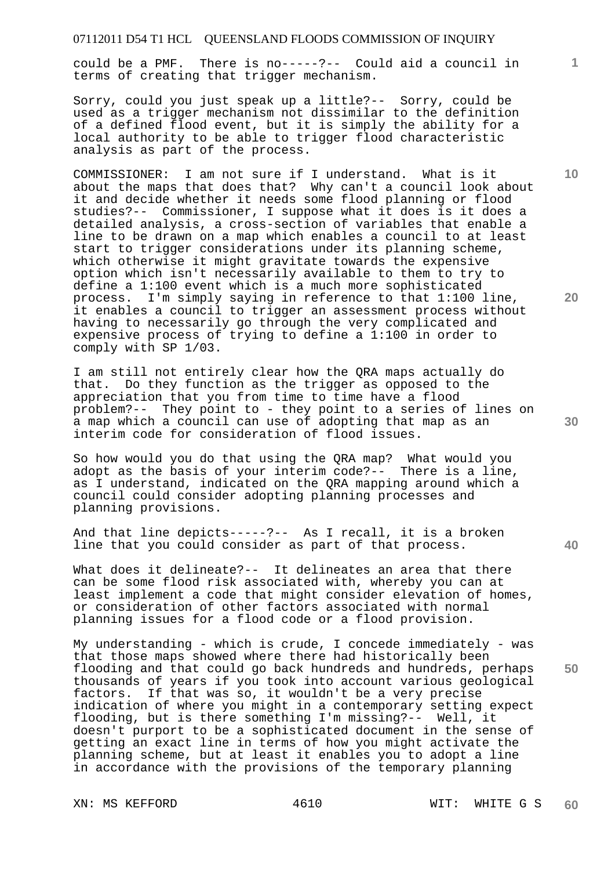could be a PMF. There is no-----?-- Could aid a council in terms of creating that trigger mechanism.

Sorry, could you just speak up a little?-- Sorry, could be used as a trigger mechanism not dissimilar to the definition of a defined flood event, but it is simply the ability for a local authority to be able to trigger flood characteristic analysis as part of the process.

COMMISSIONER: I am not sure if I understand. What is it about the maps that does that? Why can't a council look about it and decide whether it needs some flood planning or flood studies?-- Commissioner, I suppose what it does is it does a detailed analysis, a cross-section of variables that enable a line to be drawn on a map which enables a council to at least start to trigger considerations under its planning scheme, which otherwise it might gravitate towards the expensive option which isn't necessarily available to them to try to define a 1:100 event which is a much more sophisticated process. I'm simply saying in reference to that 1:100 line, it enables a council to trigger an assessment process without having to necessarily go through the very complicated and expensive process of trying to define a 1:100 in order to comply with SP 1/03.

I am still not entirely clear how the QRA maps actually do that. Do they function as the trigger as opposed to the appreciation that you from time to time have a flood problem?-- They point to - they point to a series of lines on a map which a council can use of adopting that map as an interim code for consideration of flood issues.

So how would you do that using the QRA map? What would you adopt as the basis of your interim code?-- There is a line, as I understand, indicated on the QRA mapping around which a council could consider adopting planning processes and planning provisions.

And that line depicts-----?-- As I recall, it is a broken line that you could consider as part of that process.

What does it delineate?-- It delineates an area that there can be some flood risk associated with, whereby you can at least implement a code that might consider elevation of homes, or consideration of other factors associated with normal planning issues for a flood code or a flood provision.

My understanding - which is crude, I concede immediately - was that those maps showed where there had historically been flooding and that could go back hundreds and hundreds, perhaps thousands of years if you took into account various geological factors. If that was so, it wouldn't be a very precise indication of where you might in a contemporary setting expect flooding, but is there something I'm missing?-- Well, it doesn't purport to be a sophisticated document in the sense of getting an exact line in terms of how you might activate the planning scheme, but at least it enables you to adopt a line in accordance with the provisions of the temporary planning

**20** 

**10** 

**1**

**30** 

**40**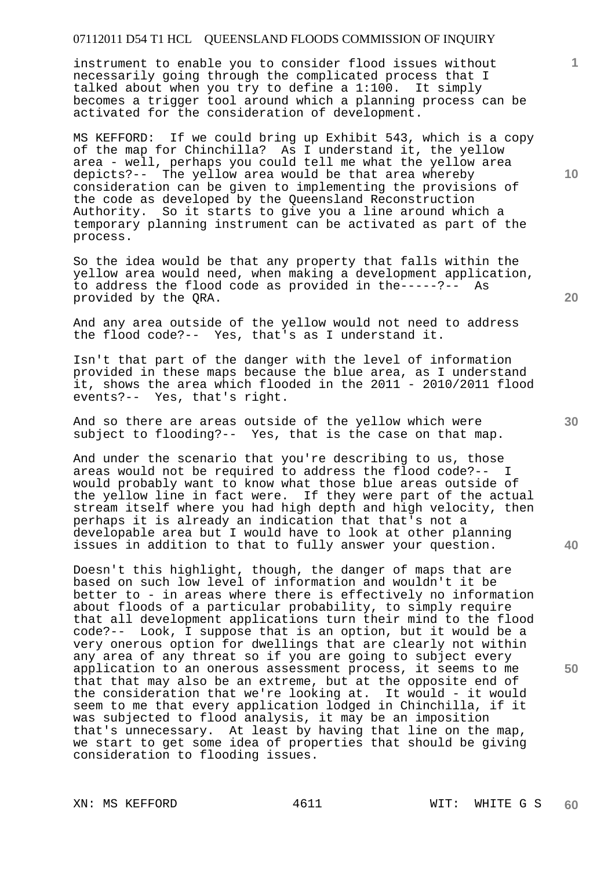instrument to enable you to consider flood issues without necessarily going through the complicated process that I talked about when you try to define a 1:100. It simply becomes a trigger tool around which a planning process can be activated for the consideration of development.

MS KEFFORD: If we could bring up Exhibit 543, which is a copy of the map for Chinchilla? As I understand it, the yellow area - well, perhaps you could tell me what the yellow area depicts?-- The yellow area would be that area whereby consideration can be given to implementing the provisions of the code as developed by the Queensland Reconstruction Authority. So it starts to give you a line around which a temporary planning instrument can be activated as part of the process.

So the idea would be that any property that falls within the yellow area would need, when making a development application, to address the flood code as provided in the-----?-- As provided by the QRA.

And any area outside of the yellow would not need to address the flood code?-- Yes, that's as I understand it.

Isn't that part of the danger with the level of information provided in these maps because the blue area, as I understand it, shows the area which flooded in the 2011 - 2010/2011 flood events?-- Yes, that's right.

And so there are areas outside of the yellow which were subject to flooding?-- Yes, that is the case on that map.

And under the scenario that you're describing to us, those areas would not be required to address the flood code?-- I would probably want to know what those blue areas outside of the yellow line in fact were. If they were part of the actual stream itself where you had high depth and high velocity, then perhaps it is already an indication that that's not a developable area but I would have to look at other planning issues in addition to that to fully answer your question.

Doesn't this highlight, though, the danger of maps that are based on such low level of information and wouldn't it be better to - in areas where there is effectively no information about floods of a particular probability, to simply require that all development applications turn their mind to the flood code?-- Look, I suppose that is an option, but it would be a very onerous option for dwellings that are clearly not within any area of any threat so if you are going to subject every application to an onerous assessment process, it seems to me that that may also be an extreme, but at the opposite end of the consideration that we're looking at. It would - it would seem to me that every application lodged in Chinchilla, if it was subjected to flood analysis, it may be an imposition that's unnecessary. At least by having that line on the map, we start to get some idea of properties that should be giving consideration to flooding issues.

**10** 

**1**

**30** 

**20**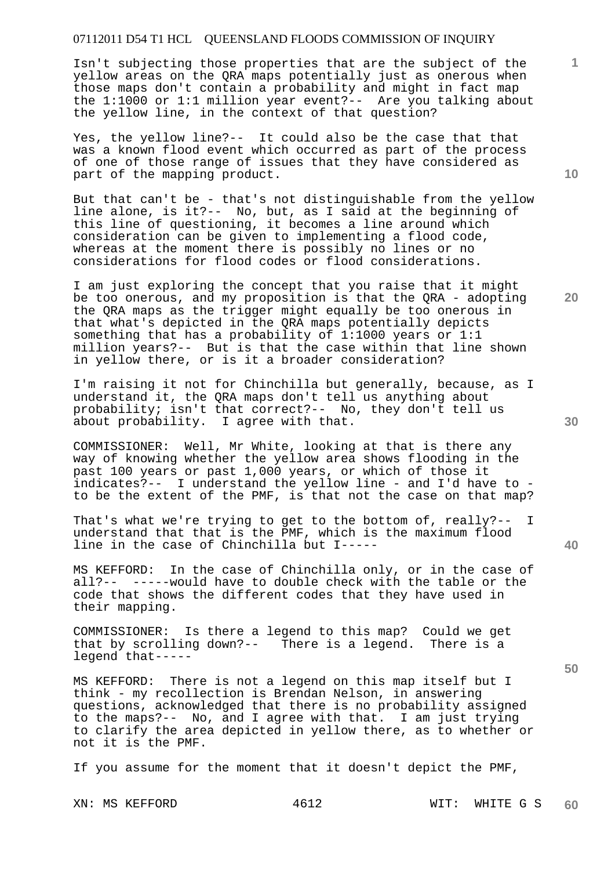Isn't subjecting those properties that are the subject of the yellow areas on the QRA maps potentially just as onerous when those maps don't contain a probability and might in fact map the 1:1000 or 1:1 million year event?-- Are you talking about the yellow line, in the context of that question?

Yes, the yellow line?-- It could also be the case that that was a known flood event which occurred as part of the process of one of those range of issues that they have considered as part of the mapping product.

But that can't be - that's not distinguishable from the yellow line alone, is it?-- No, but, as I said at the beginning of this line of questioning, it becomes a line around which consideration can be given to implementing a flood code, whereas at the moment there is possibly no lines or no considerations for flood codes or flood considerations.

I am just exploring the concept that you raise that it might be too onerous, and my proposition is that the QRA - adopting the QRA maps as the trigger might equally be too onerous in that what's depicted in the QRA maps potentially depicts something that has a probability of 1:1000 years or 1:1 million years?-- But is that the case within that line shown in yellow there, or is it a broader consideration?

I'm raising it not for Chinchilla but generally, because, as I understand it, the QRA maps don't tell us anything about probability; isn't that correct?-- No, they don't tell us about probability. I agree with that.

COMMISSIONER: Well, Mr White, looking at that is there any way of knowing whether the yellow area shows flooding in the past 100 years or past 1,000 years, or which of those it indicates?-- I understand the yellow line - and I'd have to to be the extent of the PMF, is that not the case on that map?

That's what we're trying to get to the bottom of, really?-- I understand that that is the PMF, which is the maximum flood line in the case of Chinchilla but I-----

MS KEFFORD: In the case of Chinchilla only, or in the case of all?-- -----would have to double check with the table or the code that shows the different codes that they have used in their mapping.

COMMISSIONER: Is there a legend to this map? Could we get that by scrolling down?-- There is a legend. There is a legend that-----

MS KEFFORD: There is not a legend on this map itself but I think - my recollection is Brendan Nelson, in answering questions, acknowledged that there is no probability assigned to the maps?-- No, and I agree with that. I am just trying to clarify the area depicted in yellow there, as to whether or not it is the PMF.

If you assume for the moment that it doesn't depict the PMF,

**10** 

**1**

**20** 

**40**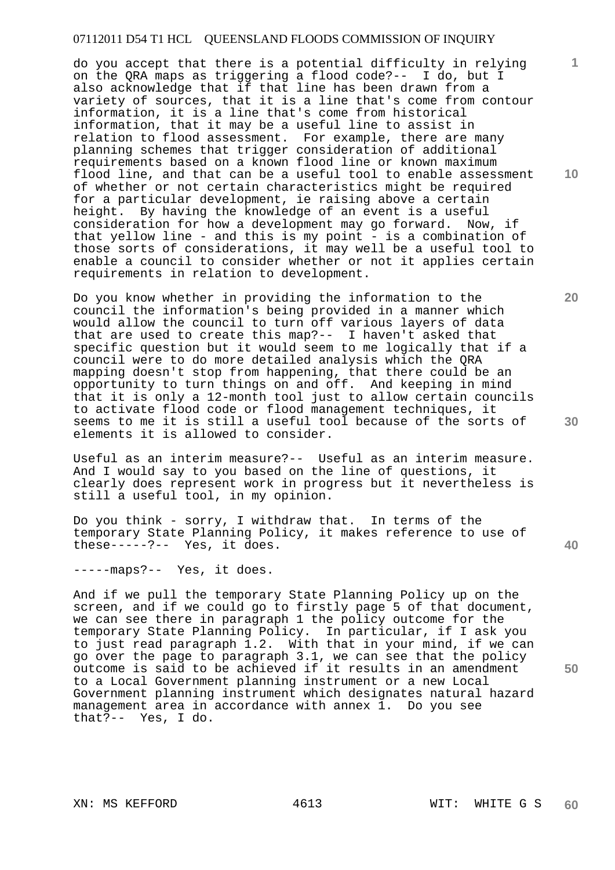do you accept that there is a potential difficulty in relying on the QRA maps as triggering a flood code?-- I do, but I also acknowledge that if that line has been drawn from a variety of sources, that it is a line that's come from contour information, it is a line that's come from historical information, that it may be a useful line to assist in relation to flood assessment. For example, there are many planning schemes that trigger consideration of additional requirements based on a known flood line or known maximum flood line, and that can be a useful tool to enable assessment of whether or not certain characteristics might be required for a particular development, ie raising above a certain height. By having the knowledge of an event is a useful consideration for how a development may go forward. Now, if that yellow line - and this is my point - is a combination of those sorts of considerations, it may well be a useful tool to enable a council to consider whether or not it applies certain requirements in relation to development.

Do you know whether in providing the information to the council the information's being provided in a manner which would allow the council to turn off various layers of data that are used to create this map?-- I haven't asked that specific question but it would seem to me logically that if a council were to do more detailed analysis which the QRA mapping doesn't stop from happening, that there could be an opportunity to turn things on and off. And keeping in mind that it is only a 12-month tool just to allow certain councils to activate flood code or flood management techniques, it seems to me it is still a useful tool because of the sorts of elements it is allowed to consider.

Useful as an interim measure?-- Useful as an interim measure. And I would say to you based on the line of questions, it clearly does represent work in progress but it nevertheless is still a useful tool, in my opinion.

Do you think - sorry, I withdraw that. In terms of the temporary State Planning Policy, it makes reference to use of these-----?-- Yes, it does.

-----maps?-- Yes, it does.

And if we pull the temporary State Planning Policy up on the screen, and if we could go to firstly page 5 of that document, we can see there in paragraph 1 the policy outcome for the temporary State Planning Policy. In particular, if I ask you to just read paragraph 1.2. With that in your mind, if we can go over the page to paragraph 3.1, we can see that the policy outcome is said to be achieved if it results in an amendment to a Local Government planning instrument or a new Local Government planning instrument which designates natural hazard management area in accordance with annex 1. Do you see that?-- Yes, I do.

**1**

**10** 

**20** 

**40**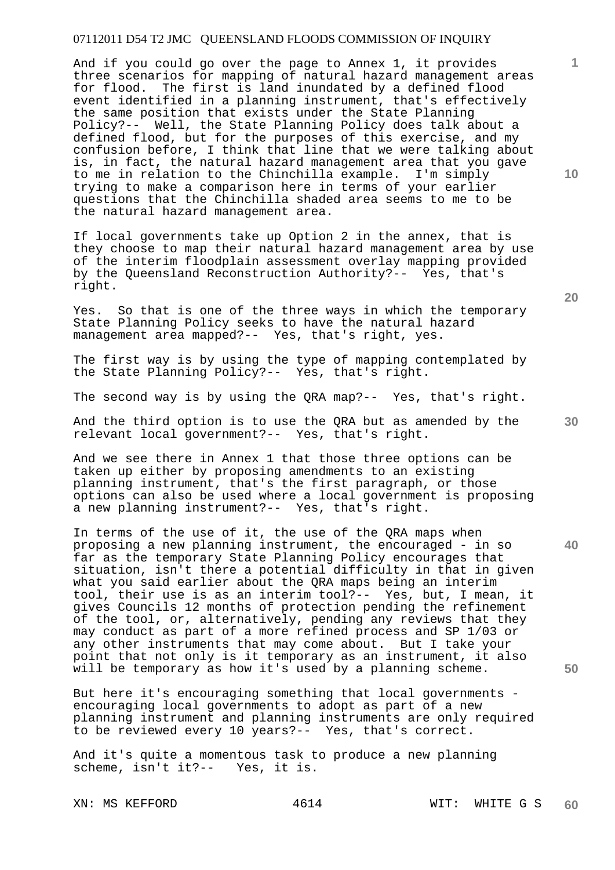And if you could go over the page to Annex 1, it provides three scenarios for mapping of natural hazard management areas for flood. The first is land inundated by a defined flood event identified in a planning instrument, that's effectively the same position that exists under the State Planning Policy?-- Well, the State Planning Policy does talk about a defined flood, but for the purposes of this exercise, and my confusion before, I think that line that we were talking about is, in fact, the natural hazard management area that you gave to me in relation to the Chinchilla example. I'm simply trying to make a comparison here in terms of your earlier questions that the Chinchilla shaded area seems to me to be the natural hazard management area.

If local governments take up Option 2 in the annex, that is they choose to map their natural hazard management area by use of the interim floodplain assessment overlay mapping provided by the Queensland Reconstruction Authority?-- Yes, that's right.

Yes. So that is one of the three ways in which the temporary State Planning Policy seeks to have the natural hazard management area mapped?-- Yes, that's right, yes.

The first way is by using the type of mapping contemplated by the State Planning Policy?-- Yes, that's right.

The second way is by using the QRA map?-- Yes, that's right.

And the third option is to use the QRA but as amended by the relevant local government?-- Yes, that's right.

And we see there in Annex 1 that those three options can be taken up either by proposing amendments to an existing planning instrument, that's the first paragraph, or those options can also be used where a local government is proposing a new planning instrument?-- Yes, that's right.

In terms of the use of it, the use of the QRA maps when proposing a new planning instrument, the encouraged - in so far as the temporary State Planning Policy encourages that situation, isn't there a potential difficulty in that in given what you said earlier about the QRA maps being an interim tool, their use is as an interim tool?-- Yes, but, I mean, it gives Councils 12 months of protection pending the refinement of the tool, or, alternatively, pending any reviews that they may conduct as part of a more refined process and SP 1/03 or any other instruments that may come about. But I take your point that not only is it temporary as an instrument, it also will be temporary as how it's used by a planning scheme.

But here it's encouraging something that local governments encouraging local governments to adopt as part of a new planning instrument and planning instruments are only required to be reviewed every 10 years?-- Yes, that's correct.

And it's quite a momentous task to produce a new planning scheme, isn't it?-- Yes, it is.

**10** 

**1**

**20** 

**40**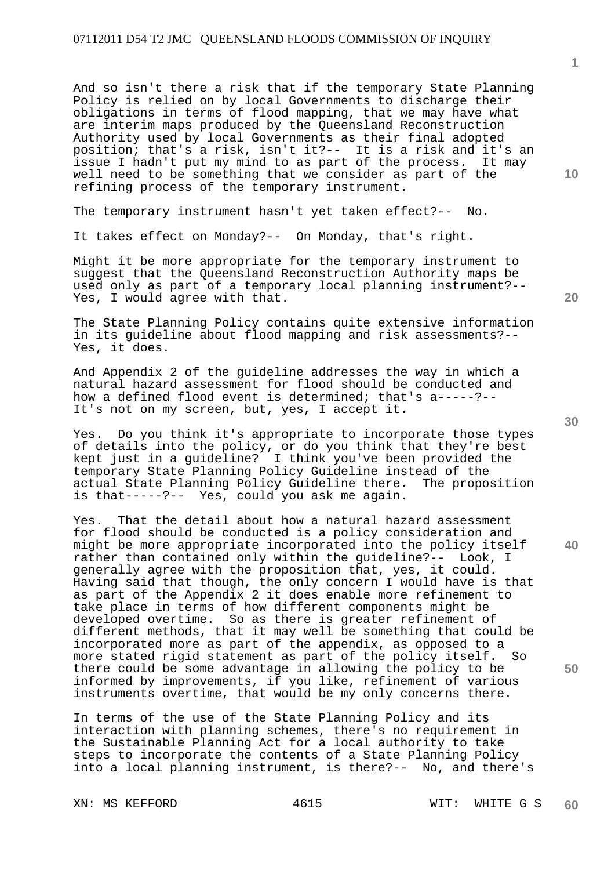And so isn't there a risk that if the temporary State Planning Policy is relied on by local Governments to discharge their obligations in terms of flood mapping, that we may have what are interim maps produced by the Queensland Reconstruction Authority used by local Governments as their final adopted position; that's a risk, isn't it?-- It is a risk and it's an issue I hadn't put my mind to as part of the process. It may well need to be something that we consider as part of the refining process of the temporary instrument.

The temporary instrument hasn't yet taken effect?-- No.

It takes effect on Monday?-- On Monday, that's right.

Might it be more appropriate for the temporary instrument to suggest that the Queensland Reconstruction Authority maps be used only as part of a temporary local planning instrument?-- Yes, I would agree with that.

The State Planning Policy contains quite extensive information in its guideline about flood mapping and risk assessments?-- Yes, it does.

And Appendix 2 of the guideline addresses the way in which a natural hazard assessment for flood should be conducted and how a defined flood event is determined; that's a-----?-- It's not on my screen, but, yes, I accept it.

Yes. Do you think it's appropriate to incorporate those types of details into the policy, or do you think that they're best kept just in a guideline? I think you've been provided the temporary State Planning Policy Guideline instead of the actual State Planning Policy Guideline there. The proposition is that-----?-- Yes, could you ask me again.

Yes. That the detail about how a natural hazard assessment for flood should be conducted is a policy consideration and might be more appropriate incorporated into the policy itself rather than contained only within the guideline?-- Look, I generally agree with the proposition that, yes, it could. Having said that though, the only concern I would have is that as part of the Appendix 2 it does enable more refinement to take place in terms of how different components might be developed overtime. So as there is greater refinement of different methods, that it may well be something that could be incorporated more as part of the appendix, as opposed to a more stated rigid statement as part of the policy itself. So there could be some advantage in allowing the policy to be informed by improvements, if you like, refinement of various instruments overtime, that would be my only concerns there.

In terms of the use of the State Planning Policy and its interaction with planning schemes, there's no requirement in the Sustainable Planning Act for a local authority to take steps to incorporate the contents of a State Planning Policy into a local planning instrument, is there?-- No, and there's

XN: MS KEFFORD 4615 WIT: WHITE G S

**20** 

**40** 

**50** 

**10**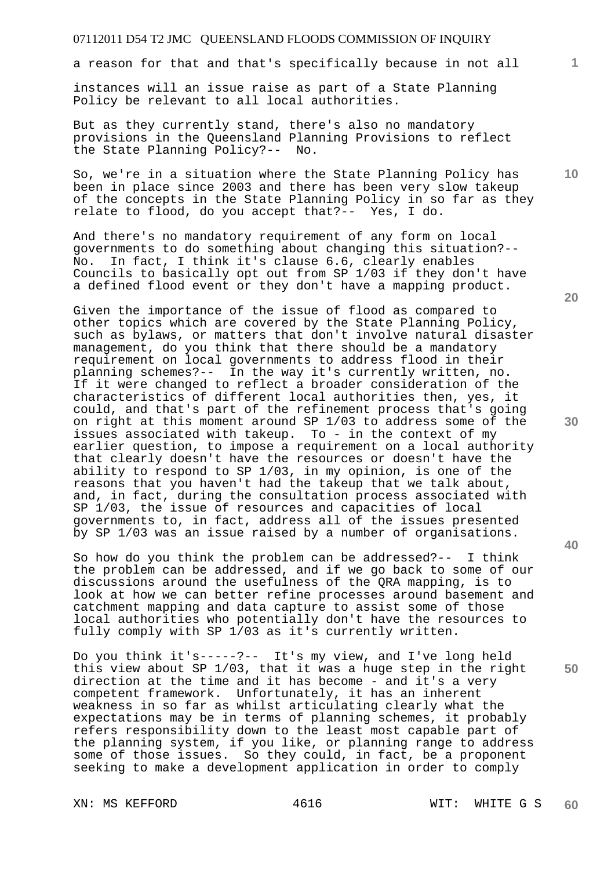a reason for that and that's specifically because in not all

instances will an issue raise as part of a State Planning Policy be relevant to all local authorities.

But as they currently stand, there's also no mandatory provisions in the Queensland Planning Provisions to reflect the State Planning Policy?-- No.

So, we're in a situation where the State Planning Policy has been in place since 2003 and there has been very slow takeup of the concepts in the State Planning Policy in so far as they relate to flood, do you accept that?-- Yes, I do.

And there's no mandatory requirement of any form on local governments to do something about changing this situation?-- No. In fact, I think it's clause 6.6, clearly enables Councils to basically opt out from SP 1/03 if they don't have a defined flood event or they don't have a mapping product.

Given the importance of the issue of flood as compared to other topics which are covered by the State Planning Policy, such as bylaws, or matters that don't involve natural disaster management, do you think that there should be a mandatory requirement on local governments to address flood in their planning schemes?-- In the way it's currently written, no. If it were changed to reflect a broader consideration of the characteristics of different local authorities then, yes, it could, and that's part of the refinement process that's going on right at this moment around SP 1/03 to address some of the issues associated with takeup. To - in the context of my earlier question, to impose a requirement on a local authority that clearly doesn't have the resources or doesn't have the ability to respond to SP 1/03, in my opinion, is one of the reasons that you haven't had the takeup that we talk about, and, in fact, during the consultation process associated with SP 1/03, the issue of resources and capacities of local governments to, in fact, address all of the issues presented by SP 1/03 was an issue raised by a number of organisations.

So how do you think the problem can be addressed?-- I think the problem can be addressed, and if we go back to some of our discussions around the usefulness of the QRA mapping, is to look at how we can better refine processes around basement and catchment mapping and data capture to assist some of those local authorities who potentially don't have the resources to fully comply with SP 1/03 as it's currently written.

Do you think it's-----?-- It's my view, and I've long held this view about SP 1/03, that it was a huge step in the right direction at the time and it has become - and it's a very competent framework. Unfortunately, it has an inherent weakness in so far as whilst articulating clearly what the expectations may be in terms of planning schemes, it probably refers responsibility down to the least most capable part of the planning system, if you like, or planning range to address some of those issues. So they could, in fact, be a proponent seeking to make a development application in order to comply

XN: MS KEFFORD 4616 WIT: WHITE G S

**20** 

**1**

**10** 

**30**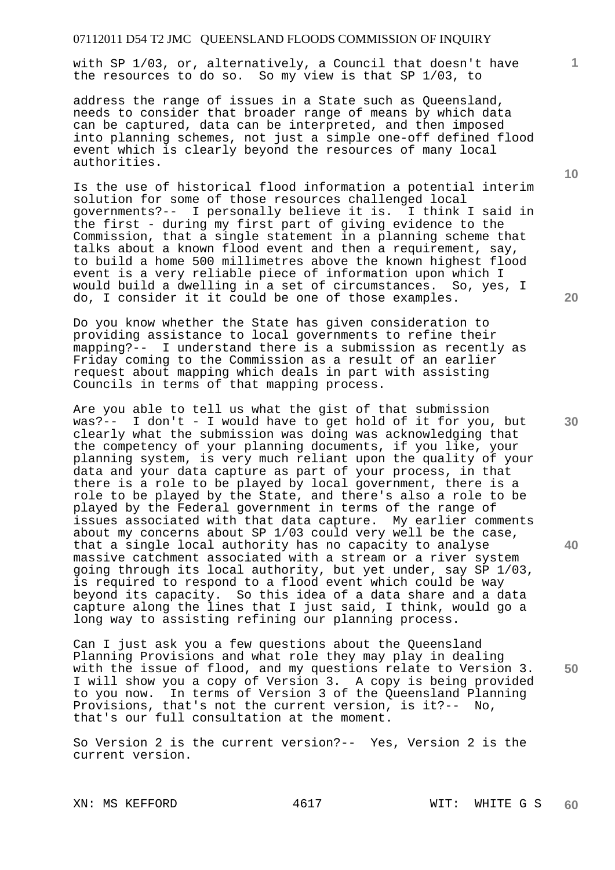with SP 1/03, or, alternatively, a Council that doesn't have the resources to do so. So my view is that SP 1/03, to

address the range of issues in a State such as Queensland, needs to consider that broader range of means by which data can be captured, data can be interpreted, and then imposed into planning schemes, not just a simple one-off defined flood event which is clearly beyond the resources of many local authorities.

Is the use of historical flood information a potential interim solution for some of those resources challenged local governments?-- I personally believe it is. I think I said in the first - during my first part of giving evidence to the Commission, that a single statement in a planning scheme that talks about a known flood event and then a requirement, say, to build a home 500 millimetres above the known highest flood event is a very reliable piece of information upon which I would build a dwelling in a set of circumstances. So, yes, I do, I consider it it could be one of those examples.

Do you know whether the State has given consideration to providing assistance to local governments to refine their mapping?-- I understand there is a submission as recently as Friday coming to the Commission as a result of an earlier request about mapping which deals in part with assisting Councils in terms of that mapping process.

Are you able to tell us what the gist of that submission was?-- I don't - I would have to get hold of it for you, but clearly what the submission was doing was acknowledging that the competency of your planning documents, if you like, your planning system, is very much reliant upon the quality of your data and your data capture as part of your process, in that there is a role to be played by local government, there is a role to be played by the State, and there's also a role to be played by the Federal government in terms of the range of issues associated with that data capture. My earlier comments about my concerns about SP 1/03 could very well be the case, that a single local authority has no capacity to analyse massive catchment associated with a stream or a river system going through its local authority, but yet under, say SP 1/03, is required to respond to a flood event which could be way beyond its capacity. So this idea of a data share and a data capture along the lines that I just said, I think, would go a long way to assisting refining our planning process.

Can I just ask you a few questions about the Queensland Planning Provisions and what role they may play in dealing with the issue of flood, and my questions relate to Version 3. I will show you a copy of Version 3. A copy is being provided to you now. In terms of Version 3 of the Queensland Planning Provisions, that's not the current version, is it?-- No, that's our full consultation at the moment.

So Version 2 is the current version?-- Yes, Version 2 is the current version.

**10** 

**1**

**30** 

**20**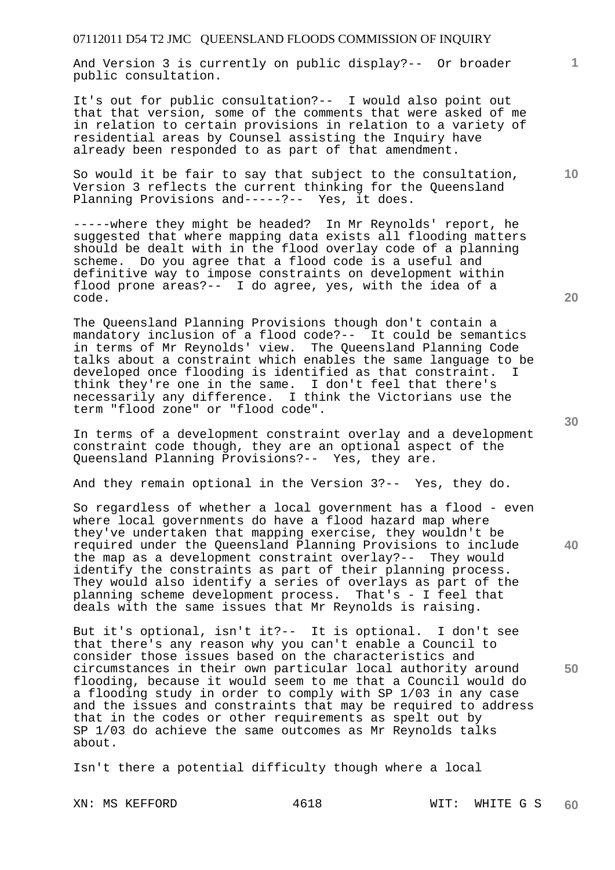And Version 3 is currently on public display?-- Or broader public consultation.

It's out for public consultation?-- I would also point out that that version, some of the comments that were asked of me in relation to certain provisions in relation to a variety of residential areas by Counsel assisting the Inquiry have already been responded to as part of that amendment.

So would it be fair to say that subject to the consultation, Version 3 reflects the current thinking for the Queensland Planning Provisions and-----?-- Yes, it does.

-----where they might be headed? In Mr Reynolds' report, he suggested that where mapping data exists all flooding matters should be dealt with in the flood overlay code of a planning scheme. Do you agree that a flood code is a useful and definitive way to impose constraints on development within flood prone areas?-- I do agree, yes, with the idea of a code.

The Queensland Planning Provisions though don't contain a mandatory inclusion of a flood code?-- It could be semantics in terms of Mr Reynolds' view. The Queensland Planning Code talks about a constraint which enables the same language to be developed once flooding is identified as that constraint. I think they're one in the same. I don't feel that there's necessarily any difference. I think the Victorians use the term "flood zone" or "flood code".

In terms of a development constraint overlay and a development constraint code though, they are an optional aspect of the Queensland Planning Provisions?-- Yes, they are.

And they remain optional in the Version 3?-- Yes, they do.

So regardless of whether a local government has a flood - even where local governments do have a flood hazard map where they've undertaken that mapping exercise, they wouldn't be required under the Queensland Planning Provisions to include the map as a development constraint overlay?-- They would identify the constraints as part of their planning process. They would also identify a series of overlays as part of the planning scheme development process. That's - I feel that deals with the same issues that Mr Reynolds is raising.

But it's optional, isn't it?-- It is optional. I don't see that there's any reason why you can't enable a Council to consider those issues based on the characteristics and circumstances in their own particular local authority around flooding, because it would seem to me that a Council would do a flooding study in order to comply with SP 1/03 in any case and the issues and constraints that may be required to address that in the codes or other requirements as spelt out by SP 1/03 do achieve the same outcomes as Mr Reynolds talks about.

Isn't there a potential difficulty though where a local

**20** 

**10** 

**1**

**30** 

**50**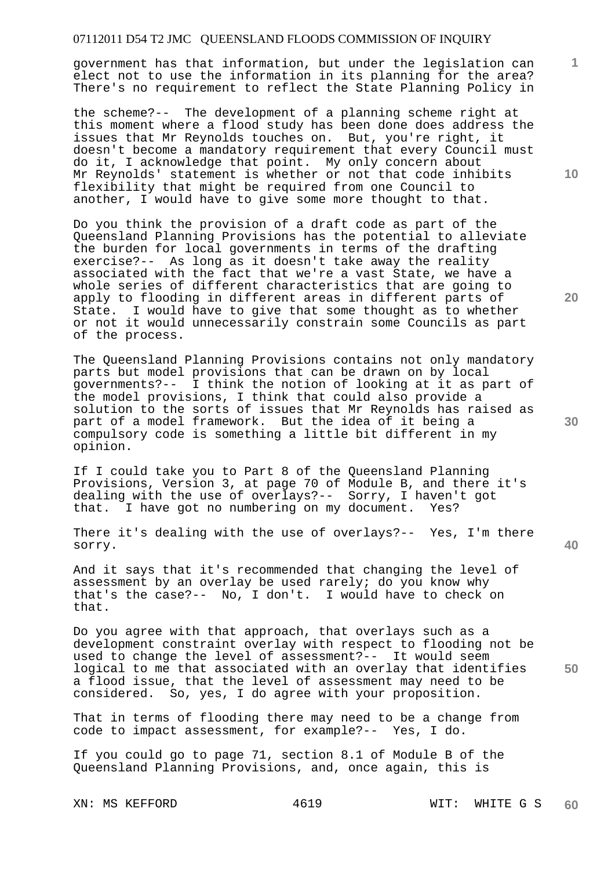government has that information, but under the legislation can elect not to use the information in its planning for the area? There's no requirement to reflect the State Planning Policy in

the scheme?-- The development of a planning scheme right at this moment where a flood study has been done does address the issues that Mr Reynolds touches on. But, you're right, it doesn't become a mandatory requirement that every Council must do it, I acknowledge that point. My only concern about Mr Reynolds' statement is whether or not that code inhibits flexibility that might be required from one Council to another, I would have to give some more thought to that.

Do you think the provision of a draft code as part of the Queensland Planning Provisions has the potential to alleviate the burden for local governments in terms of the drafting exercise?-- As long as it doesn't take away the reality associated with the fact that we're a vast State, we have a whole series of different characteristics that are going to apply to flooding in different areas in different parts of State. I would have to give that some thought as to whether or not it would unnecessarily constrain some Councils as part of the process.

The Queensland Planning Provisions contains not only mandatory parts but model provisions that can be drawn on by local governments?-- I think the notion of looking at it as part of the model provisions, I think that could also provide a solution to the sorts of issues that Mr Reynolds has raised as part of a model framework. But the idea of it being a compulsory code is something a little bit different in my opinion.

If I could take you to Part 8 of the Queensland Planning Provisions, Version 3, at page 70 of Module B, and there it's dealing with the use of overlays?-- Sorry, I haven't got that. I have got no numbering on my document. Yes?

There it's dealing with the use of overlays?-- Yes, I'm there sorry.

And it says that it's recommended that changing the level of assessment by an overlay be used rarely; do you know why that's the case?-- No, I don't. I would have to check on that.

**50**  Do you agree with that approach, that overlays such as a development constraint overlay with respect to flooding not be used to change the level of assessment?-- It would seem logical to me that associated with an overlay that identifies a flood issue, that the level of assessment may need to be considered. So, yes, I do agree with your proposition. So, yes, I do agree with your proposition.

That in terms of flooding there may need to be a change from code to impact assessment, for example?-- Yes, I do.

If you could go to page 71, section 8.1 of Module B of the Queensland Planning Provisions, and, once again, this is

XN: MS KEFFORD 4619 WIT: WHITE G S **60** 

**10** 

**1**

**20**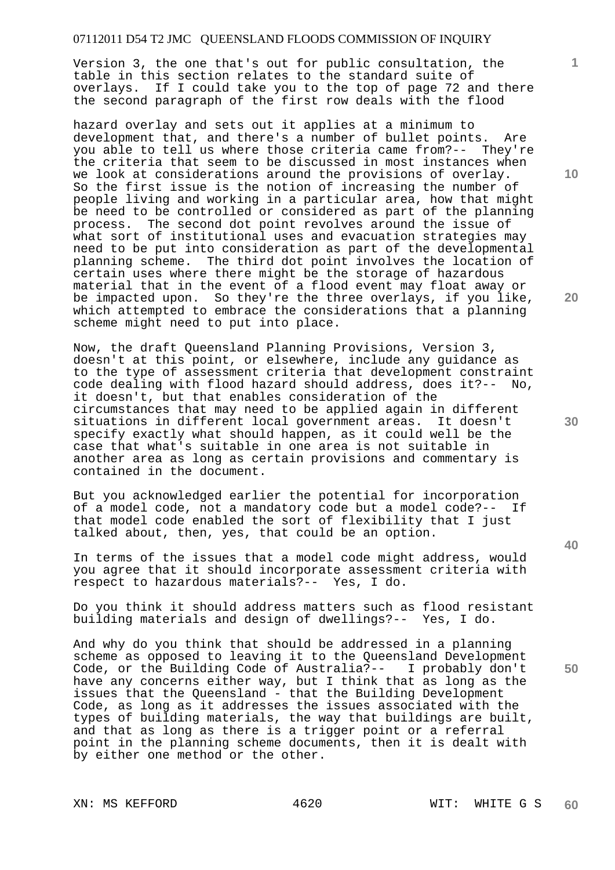Version 3, the one that's out for public consultation, the table in this section relates to the standard suite of overlays. If I could take you to the top of page 72 and there the second paragraph of the first row deals with the flood

hazard overlay and sets out it applies at a minimum to development that, and there's a number of bullet points. Are you able to tell us where those criteria came from?-- They're the criteria that seem to be discussed in most instances when we look at considerations around the provisions of overlay. So the first issue is the notion of increasing the number of people living and working in a particular area, how that might be need to be controlled or considered as part of the planning process. The second dot point revolves around the issue of what sort of institutional uses and evacuation strategies may need to be put into consideration as part of the developmental planning scheme. The third dot point involves the location of certain uses where there might be the storage of hazardous material that in the event of a flood event may float away or be impacted upon. So they're the three overlays, if you like, which attempted to embrace the considerations that a planning scheme might need to put into place.

Now, the draft Queensland Planning Provisions, Version 3, doesn't at this point, or elsewhere, include any guidance as to the type of assessment criteria that development constraint code dealing with flood hazard should address, does it?-- No, it doesn't, but that enables consideration of the circumstances that may need to be applied again in different situations in different local government areas. It doesn't specify exactly what should happen, as it could well be the case that what's suitable in one area is not suitable in another area as long as certain provisions and commentary is contained in the document.

But you acknowledged earlier the potential for incorporation of a model code, not a mandatory code but a model code?-- If that model code enabled the sort of flexibility that I just talked about, then, yes, that could be an option.

In terms of the issues that a model code might address, would you agree that it should incorporate assessment criteria with respect to hazardous materials?-- Yes, I do.

Do you think it should address matters such as flood resistant building materials and design of dwellings?-- Yes, I do.

And why do you think that should be addressed in a planning scheme as opposed to leaving it to the Queensland Development Code, or the Building Code of Australia?-- I probably don't have any concerns either way, but I think that as long as the issues that the Queensland - that the Building Development Code, as long as it addresses the issues associated with the types of building materials, the way that buildings are built, and that as long as there is a trigger point or a referral point in the planning scheme documents, then it is dealt with by either one method or the other.

XN: MS KEFFORD 4620 WIT: WHITE G S

**10** 

**1**

**20** 

**30** 

**40**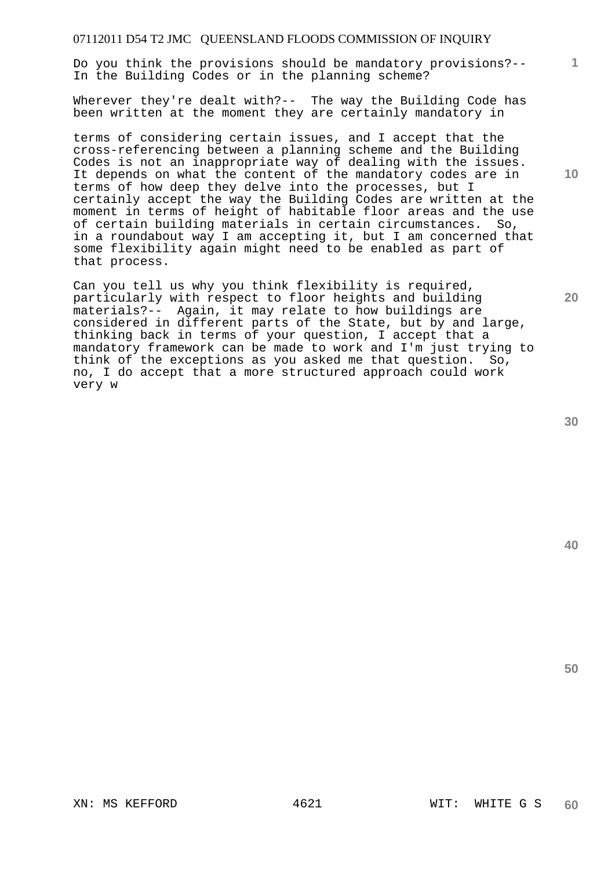Do you think the provisions should be mandatory provisions?-- In the Building Codes or in the planning scheme?

Wherever they're dealt with?-- The way the Building Code has been written at the moment they are certainly mandatory in

terms of considering certain issues, and I accept that the cross-referencing between a planning scheme and the Building Codes is not an inappropriate way of dealing with the issues. It depends on what the content of the mandatory codes are in terms of how deep they delve into the processes, but I certainly accept the way the Building Codes are written at the moment in terms of height of habitable floor areas and the use of certain building materials in certain circumstances. So, in a roundabout way I am accepting it, but I am concerned that some flexibility again might need to be enabled as part of that process.

Can you tell us why you think flexibility is required, particularly with respect to floor heights and building materials?-- Again, it may relate to how buildings are considered in different parts of the State, but by and large, thinking back in terms of your question, I accept that a mandatory framework can be made to work and I'm just trying to think of the exceptions as you asked me that question. So, no, I do accept that a more structured approach could work very w

**30** 

**20** 

**50** 

**1**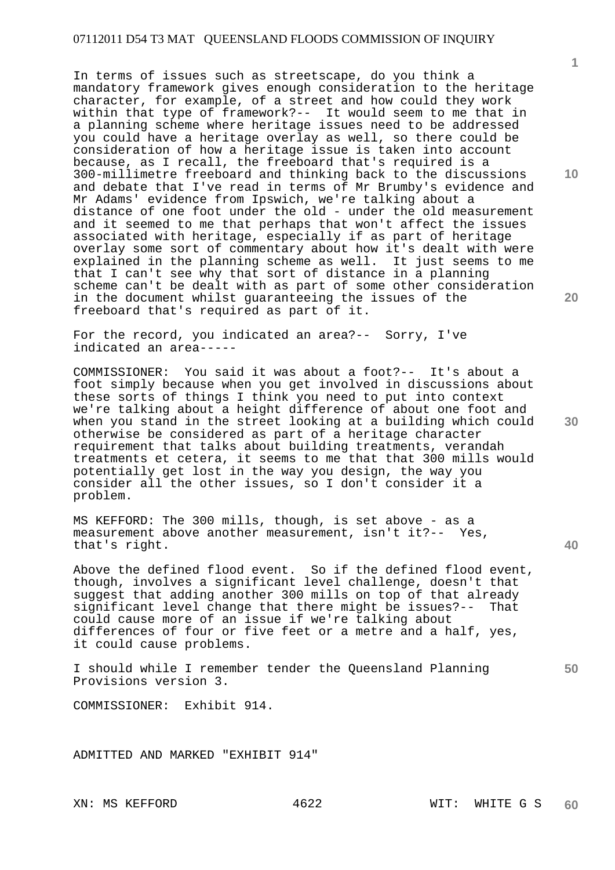In terms of issues such as streetscape, do you think a mandatory framework gives enough consideration to the heritage character, for example, of a street and how could they work within that type of framework?-- It would seem to me that in a planning scheme where heritage issues need to be addressed you could have a heritage overlay as well, so there could be consideration of how a heritage issue is taken into account because, as I recall, the freeboard that's required is a 300-millimetre freeboard and thinking back to the discussions and debate that I've read in terms of Mr Brumby's evidence and Mr Adams' evidence from Ipswich, we're talking about a distance of one foot under the old - under the old measurement and it seemed to me that perhaps that won't affect the issues associated with heritage, especially if as part of heritage overlay some sort of commentary about how it's dealt with were explained in the planning scheme as well. It just seems to me that I can't see why that sort of distance in a planning scheme can't be dealt with as part of some other consideration in the document whilst guaranteeing the issues of the freeboard that's required as part of it.

For the record, you indicated an area?-- Sorry, I've indicated an area-----

COMMISSIONER: You said it was about a foot?-- It's about a foot simply because when you get involved in discussions about these sorts of things I think you need to put into context we're talking about a height difference of about one foot and when you stand in the street looking at a building which could otherwise be considered as part of a heritage character requirement that talks about building treatments, verandah treatments et cetera, it seems to me that that 300 mills would potentially get lost in the way you design, the way you consider all the other issues, so I don't consider it a problem.

MS KEFFORD: The 300 mills, though, is set above - as a measurement above another measurement, isn't it?-- Yes, that's right.

Above the defined flood event. So if the defined flood event, though, involves a significant level challenge, doesn't that suggest that adding another 300 mills on top of that already significant level change that there might be issues?-- That could cause more of an issue if we're talking about differences of four or five feet or a metre and a half, yes, it could cause problems.

I should while I remember tender the Queensland Planning Provisions version 3.

COMMISSIONER: Exhibit 914.

ADMITTED AND MARKED "EXHIBIT 914"

**10** 

**20** 

**30** 

**40**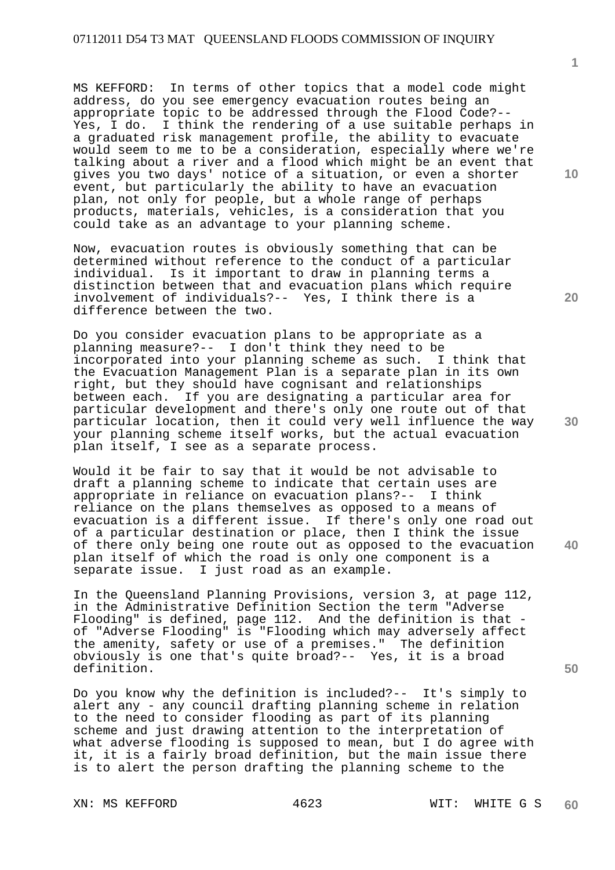MS KEFFORD: In terms of other topics that a model code might address, do you see emergency evacuation routes being an appropriate topic to be addressed through the Flood Code?-- Yes, I do. I think the rendering of a use suitable perhaps in a graduated risk management profile, the ability to evacuate would seem to me to be a consideration, especially where we're talking about a river and a flood which might be an event that gives you two days' notice of a situation, or even a shorter event, but particularly the ability to have an evacuation plan, not only for people, but a whole range of perhaps products, materials, vehicles, is a consideration that you could take as an advantage to your planning scheme.

Now, evacuation routes is obviously something that can be determined without reference to the conduct of a particular individual. Is it important to draw in planning terms a distinction between that and evacuation plans which require involvement of individuals?-- Yes, I think there is a difference between the two.

Do you consider evacuation plans to be appropriate as a planning measure?-- I don't think they need to be<br>incorporated into your planning scheme as such. I think that incorporated into your planning scheme as such. the Evacuation Management Plan is a separate plan in its own right, but they should have cognisant and relationships between each. If you are designating a particular area for particular development and there's only one route out of that particular location, then it could very well influence the way your planning scheme itself works, but the actual evacuation plan itself, I see as a separate process.

Would it be fair to say that it would be not advisable to draft a planning scheme to indicate that certain uses are appropriate in reliance on evacuation plans?-- I think reliance on the plans themselves as opposed to a means of evacuation is a different issue. If there's only one road out of a particular destination or place, then I think the issue of there only being one route out as opposed to the evacuation plan itself of which the road is only one component is a separate issue. I just road as an example.

In the Queensland Planning Provisions, version 3, at page 112, in the Administrative Definition Section the term "Adverse Flooding" is defined, page 112. And the definition is that of "Adverse Flooding" is "Flooding which may adversely affect the amenity, safety or use of a premises." The definition obviously is one that's quite broad?-- Yes, it is a broad definition.

Do you know why the definition is included?-- It's simply to alert any - any council drafting planning scheme in relation to the need to consider flooding as part of its planning scheme and just drawing attention to the interpretation of what adverse flooding is supposed to mean, but I do agree with it, it is a fairly broad definition, but the main issue there is to alert the person drafting the planning scheme to the

**1**

**20** 

**30** 

**40**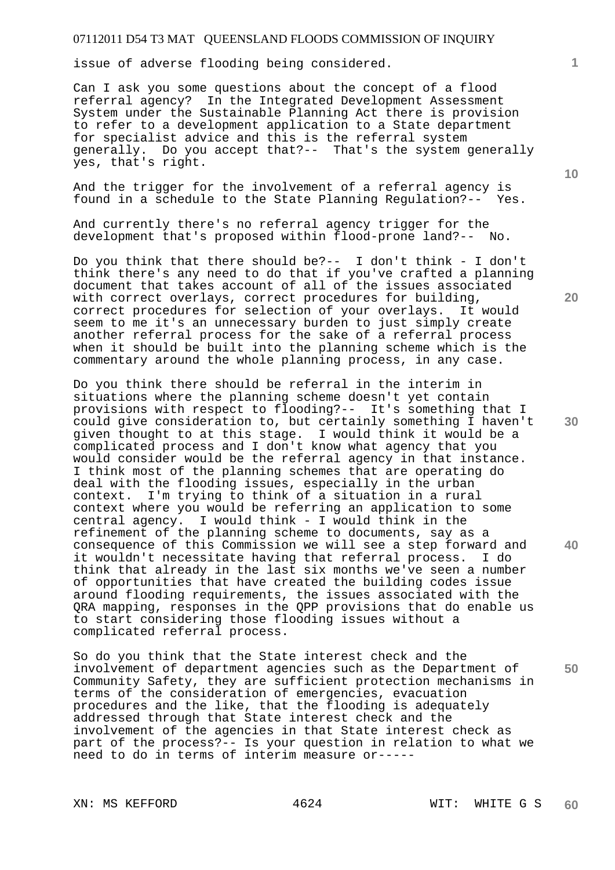issue of adverse flooding being considered.

Can I ask you some questions about the concept of a flood referral agency? In the Integrated Development Assessment System under the Sustainable Planning Act there is provision to refer to a development application to a State department for specialist advice and this is the referral system generally. Do you accept that?-- That's the system generally yes, that's right.

And the trigger for the involvement of a referral agency is found in a schedule to the State Planning Regulation?-- Yes.

And currently there's no referral agency trigger for the development that's proposed within flood-prone land?-- No.

Do you think that there should be?-- I don't think - I don't think there's any need to do that if you've crafted a planning document that takes account of all of the issues associated with correct overlays, correct procedures for building, correct procedures for selection of your overlays. It would seem to me it's an unnecessary burden to just simply create another referral process for the sake of a referral process when it should be built into the planning scheme which is the commentary around the whole planning process, in any case.

Do you think there should be referral in the interim in situations where the planning scheme doesn't yet contain provisions with respect to flooding?-- It's something that I could give consideration to, but certainly something I haven't given thought to at this stage. I would think it would be a complicated process and I don't know what agency that you would consider would be the referral agency in that instance. I think most of the planning schemes that are operating do deal with the flooding issues, especially in the urban context. I'm trying to think of a situation in a rural context where you would be referring an application to some central agency. I would think - I would think in the refinement of the planning scheme to documents, say as a consequence of this Commission we will see a step forward and it wouldn't necessitate having that referral process. I do think that already in the last six months we've seen a number of opportunities that have created the building codes issue around flooding requirements, the issues associated with the QRA mapping, responses in the QPP provisions that do enable us to start considering those flooding issues without a complicated referral process.

So do you think that the State interest check and the involvement of department agencies such as the Department of Community Safety, they are sufficient protection mechanisms in terms of the consideration of emergencies, evacuation procedures and the like, that the flooding is adequately addressed through that State interest check and the involvement of the agencies in that State interest check as part of the process?-- Is your question in relation to what we need to do in terms of interim measure or-----

**10** 

**1**

**20** 

**30** 

**40**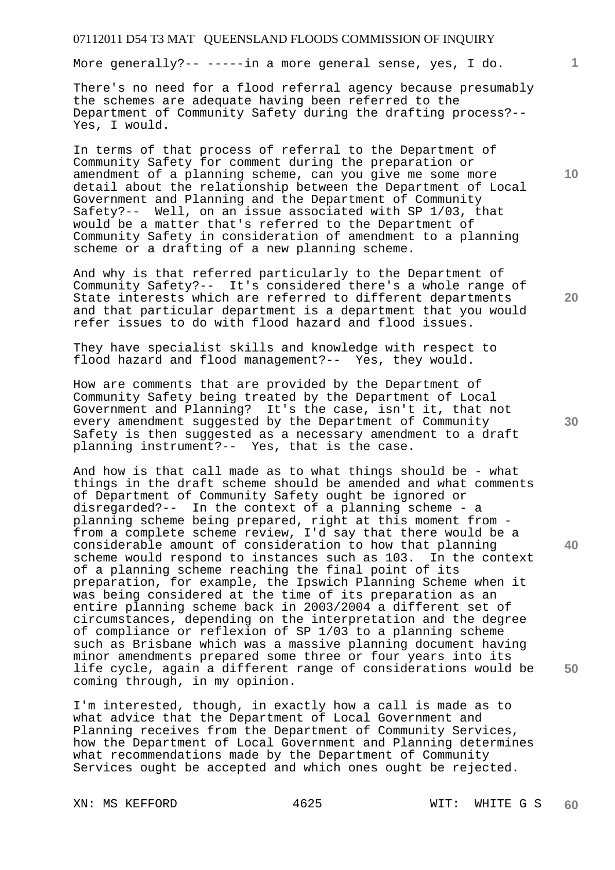More generally?-- -----in a more general sense, yes, I do.

There's no need for a flood referral agency because presumably the schemes are adequate having been referred to the Department of Community Safety during the drafting process?-- Yes, I would.

In terms of that process of referral to the Department of Community Safety for comment during the preparation or amendment of a planning scheme, can you give me some more detail about the relationship between the Department of Local Government and Planning and the Department of Community Safety?-- Well, on an issue associated with SP 1/03, that would be a matter that's referred to the Department of Community Safety in consideration of amendment to a planning scheme or a drafting of a new planning scheme.

And why is that referred particularly to the Department of Community Safety?-- It's considered there's a whole range of State interests which are referred to different departments and that particular department is a department that you would refer issues to do with flood hazard and flood issues.

They have specialist skills and knowledge with respect to flood hazard and flood management?-- Yes, they would.

How are comments that are provided by the Department of Community Safety being treated by the Department of Local Government and Planning? It's the case, isn't it, that not every amendment suggested by the Department of Community Safety is then suggested as a necessary amendment to a draft planning instrument?-- Yes, that is the case.

And how is that call made as to what things should be - what things in the draft scheme should be amended and what comments of Department of Community Safety ought be ignored or disregarded?-- In the context of a planning scheme - a planning scheme being prepared, right at this moment from from a complete scheme review, I'd say that there would be a considerable amount of consideration to how that planning scheme would respond to instances such as 103. In the context of a planning scheme reaching the final point of its preparation, for example, the Ipswich Planning Scheme when it was being considered at the time of its preparation as an entire planning scheme back in 2003/2004 a different set of circumstances, depending on the interpretation and the degree of compliance or reflexion of SP 1/03 to a planning scheme such as Brisbane which was a massive planning document having minor amendments prepared some three or four years into its life cycle, again a different range of considerations would be coming through, in my opinion.

I'm interested, though, in exactly how a call is made as to what advice that the Department of Local Government and Planning receives from the Department of Community Services, how the Department of Local Government and Planning determines what recommendations made by the Department of Community Services ought be accepted and which ones ought be rejected.

**10** 

**1**

**40**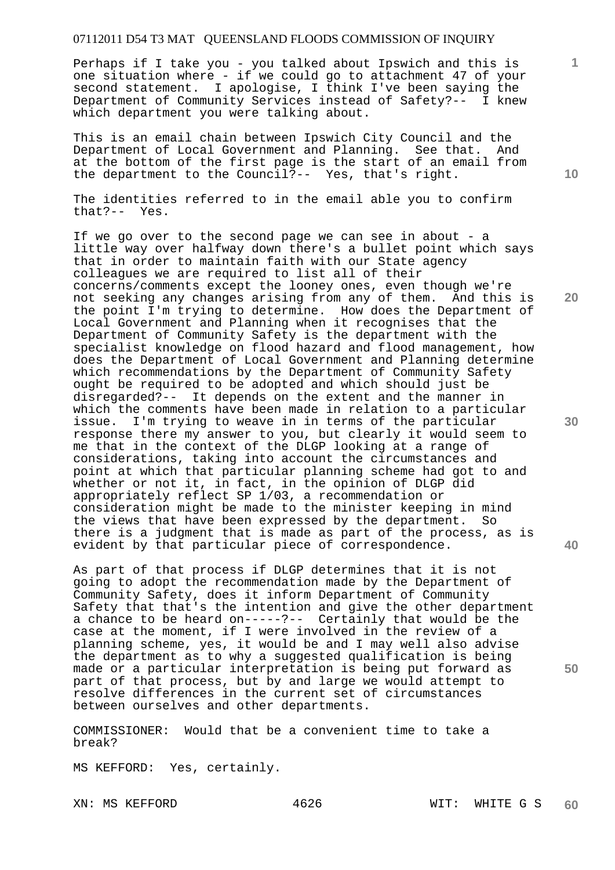Perhaps if I take you - you talked about Ipswich and this is one situation where - if we could go to attachment 47 of your second statement. I apologise, I think I've been saying the Department of Community Services instead of Safety?-- I knew which department you were talking about.

This is an email chain between Ipswich City Council and the Department of Local Government and Planning. See that. And at the bottom of the first page is the start of an email from the department to the Council?-- Yes, that's right.

The identities referred to in the email able you to confirm that?-- Yes.

If we go over to the second page we can see in about - a little way over halfway down there's a bullet point which says that in order to maintain faith with our State agency colleagues we are required to list all of their concerns/comments except the looney ones, even though we're not seeking any changes arising from any of them. And this is the point I'm trying to determine. How does the Department of Local Government and Planning when it recognises that the Department of Community Safety is the department with the specialist knowledge on flood hazard and flood management, how does the Department of Local Government and Planning determine which recommendations by the Department of Community Safety ought be required to be adopted and which should just be disregarded?-- It depends on the extent and the manner in which the comments have been made in relation to a particular issue. I'm trying to weave in in terms of the particular response there my answer to you, but clearly it would seem to me that in the context of the DLGP looking at a range of considerations, taking into account the circumstances and point at which that particular planning scheme had got to and whether or not it, in fact, in the opinion of DLGP did appropriately reflect SP 1/03, a recommendation or consideration might be made to the minister keeping in mind the views that have been expressed by the department. So there is a judgment that is made as part of the process, as is evident by that particular piece of correspondence.

As part of that process if DLGP determines that it is not going to adopt the recommendation made by the Department of Community Safety, does it inform Department of Community Safety that that's the intention and give the other department a chance to be heard on-----?-- Certainly that would be the case at the moment, if I were involved in the review of a planning scheme, yes, it would be and I may well also advise the department as to why a suggested qualification is being made or a particular interpretation is being put forward as part of that process, but by and large we would attempt to resolve differences in the current set of circumstances between ourselves and other departments.

COMMISSIONER: Would that be a convenient time to take a break?

MS KEFFORD: Yes, certainly.

**10** 

**1**

**20** 

**30** 

**40**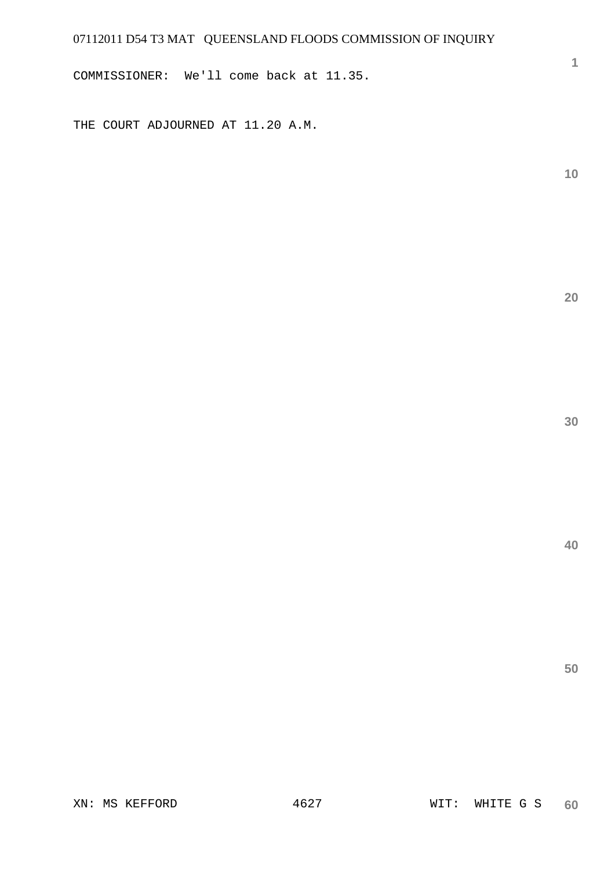COMMISSIONER: We'll come back at 11.35.

THE COURT ADJOURNED AT 11.20 A.M.

**10** 

**1**

**20** 

**30**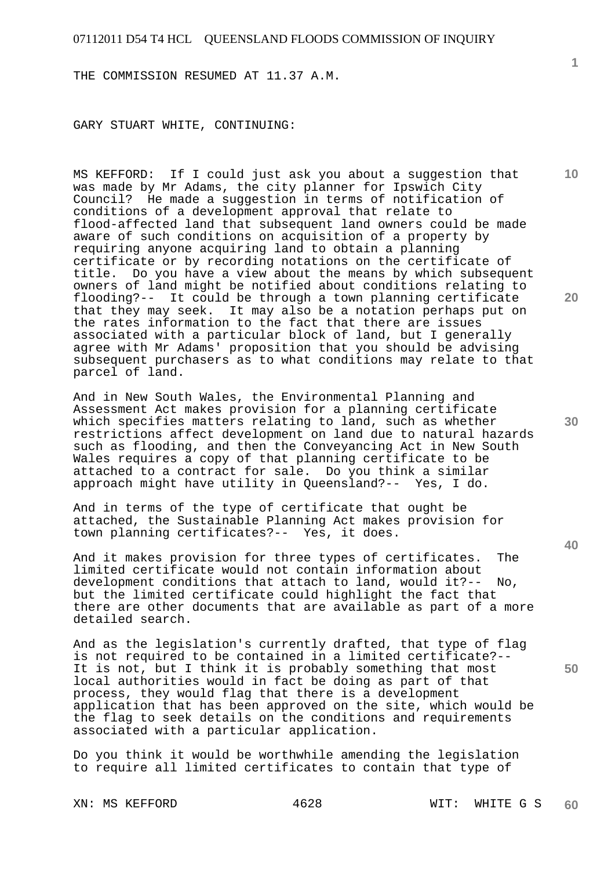THE COMMISSION RESUMED AT 11.37 A.M.

GARY STUART WHITE, CONTINUING:

MS KEFFORD: If I could just ask you about a suggestion that was made by Mr Adams, the city planner for Ipswich City Council? He made a suggestion in terms of notification of conditions of a development approval that relate to flood-affected land that subsequent land owners could be made aware of such conditions on acquisition of a property by requiring anyone acquiring land to obtain a planning certificate or by recording notations on the certificate of title. Do you have a view about the means by which subsequent owners of land might be notified about conditions relating to flooding?-- It could be through a town planning certificate that they may seek. It may also be a notation perhaps put on the rates information to the fact that there are issues associated with a particular block of land, but I generally agree with Mr Adams' proposition that you should be advising subsequent purchasers as to what conditions may relate to that parcel of land.

And in New South Wales, the Environmental Planning and Assessment Act makes provision for a planning certificate which specifies matters relating to land, such as whether restrictions affect development on land due to natural hazards such as flooding, and then the Conveyancing Act in New South Wales requires a copy of that planning certificate to be attached to a contract for sale. Do you think a similar approach might have utility in Queensland?-- Yes, I do.

And in terms of the type of certificate that ought be attached, the Sustainable Planning Act makes provision for town planning certificates?-- Yes, it does.

And it makes provision for three types of certificates. The limited certificate would not contain information about development conditions that attach to land, would it?-- No, but the limited certificate could highlight the fact that there are other documents that are available as part of a more detailed search.

And as the legislation's currently drafted, that type of flag is not required to be contained in a limited certificate?-- It is not, but I think it is probably something that most local authorities would in fact be doing as part of that process, they would flag that there is a development application that has been approved on the site, which would be the flag to seek details on the conditions and requirements associated with a particular application.

Do you think it would be worthwhile amending the legislation to require all limited certificates to contain that type of

**1**

**20** 

**10** 

**40** 

**50**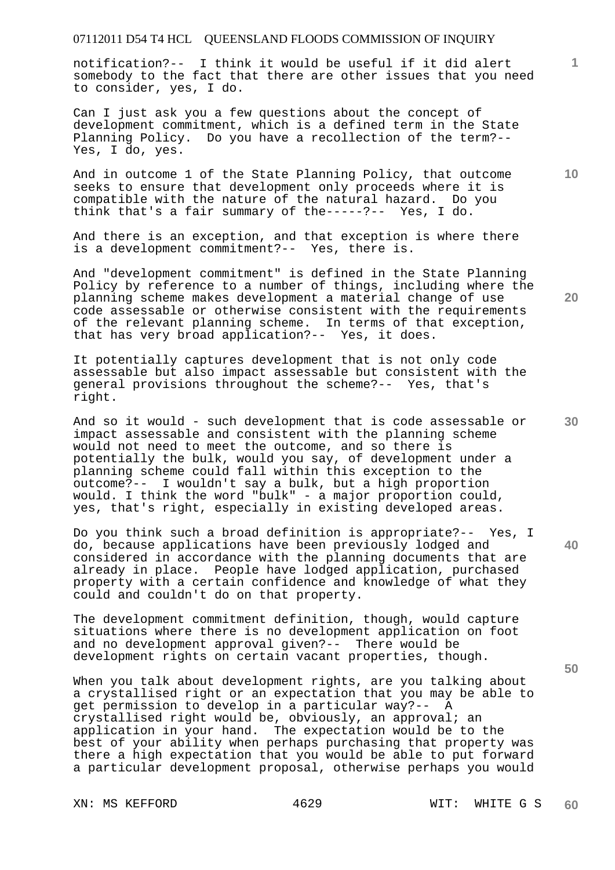notification?-- I think it would be useful if it did alert somebody to the fact that there are other issues that you need to consider, yes, I do.

Can I just ask you a few questions about the concept of development commitment, which is a defined term in the State Planning Policy. Do you have a recollection of the term?-- Yes, I do, yes.

And in outcome 1 of the State Planning Policy, that outcome seeks to ensure that development only proceeds where it is compatible with the nature of the natural hazard. Do you think that's a fair summary of the-----?-- Yes, I do.

And there is an exception, and that exception is where there is a development commitment?-- Yes, there is.

And "development commitment" is defined in the State Planning Policy by reference to a number of things, including where the planning scheme makes development a material change of use code assessable or otherwise consistent with the requirements of the relevant planning scheme. In terms of that exception, that has very broad application?-- Yes, it does.

It potentially captures development that is not only code assessable but also impact assessable but consistent with the general provisions throughout the scheme?-- Yes, that's right.

And so it would - such development that is code assessable or impact assessable and consistent with the planning scheme would not need to meet the outcome, and so there is potentially the bulk, would you say, of development under a planning scheme could fall within this exception to the outcome?-- I wouldn't say a bulk, but a high proportion would. I think the word "bulk" - a major proportion could, yes, that's right, especially in existing developed areas.

Do you think such a broad definition is appropriate?-- Yes, I do, because applications have been previously lodged and considered in accordance with the planning documents that are already in place. People have lodged application, purchased property with a certain confidence and knowledge of what they could and couldn't do on that property.

The development commitment definition, though, would capture situations where there is no development application on foot and no development approval given?-- There would be development rights on certain vacant properties, though.

When you talk about development rights, are you talking about a crystallised right or an expectation that you may be able to get permission to develop in a particular way?-- A crystallised right would be, obviously, an approval; an application in your hand. The expectation would be to the best of your ability when perhaps purchasing that property was there a high expectation that you would be able to put forward a particular development proposal, otherwise perhaps you would

XN: MS KEFFORD 4629 WIT: WHITE G S

**10** 

**1**

**30** 

**20** 

**40**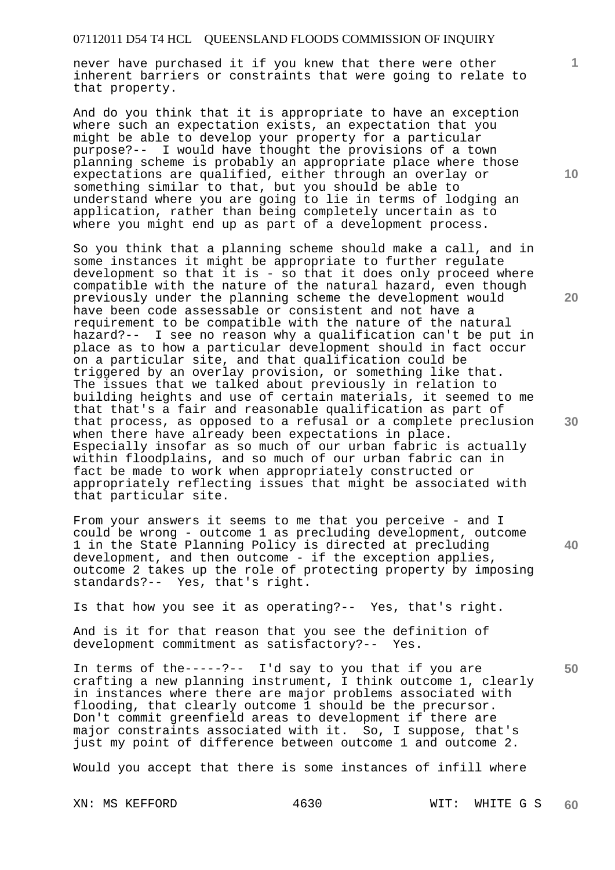never have purchased it if you knew that there were other inherent barriers or constraints that were going to relate to that property.

And do you think that it is appropriate to have an exception where such an expectation exists, an expectation that you might be able to develop your property for a particular purpose?-- I would have thought the provisions of a town planning scheme is probably an appropriate place where those expectations are qualified, either through an overlay or something similar to that, but you should be able to understand where you are going to lie in terms of lodging an application, rather than being completely uncertain as to where you might end up as part of a development process.

So you think that a planning scheme should make a call, and in some instances it might be appropriate to further regulate development so that it is - so that it does only proceed where compatible with the nature of the natural hazard, even though previously under the planning scheme the development would have been code assessable or consistent and not have a requirement to be compatible with the nature of the natural hazard?-- I see no reason why a qualification can't be put in place as to how a particular development should in fact occur on a particular site, and that qualification could be triggered by an overlay provision, or something like that. The issues that we talked about previously in relation to building heights and use of certain materials, it seemed to me that that's a fair and reasonable qualification as part of that process, as opposed to a refusal or a complete preclusion when there have already been expectations in place. Especially insofar as so much of our urban fabric is actually within floodplains, and so much of our urban fabric can in fact be made to work when appropriately constructed or appropriately reflecting issues that might be associated with that particular site.

From your answers it seems to me that you perceive - and I could be wrong - outcome 1 as precluding development, outcome 1 in the State Planning Policy is directed at precluding development, and then outcome - if the exception applies, outcome 2 takes up the role of protecting property by imposing standards?-- Yes, that's right.

Is that how you see it as operating?-- Yes, that's right.

And is it for that reason that you see the definition of development commitment as satisfactory?-- Yes.

In terms of the-----?-- I'd say to you that if you are crafting a new planning instrument, I think outcome 1, clearly in instances where there are major problems associated with flooding, that clearly outcome 1 should be the precursor. Don't commit greenfield areas to development if there are major constraints associated with it. So, I suppose, that's just my point of difference between outcome 1 and outcome 2.

Would you accept that there is some instances of infill where

**10** 

**1**

**20** 

**30** 

**40**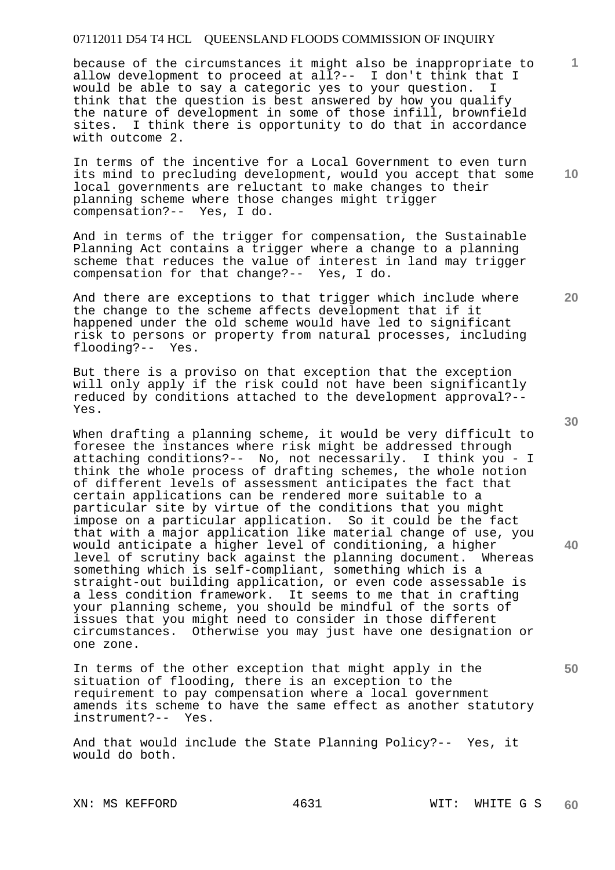because of the circumstances it might also be inappropriate to allow development to proceed at all?-- I don't think that I would be able to say a categoric yes to your question. I think that the question is best answered by how you qualify the nature of development in some of those infill, brownfield sites. I think there is opportunity to do that in accordance with outcome 2.

In terms of the incentive for a Local Government to even turn its mind to precluding development, would you accept that some local governments are reluctant to make changes to their planning scheme where those changes might trigger compensation?-- Yes, I do.

And in terms of the trigger for compensation, the Sustainable Planning Act contains a trigger where a change to a planning scheme that reduces the value of interest in land may trigger compensation for that change?-- Yes, I do.

And there are exceptions to that trigger which include where the change to the scheme affects development that if it happened under the old scheme would have led to significant risk to persons or property from natural processes, including flooding?-- Yes.

But there is a proviso on that exception that the exception will only apply if the risk could not have been significantly reduced by conditions attached to the development approval?-- Yes.

When drafting a planning scheme, it would be very difficult to foresee the instances where risk might be addressed through attaching conditions?-- No, not necessarily. I think you - I think the whole process of drafting schemes, the whole notion of different levels of assessment anticipates the fact that certain applications can be rendered more suitable to a particular site by virtue of the conditions that you might impose on a particular application. So it could be the fact that with a major application like material change of use, you would anticipate a higher level of conditioning, a higher level of scrutiny back against the planning document. Whereas something which is self-compliant, something which is a straight-out building application, or even code assessable is a less condition framework. It seems to me that in crafting your planning scheme, you should be mindful of the sorts of issues that you might need to consider in those different circumstances. Otherwise you may just have one designation or one zone.

In terms of the other exception that might apply in the situation of flooding, there is an exception to the requirement to pay compensation where a local government amends its scheme to have the same effect as another statutory instrument?-- Yes.

And that would include the State Planning Policy?-- Yes, it would do both.

**30** 

**40** 

**50** 

**20** 

**10**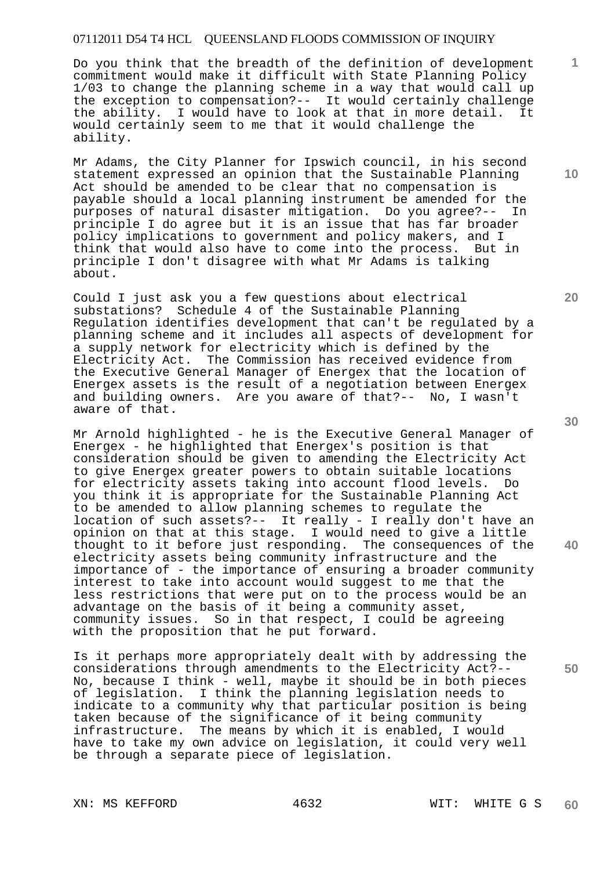Do you think that the breadth of the definition of development commitment would make it difficult with State Planning Policy 1/03 to change the planning scheme in a way that would call up the exception to compensation?-- It would certainly challenge the ability. I would have to look at that in more detail. It would certainly seem to me that it would challenge the ability.

Mr Adams, the City Planner for Ipswich council, in his second statement expressed an opinion that the Sustainable Planning Act should be amended to be clear that no compensation is payable should a local planning instrument be amended for the purposes of natural disaster mitigation. Do you agree?-- In principle I do agree but it is an issue that has far broader policy implications to government and policy makers, and I think that would also have to come into the process. But in principle I don't disagree with what Mr Adams is talking about.

Could I just ask you a few questions about electrical substations? Schedule 4 of the Sustainable Planning Regulation identifies development that can't be regulated by a planning scheme and it includes all aspects of development for a supply network for electricity which is defined by the Electricity Act. The Commission has received evidence from the Executive General Manager of Energex that the location of Energex assets is the result of a negotiation between Energex and building owners. Are you aware of that?-- No, I wasn't aware of that.

Mr Arnold highlighted - he is the Executive General Manager of Energex - he highlighted that Energex's position is that consideration should be given to amending the Electricity Act to give Energex greater powers to obtain suitable locations for electricity assets taking into account flood levels. Do you think it is appropriate for the Sustainable Planning Act to be amended to allow planning schemes to regulate the location of such assets?-- It really - I really don't have an opinion on that at this stage. I would need to give a little thought to it before just responding. The consequences of the electricity assets being community infrastructure and the importance of - the importance of ensuring a broader community interest to take into account would suggest to me that the less restrictions that were put on to the process would be an advantage on the basis of it being a community asset, community issues. So in that respect, I could be agreeing with the proposition that he put forward.

Is it perhaps more appropriately dealt with by addressing the considerations through amendments to the Electricity Act?-- No, because I think - well, maybe it should be in both pieces of legislation. I think the planning legislation needs to indicate to a community why that particular position is being taken because of the significance of it being community<br>infrastructure. The means by which it is enabled, I wow The means by which it is enabled, I would have to take my own advice on legislation, it could very well be through a separate piece of legislation.

**20** 

**40** 

**50** 

**10**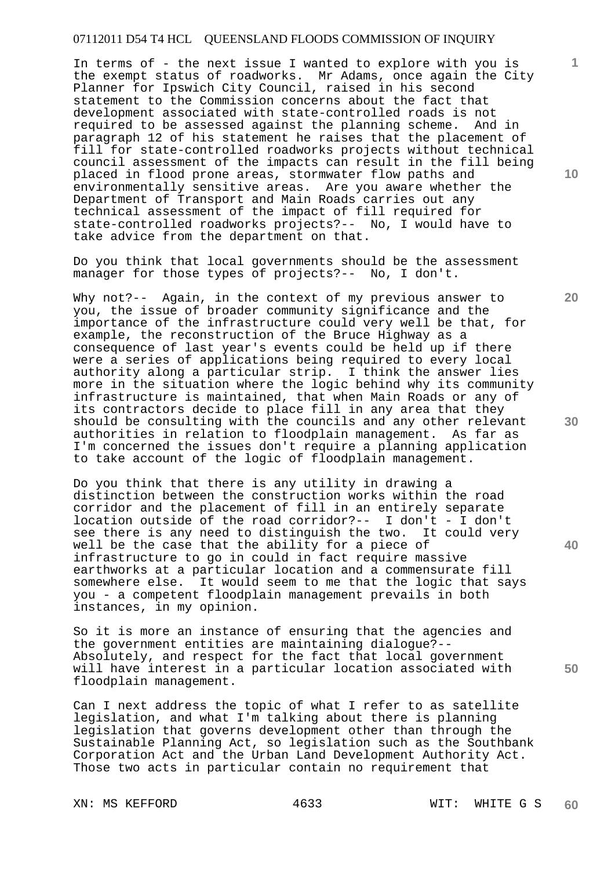In terms of - the next issue I wanted to explore with you is the exempt status of roadworks. Mr Adams, once again the City Planner for Ipswich City Council, raised in his second statement to the Commission concerns about the fact that development associated with state-controlled roads is not required to be assessed against the planning scheme. And in paragraph 12 of his statement he raises that the placement of fill for state-controlled roadworks projects without technical council assessment of the impacts can result in the fill being placed in flood prone areas, stormwater flow paths and environmentally sensitive areas. Are you aware whether the Department of Transport and Main Roads carries out any technical assessment of the impact of fill required for state-controlled roadworks projects?-- No, I would have to take advice from the department on that.

Do you think that local governments should be the assessment manager for those types of projects?-- No, I don't.

Why not?-- Again, in the context of my previous answer to you, the issue of broader community significance and the importance of the infrastructure could very well be that, for example, the reconstruction of the Bruce Highway as a consequence of last year's events could be held up if there were a series of applications being required to every local authority along a particular strip. I think the answer lies more in the situation where the logic behind why its community infrastructure is maintained, that when Main Roads or any of its contractors decide to place fill in any area that they should be consulting with the councils and any other relevant authorities in relation to floodplain management. As far as I'm concerned the issues don't require a planning application to take account of the logic of floodplain management.

Do you think that there is any utility in drawing a distinction between the construction works within the road corridor and the placement of fill in an entirely separate location outside of the road corridor?-- I don't - I don't see there is any need to distinguish the two. It could very well be the case that the ability for a piece of infrastructure to go in could in fact require massive earthworks at a particular location and a commensurate fill somewhere else. It would seem to me that the logic that says you - a competent floodplain management prevails in both instances, in my opinion.

So it is more an instance of ensuring that the agencies and the government entities are maintaining dialogue?-- Absolutely, and respect for the fact that local government will have interest in a particular location associated with floodplain management.

Can I next address the topic of what I refer to as satellite legislation, and what I'm talking about there is planning legislation that governs development other than through the Sustainable Planning Act, so legislation such as the Southbank Corporation Act and the Urban Land Development Authority Act. Those two acts in particular contain no requirement that

**10** 

**1**

**20** 

**30** 

**40**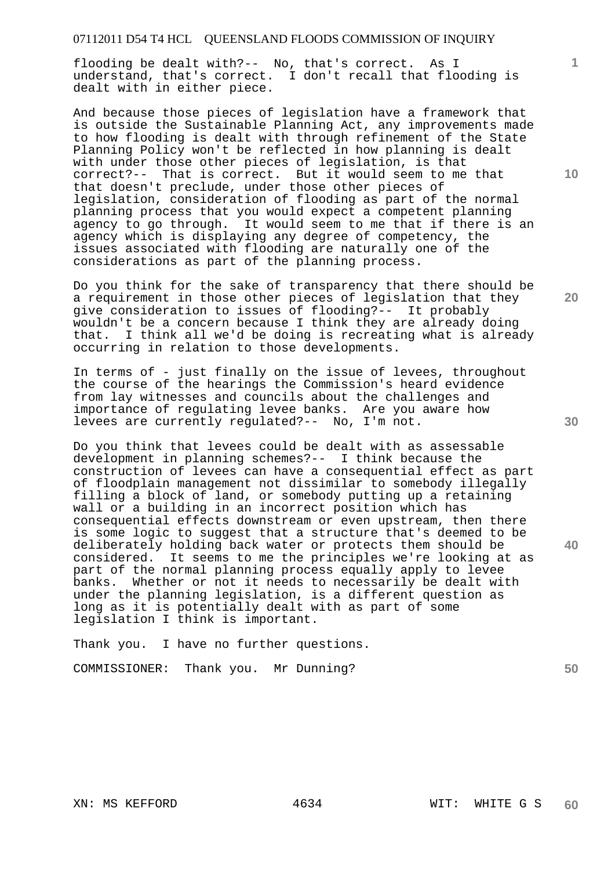flooding be dealt with?-- No, that's correct. As I understand, that's correct. I don't recall that flooding is dealt with in either piece.

And because those pieces of legislation have a framework that is outside the Sustainable Planning Act, any improvements made to how flooding is dealt with through refinement of the State Planning Policy won't be reflected in how planning is dealt with under those other pieces of legislation, is that correct?-- That is correct. But it would seem to me that that doesn't preclude, under those other pieces of legislation, consideration of flooding as part of the normal planning process that you would expect a competent planning agency to go through. It would seem to me that if there is an agency which is displaying any degree of competency, the issues associated with flooding are naturally one of the considerations as part of the planning process.

Do you think for the sake of transparency that there should be a requirement in those other pieces of legislation that they give consideration to issues of flooding?-- It probably wouldn't be a concern because I think they are already doing that. I think all we'd be doing is recreating what is already occurring in relation to those developments.

In terms of - just finally on the issue of levees, throughout the course of the hearings the Commission's heard evidence from lay witnesses and councils about the challenges and importance of regulating levee banks. Are you aware how levees are currently regulated?-- No, I'm not.

Do you think that levees could be dealt with as assessable development in planning schemes?-- I think because the construction of levees can have a consequential effect as part of floodplain management not dissimilar to somebody illegally filling a block of land, or somebody putting up a retaining wall or a building in an incorrect position which has consequential effects downstream or even upstream, then there is some logic to suggest that a structure that's deemed to be deliberately holding back water or protects them should be considered. It seems to me the principles we're looking at as part of the normal planning process equally apply to levee banks. Whether or not it needs to necessarily be dealt with under the planning legislation, is a different question as long as it is potentially dealt with as part of some legislation I think is important.

Thank you. I have no further questions.

COMMISSIONER: Thank you. Mr Dunning?

**10** 

**1**

**20** 

**30** 

**40**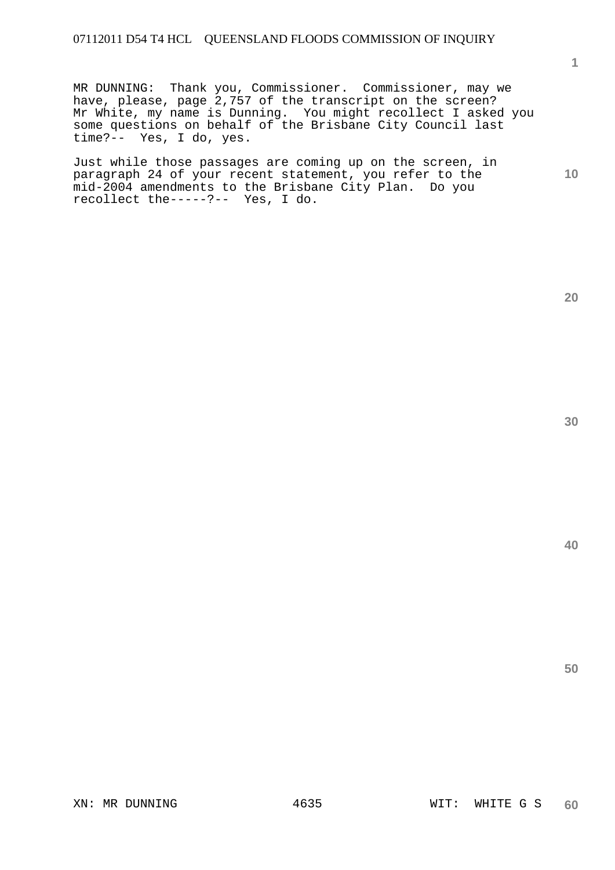MR DUNNING: Thank you, Commissioner. Commissioner, may we have, please, page 2,757 of the transcript on the screen? Mr White, my name is Dunning. You might recollect I asked you some questions on behalf of the Brisbane City Council last time?-- Yes, I do, yes.

Just while those passages are coming up on the screen, in paragraph 24 of your recent statement, you refer to the mid-2004 amendments to the Brisbane City Plan. Do you recollect the-----?-- Yes, I do.

**1**

**10** 

**30**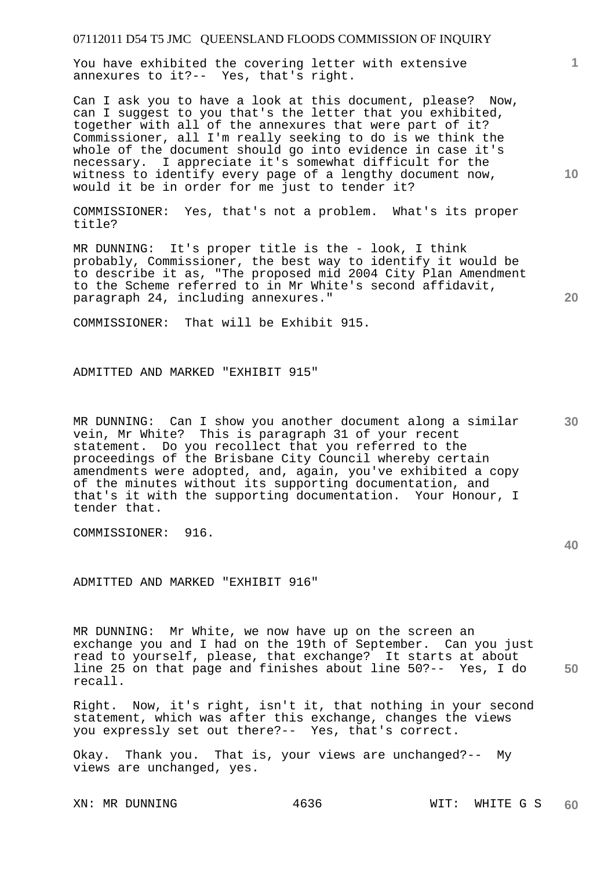You have exhibited the covering letter with extensive annexures to it?-- Yes, that's right.

Can I ask you to have a look at this document, please? Now, can I suggest to you that's the letter that you exhibited, together with all of the annexures that were part of it? Commissioner, all I'm really seeking to do is we think the whole of the document should go into evidence in case it's necessary. I appreciate it's somewhat difficult for the witness to identify every page of a lengthy document now, would it be in order for me just to tender it?

COMMISSIONER: Yes, that's not a problem. What's its proper title?

MR DUNNING: It's proper title is the - look, I think probably, Commissioner, the best way to identify it would be to describe it as, "The proposed mid 2004 City Plan Amendment to the Scheme referred to in Mr White's second affidavit, paragraph 24, including annexures."

COMMISSIONER: That will be Exhibit 915.

ADMITTED AND MARKED "EXHIBIT 915"

**30**  MR DUNNING: Can I show you another document along a similar vein, Mr White? This is paragraph 31 of your recent statement. Do you recollect that you referred to the proceedings of the Brisbane City Council whereby certain amendments were adopted, and, again, you've exhibited a copy of the minutes without its supporting documentation, and that's it with the supporting documentation. Your Honour, I tender that.

COMMISSIONER: 916.

ADMITTED AND MARKED "EXHIBIT 916"

**50**  MR DUNNING: Mr White, we now have up on the screen an exchange you and I had on the 19th of September. Can you just read to yourself, please, that exchange? It starts at about line 25 on that page and finishes about line 50?-- Yes, I do recall.

Right. Now, it's right, isn't it, that nothing in your second statement, which was after this exchange, changes the views you expressly set out there?-- Yes, that's correct.

Okay. Thank you. That is, your views are unchanged?-- My views are unchanged, yes.

**10** 

**1**

**20**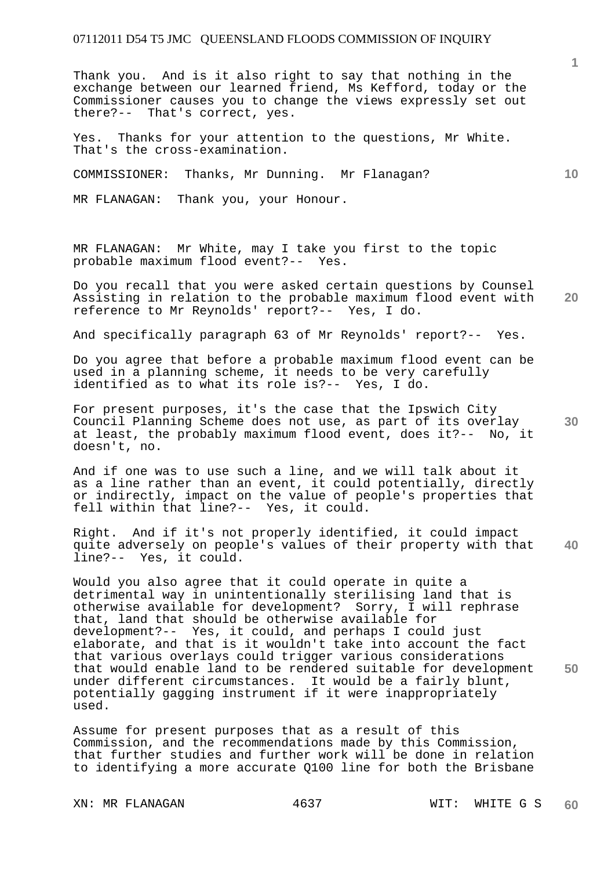Thank you. And is it also right to say that nothing in the exchange between our learned friend, Ms Kefford, today or the Commissioner causes you to change the views expressly set out there?-- That's correct, yes.

Yes. Thanks for your attention to the questions, Mr White. That's the cross-examination.

COMMISSIONER: Thanks, Mr Dunning. Mr Flanagan?

MR FLANAGAN: Thank you, your Honour.

MR FLANAGAN: Mr White, may I take you first to the topic probable maximum flood event?-- Yes.

**20**  Do you recall that you were asked certain questions by Counsel Assisting in relation to the probable maximum flood event with reference to Mr Reynolds' report?-- Yes, I do.

And specifically paragraph 63 of Mr Reynolds' report?-- Yes.

Do you agree that before a probable maximum flood event can be used in a planning scheme, it needs to be very carefully identified as to what its role is?-- Yes, I do.

**30**  For present purposes, it's the case that the Ipswich City Council Planning Scheme does not use, as part of its overlay at least, the probably maximum flood event, does it?-- No, it doesn't, no.

And if one was to use such a line, and we will talk about it as a line rather than an event, it could potentially, directly or indirectly, impact on the value of people's properties that fell within that line?-- Yes, it could.

**40**  Right. And if it's not properly identified, it could impact quite adversely on people's values of their property with that line?-- Yes, it could.

**50**  Would you also agree that it could operate in quite a detrimental way in unintentionally sterilising land that is otherwise available for development? Sorry, I will rephrase that, land that should be otherwise available for development?-- Yes, it could, and perhaps I could just elaborate, and that is it wouldn't take into account the fact that various overlays could trigger various considerations that would enable land to be rendered suitable for development under different circumstances. It would be a fairly blunt, potentially gagging instrument if it were inappropriately used.

Assume for present purposes that as a result of this Commission, and the recommendations made by this Commission, that further studies and further work will be done in relation to identifying a more accurate Q100 line for both the Brisbane

XN: MR FLANAGAN 4637 WIT: WHITE G S

**1**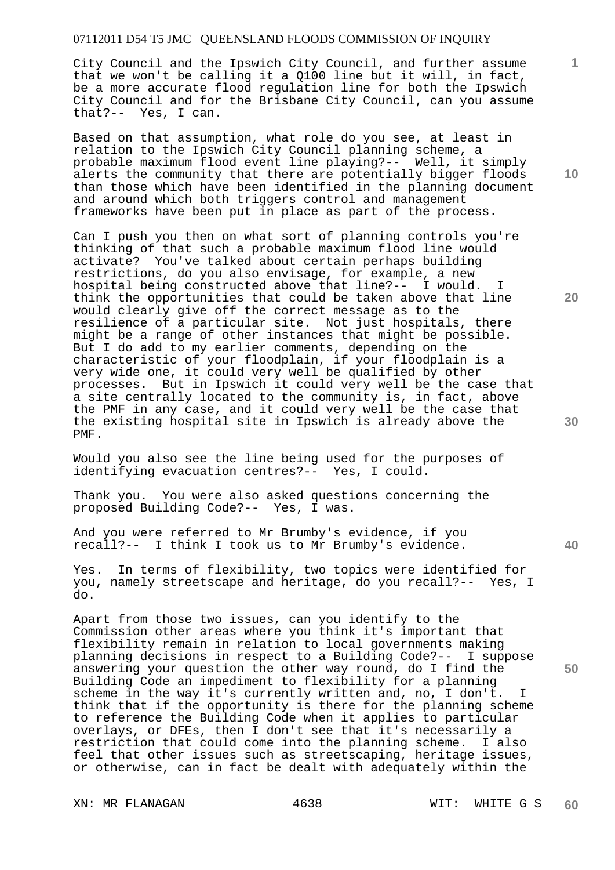City Council and the Ipswich City Council, and further assume that we won't be calling it a Q100 line but it will, in fact, be a more accurate flood regulation line for both the Ipswich City Council and for the Brisbane City Council, can you assume that?-- Yes, I can.

Based on that assumption, what role do you see, at least in relation to the Ipswich City Council planning scheme, a probable maximum flood event line playing?-- Well, it simply alerts the community that there are potentially bigger floods than those which have been identified in the planning document and around which both triggers control and management frameworks have been put in place as part of the process.

Can I push you then on what sort of planning controls you're thinking of that such a probable maximum flood line would activate? You've talked about certain perhaps building restrictions, do you also envisage, for example, a new hospital being constructed above that line?-- I would. I think the opportunities that could be taken above that line would clearly give off the correct message as to the resilience of a particular site. Not just hospitals, there might be a range of other instances that might be possible. But I do add to my earlier comments, depending on the characteristic of your floodplain, if your floodplain is a very wide one, it could very well be qualified by other processes. But in Ipswich it could very well be the case that a site centrally located to the community is, in fact, above the PMF in any case, and it could very well be the case that the existing hospital site in Ipswich is already above the PMF.

Would you also see the line being used for the purposes of identifying evacuation centres?-- Yes, I could.

Thank you. You were also asked questions concerning the proposed Building Code?-- Yes, I was. proposed Building Code?--

And you were referred to Mr Brumby's evidence, if you recall?-- I think I took us to Mr Brumby's evidence.

Yes. In terms of flexibility, two topics were identified for you, namely streetscape and heritage, do you recall?-- Yes, I do.

Apart from those two issues, can you identify to the Commission other areas where you think it's important that flexibility remain in relation to local governments making planning decisions in respect to a Building Code?-- I suppose answering your question the other way round, do I find the Building Code an impediment to flexibility for a planning scheme in the way it's currently written and, no, I don't. I think that if the opportunity is there for the planning scheme to reference the Building Code when it applies to particular overlays, or DFEs, then I don't see that it's necessarily a restriction that could come into the planning scheme. I also feel that other issues such as streetscaping, heritage issues, or otherwise, can in fact be dealt with adequately within the

XN: MR FLANAGAN 4638 WIT: WHITE G S

**10** 

**1**

**20** 

**40**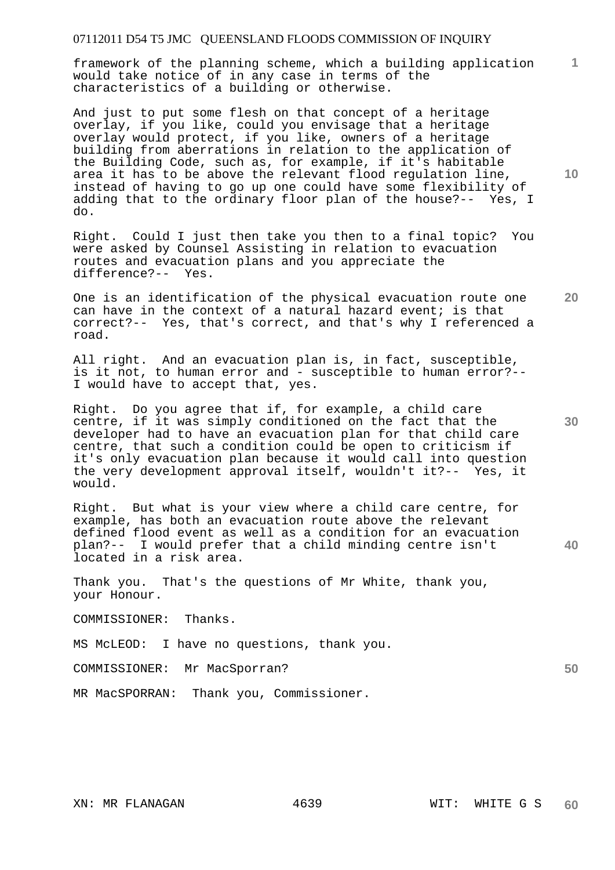**1** framework of the planning scheme, which a building application would take notice of in any case in terms of the characteristics of a building or otherwise.

And just to put some flesh on that concept of a heritage overlay, if you like, could you envisage that a heritage overlay would protect, if you like, owners of a heritage building from aberrations in relation to the application of the Building Code, such as, for example, if it's habitable area it has to be above the relevant flood regulation line, instead of having to go up one could have some flexibility of adding that to the ordinary floor plan of the house?-- Yes, I do.

Right. Could I just then take you then to a final topic? You were asked by Counsel Assisting in relation to evacuation routes and evacuation plans and you appreciate the difference?-- Yes.

One is an identification of the physical evacuation route one can have in the context of a natural hazard event; is that correct?-- Yes, that's correct, and that's why I referenced a road.

All right. And an evacuation plan is, in fact, susceptible, is it not, to human error and - susceptible to human error?-- I would have to accept that, yes.

Right. Do you agree that if, for example, a child care centre, if it was simply conditioned on the fact that the developer had to have an evacuation plan for that child care centre, that such a condition could be open to criticism if it's only evacuation plan because it would call into question the very development approval itself, wouldn't it?-- Yes, it would.

Right. But what is your view where a child care centre, for example, has both an evacuation route above the relevant defined flood event as well as a condition for an evacuation plan?-- I would prefer that a child minding centre isn't located in a risk area.

Thank you. That's the questions of Mr White, thank you, your Honour.

COMMISSIONER: Thanks.

MS McLEOD: I have no questions, thank you.

COMMISSIONER: Mr MacSporran?

MR MacSPORRAN: Thank you, Commissioner.

**10** 

**30** 

**20** 

**40**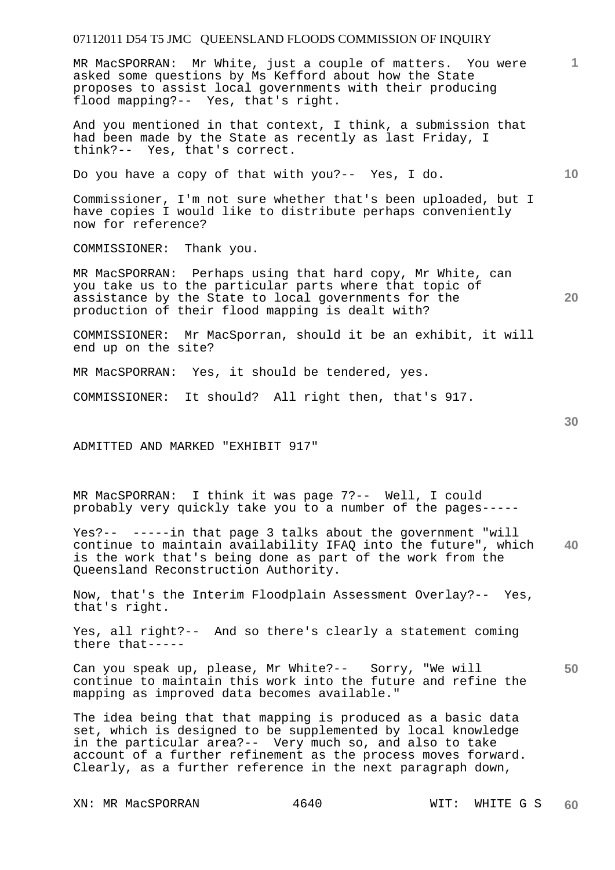MR MacSPORRAN: Mr White, just a couple of matters. You were asked some questions by Ms Kefford about how the State proposes to assist local governments with their producing flood mapping?-- Yes, that's right.

And you mentioned in that context, I think, a submission that had been made by the State as recently as last Friday, I think?-- Yes, that's correct.

Do you have a copy of that with you?-- Yes, I do.

Commissioner, I'm not sure whether that's been uploaded, but I have copies I would like to distribute perhaps conveniently now for reference?

COMMISSIONER: Thank you.

MR MacSPORRAN: Perhaps using that hard copy, Mr White, can you take us to the particular parts where that topic of assistance by the State to local governments for the production of their flood mapping is dealt with?

COMMISSIONER: Mr MacSporran, should it be an exhibit, it will end up on the site?

MR MacSPORRAN: Yes, it should be tendered, yes.

COMMISSIONER: It should? All right then, that's 917.

ADMITTED AND MARKED "EXHIBIT 917"

MR MacSPORRAN: I think it was page 7?-- Well, I could probably very quickly take you to a number of the pages-----

**40**  Yes?-- -----in that page 3 talks about the government "will continue to maintain availability IFAQ into the future", which is the work that's being done as part of the work from the Queensland Reconstruction Authority.

Now, that's the Interim Floodplain Assessment Overlay?-- Yes, that's right.

Yes, all right?-- And so there's clearly a statement coming there that-----

**50**  Can you speak up, please, Mr White?-- Sorry, "We will continue to maintain this work into the future and refine the mapping as improved data becomes available."

The idea being that that mapping is produced as a basic data set, which is designed to be supplemented by local knowledge in the particular area?-- Very much so, and also to take account of a further refinement as the process moves forward. Clearly, as a further reference in the next paragraph down,

XN: MR MacSPORRAN 4640 WIT: WHITE G S

**20** 

**10**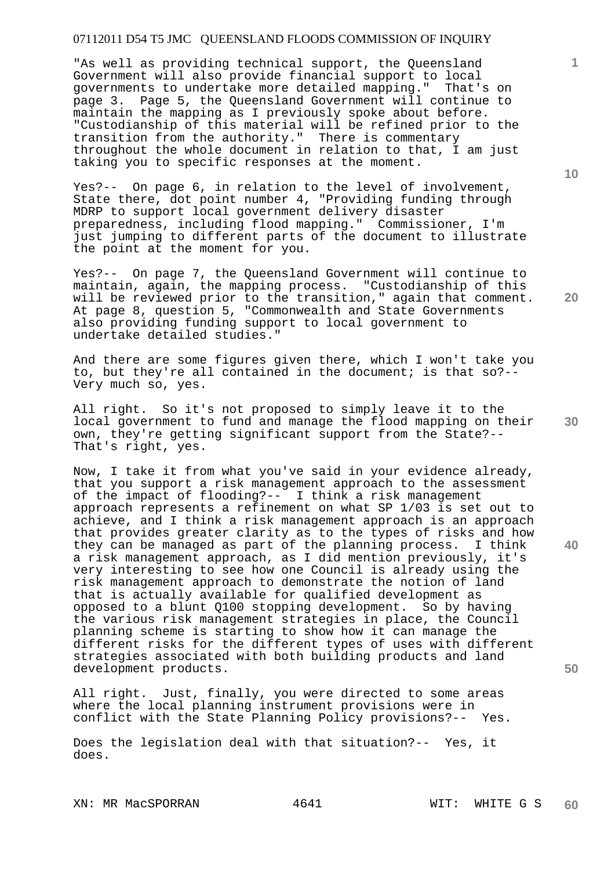"As well as providing technical support, the Oueensland Government will also provide financial support to local governments to undertake more detailed mapping." That's on page 3. Page 5, the Queensland Government will continue to maintain the mapping as I previously spoke about before. "Custodianship of this material will be refined prior to the transition from the authority." There is commentary throughout the whole document in relation to that, I am just taking you to specific responses at the moment.

Yes?-- On page 6, in relation to the level of involvement, State there, dot point number 4, "Providing funding through MDRP to support local government delivery disaster preparedness, including flood mapping." Commissioner, I'm just jumping to different parts of the document to illustrate the point at the moment for you.

Yes?-- On page 7, the Queensland Government will continue to maintain, again, the mapping process. "Custodianship of this will be reviewed prior to the transition," again that comment. At page 8, question 5, "Commonwealth and State Governments also providing funding support to local government to undertake detailed studies."

And there are some figures given there, which I won't take you to, but they're all contained in the document; is that so?-- Very much so, yes.

All right. So it's not proposed to simply leave it to the local government to fund and manage the flood mapping on their own, they're getting significant support from the State?-- That's right, yes.

Now, I take it from what you've said in your evidence already, that you support a risk management approach to the assessment of the impact of flooding?-- I think a risk management approach represents a refinement on what SP 1/03 is set out to achieve, and I think a risk management approach is an approach that provides greater clarity as to the types of risks and how they can be managed as part of the planning process. I think a risk management approach, as I did mention previously, it's very interesting to see how one Council is already using the risk management approach to demonstrate the notion of land that is actually available for qualified development as opposed to a blunt Q100 stopping development. So by having the various risk management strategies in place, the Council planning scheme is starting to show how it can manage the different risks for the different types of uses with different strategies associated with both building products and land development products.

All right. Just, finally, you were directed to some areas where the local planning instrument provisions were in conflict with the State Planning Policy provisions?-- Yes.

Does the legislation deal with that situation?-- Yes, it does.

XN: MR MacSPORRAN 4641 WIT: WHITE G S

**10** 

**1**

**20** 

**40** 

**30**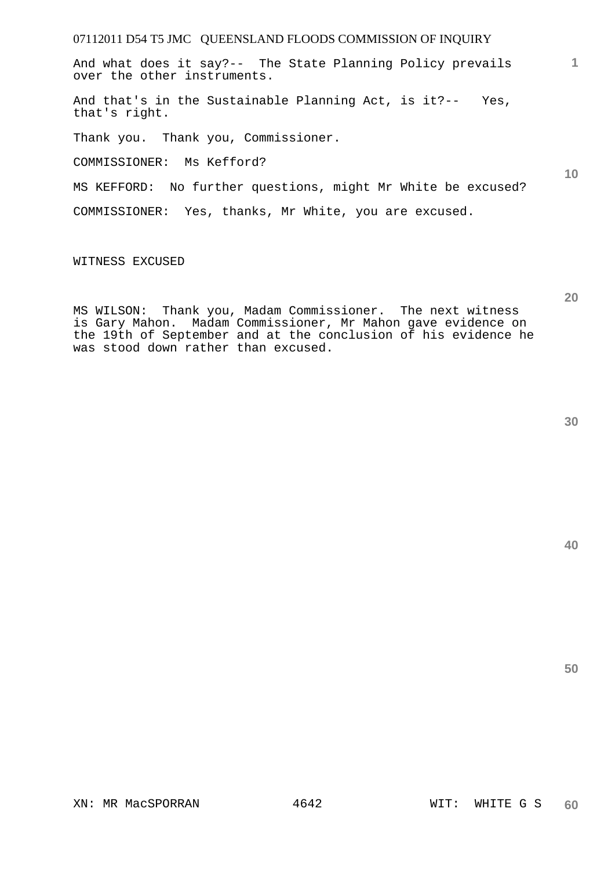And what does it say?-- The State Planning Policy prevails over the other instruments.

And that's in the Sustainable Planning Act, is it?-- Yes, that's right.

Thank you. Thank you, Commissioner.

COMMISSIONER: Ms Kefford?

MS KEFFORD: No further questions, might Mr White be excused?

COMMISSIONER: Yes, thanks, Mr White, you are excused.

WITNESS EXCUSED

MS WILSON: Thank you, Madam Commissioner. The next witness is Gary Mahon. Madam Commissioner, Mr Mahon gave evidence on the 19th of September and at the conclusion of his evidence he was stood down rather than excused.

**40** 

**50** 

**1**

**10**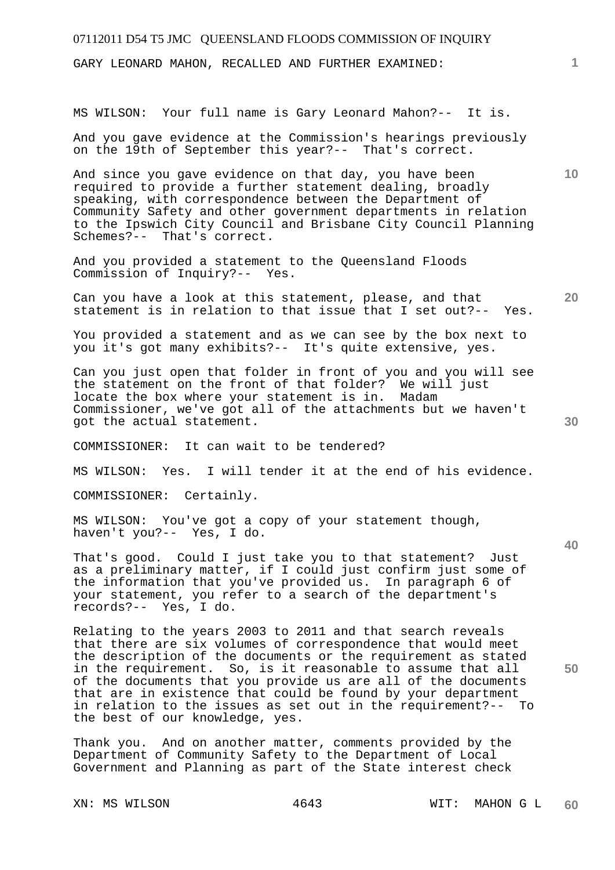| 07112011 D54 T5 JMC QUEENSLAND FLOODS COMMISSION OF INQUIRY                                                                                                                                                                                                                                                                                                                                                                                                                                     |                 |
|-------------------------------------------------------------------------------------------------------------------------------------------------------------------------------------------------------------------------------------------------------------------------------------------------------------------------------------------------------------------------------------------------------------------------------------------------------------------------------------------------|-----------------|
| GARY LEONARD MAHON, RECALLED AND FURTHER EXAMINED:                                                                                                                                                                                                                                                                                                                                                                                                                                              | $\mathbf{1}$    |
| MS WILSON: Your full name is Gary Leonard Mahon?-- It is.                                                                                                                                                                                                                                                                                                                                                                                                                                       |                 |
| And you gave evidence at the Commission's hearings previously<br>on the 19th of September this year?-- That's correct.                                                                                                                                                                                                                                                                                                                                                                          |                 |
| And since you gave evidence on that day, you have been<br>required to provide a further statement dealing, broadly<br>speaking, with correspondence between the Department of<br>Community Safety and other government departments in relation<br>to the Ipswich City Council and Brisbane City Council Planning<br>Schemes?-- That's correct.                                                                                                                                                  | 10 <sup>°</sup> |
| And you provided a statement to the Queensland Floods<br>Commission of Inquiry?-- Yes.                                                                                                                                                                                                                                                                                                                                                                                                          |                 |
| Can you have a look at this statement, please, and that<br>statement is in relation to that issue that I set out?-- Yes.                                                                                                                                                                                                                                                                                                                                                                        | 20              |
| You provided a statement and as we can see by the box next to<br>you it's got many exhibits?-- It's quite extensive, yes.                                                                                                                                                                                                                                                                                                                                                                       |                 |
| Can you just open that folder in front of you and you will see<br>the statement on the front of that folder? We will just<br>locate the box where your statement is in.<br>Madam<br>Commissioner, we've got all of the attachments but we haven't<br>got the actual statement.                                                                                                                                                                                                                  | 30              |
| COMMISSIONER: It can wait to be tendered?                                                                                                                                                                                                                                                                                                                                                                                                                                                       |                 |
| MS WILSON: Yes. I will tender it at the end of his evidence.                                                                                                                                                                                                                                                                                                                                                                                                                                    |                 |
| COMMISSIONER: Certainly.                                                                                                                                                                                                                                                                                                                                                                                                                                                                        |                 |
| MS WILSON: You've got a copy of your statement though,<br>haven't you?-- Yes, I do.                                                                                                                                                                                                                                                                                                                                                                                                             | 40              |
| That's good. Could I just take you to that statement? Just<br>as a preliminary matter, if I could just confirm just some of<br>the information that you've provided us. In paragraph 6 of<br>your statement, you refer to a search of the department's<br>records?-- Yes, I do.                                                                                                                                                                                                                 |                 |
| Relating to the years 2003 to 2011 and that search reveals<br>that there are six volumes of correspondence that would meet<br>the description of the documents or the requirement as stated<br>in the requirement. So, is it reasonable to assume that all<br>of the documents that you provide us are all of the documents<br>that are in existence that could be found by your department<br>in relation to the issues as set out in the requirement?-- To<br>the best of our knowledge, yes. | 50              |
| Thank you. And on another matter, comments provided by the<br>Department of Community Safety to the Department of Local<br>Government and Planning as part of the State interest check                                                                                                                                                                                                                                                                                                          |                 |

XN: MS WILSON 4643 WIT: MAHON G L **60**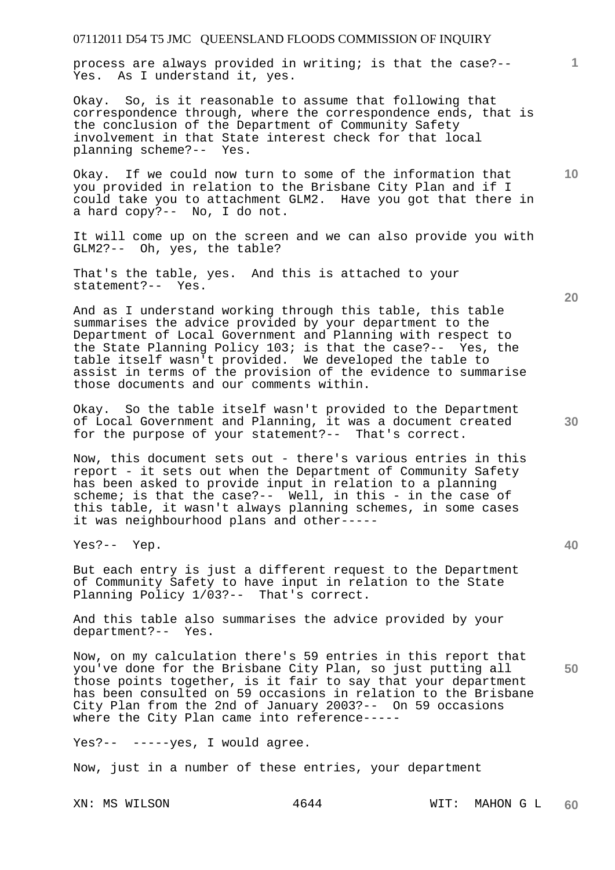process are always provided in writing; is that the case?-- Yes. As I understand it, yes.

Okay. So, is it reasonable to assume that following that correspondence through, where the correspondence ends, that is the conclusion of the Department of Community Safety involvement in that State interest check for that local planning scheme?-- Yes.

Okay. If we could now turn to some of the information that you provided in relation to the Brisbane City Plan and if I could take you to attachment GLM2. Have you got that there in a hard copy?-- No, I do not.

It will come up on the screen and we can also provide you with GLM2?-- Oh, yes, the table?

That's the table, yes. And this is attached to your statement?-- Yes.

And as I understand working through this table, this table summarises the advice provided by your department to the Department of Local Government and Planning with respect to the State Planning Policy 103; is that the case?-- Yes, the table itself wasn't provided. We developed the table to assist in terms of the provision of the evidence to summarise those documents and our comments within.

Okay. So the table itself wasn't provided to the Department of Local Government and Planning, it was a document created for the purpose of your statement?-- That's correct.

Now, this document sets out - there's various entries in this report - it sets out when the Department of Community Safety has been asked to provide input in relation to a planning scheme; is that the case?-- Well, in this - in the case of this table, it wasn't always planning schemes, in some cases it was neighbourhood plans and other-----

Yes?-- Yep.

But each entry is just a different request to the Department of Community Safety to have input in relation to the State Planning Policy 1/03?-- That's correct.

And this table also summarises the advice provided by your department?-- Yes.

Now, on my calculation there's 59 entries in this report that you've done for the Brisbane City Plan, so just putting all those points together, is it fair to say that your department has been consulted on 59 occasions in relation to the Brisbane City Plan from the 2nd of January 2003?-- On 59 occasions where the City Plan came into reference-----

Yes?-- -----yes, I would agree.

Now, just in a number of these entries, your department

**20** 

**1**

**10** 

**30**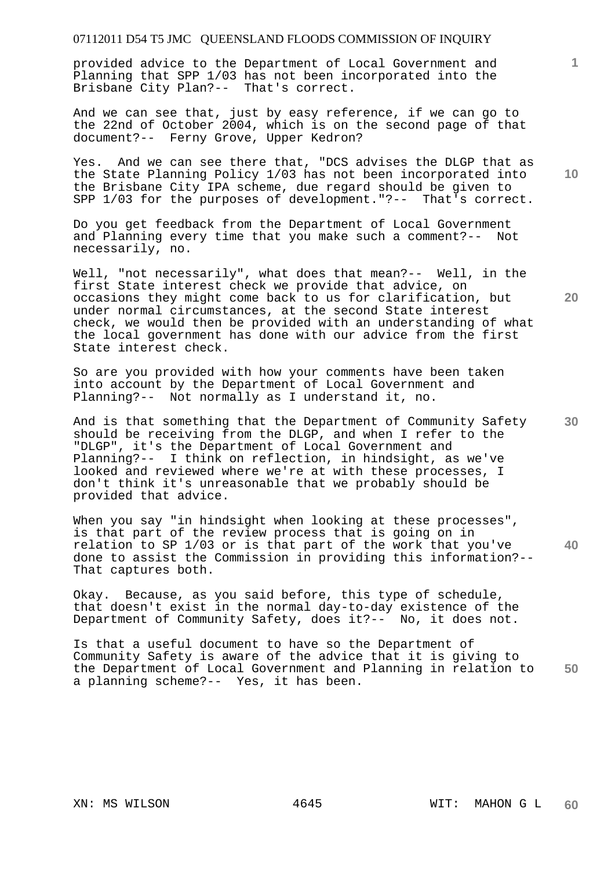provided advice to the Department of Local Government and Planning that SPP 1/03 has not been incorporated into the Brisbane City Plan?-- That's correct.

And we can see that, just by easy reference, if we can go to the 22nd of October 2004, which is on the second page of that document?-- Ferny Grove, Upper Kedron?

Yes. And we can see there that, "DCS advises the DLGP that as the State Planning Policy 1/03 has not been incorporated into the Brisbane City IPA scheme, due regard should be given to SPP 1/03 for the purposes of development."?-- That's correct.

Do you get feedback from the Department of Local Government and Planning every time that you make such a comment?-- Not necessarily, no.

Well, "not necessarily", what does that mean?-- Well, in the first State interest check we provide that advice, on occasions they might come back to us for clarification, but under normal circumstances, at the second State interest check, we would then be provided with an understanding of what the local government has done with our advice from the first State interest check.

So are you provided with how your comments have been taken into account by the Department of Local Government and Planning?-- Not normally as I understand it, no.

And is that something that the Department of Community Safety should be receiving from the DLGP, and when I refer to the "DLGP", it's the Department of Local Government and Planning?-- I think on reflection, in hindsight, as we've looked and reviewed where we're at with these processes, I don't think it's unreasonable that we probably should be provided that advice.

**40**  When you say "in hindsight when looking at these processes", is that part of the review process that is going on in relation to SP 1/03 or is that part of the work that you've done to assist the Commission in providing this information?-- That captures both.

Okay. Because, as you said before, this type of schedule, that doesn't exist in the normal day-to-day existence of the Department of Community Safety, does it?-- No, it does not.

**50**  Is that a useful document to have so the Department of Community Safety is aware of the advice that it is giving to the Department of Local Government and Planning in relation to a planning scheme?-- Yes, it has been.

**10** 

**1**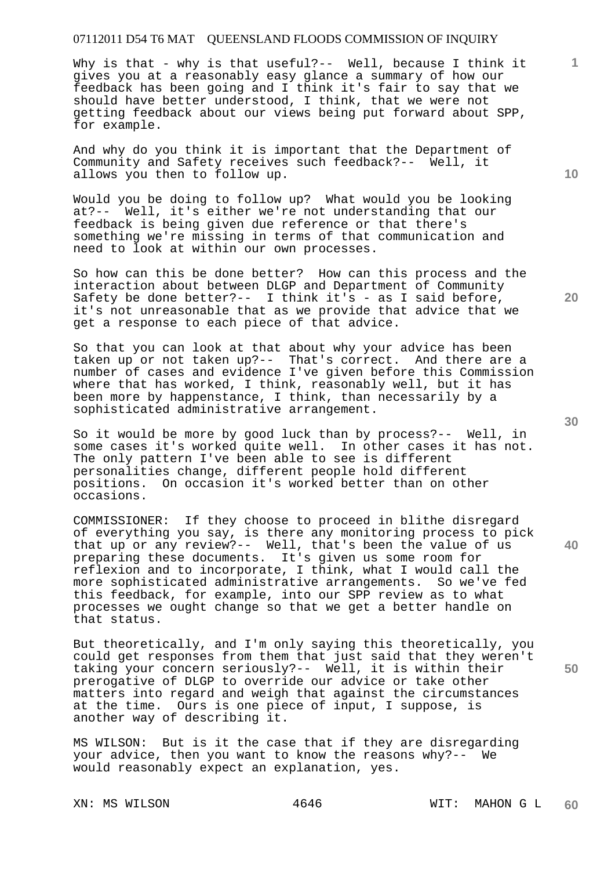Why is that - why is that useful?-- Well, because I think it gives you at a reasonably easy glance a summary of how our feedback has been going and I think it's fair to say that we should have better understood, I think, that we were not getting feedback about our views being put forward about SPP, for example.

And why do you think it is important that the Department of Community and Safety receives such feedback?-- Well, it allows you then to follow up.

Would you be doing to follow up? What would you be looking at?-- Well, it's either we're not understanding that our feedback is being given due reference or that there's something we're missing in terms of that communication and need to look at within our own processes.

So how can this be done better? How can this process and the interaction about between DLGP and Department of Community Safety be done better?-- I think it's - as I said before, it's not unreasonable that as we provide that advice that we get a response to each piece of that advice.

So that you can look at that about why your advice has been taken up or not taken up?-- That's correct. And there are a number of cases and evidence I've given before this Commission where that has worked, I think, reasonably well, but it has been more by happenstance, I think, than necessarily by a sophisticated administrative arrangement.

So it would be more by good luck than by process?-- Well, in some cases it's worked quite well. In other cases it has not. The only pattern I've been able to see is different personalities change, different people hold different positions. On occasion it's worked better than on other occasions.

COMMISSIONER: If they choose to proceed in blithe disregard of everything you say, is there any monitoring process to pick that up or any review?-- Well, that's been the value of us preparing these documents. It's given us some room for reflexion and to incorporate, I think, what I would call the more sophisticated administrative arrangements. So we've fed this feedback, for example, into our SPP review as to what processes we ought change so that we get a better handle on that status.

But theoretically, and I'm only saying this theoretically, you could get responses from them that just said that they weren't taking your concern seriously?-- Well, it is within their prerogative of DLGP to override our advice or take other matters into regard and weigh that against the circumstances at the time. Ours is one piece of input, I suppose, is another way of describing it.

MS WILSON: But is it the case that if they are disregarding your advice, then you want to know the reasons why?-- We would reasonably expect an explanation, yes.

**10** 

**1**

**20** 

**30** 

**40**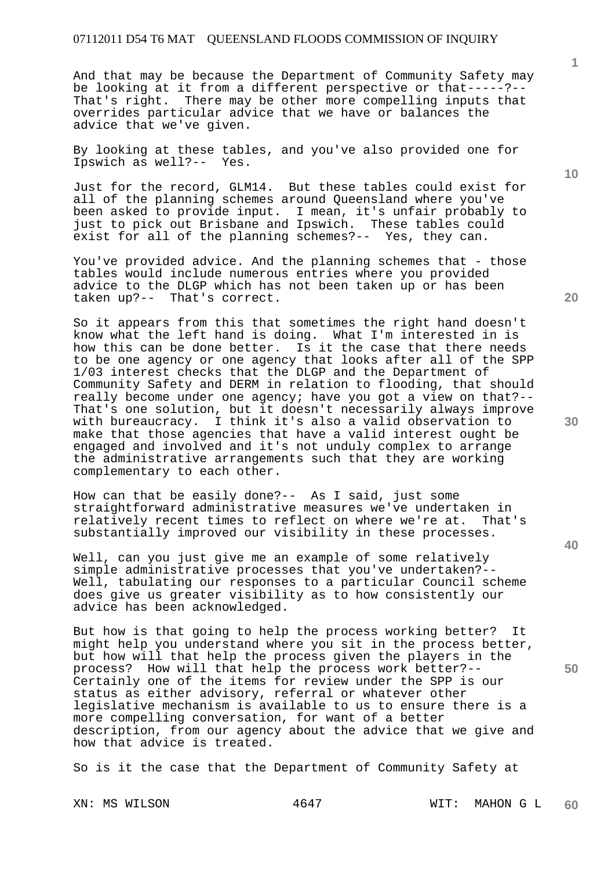And that may be because the Department of Community Safety may be looking at it from a different perspective or that-----?-- That's right. There may be other more compelling inputs that overrides particular advice that we have or balances the advice that we've given.

By looking at these tables, and you've also provided one for Ipswich as well?-- Yes.

Just for the record, GLM14. But these tables could exist for all of the planning schemes around Queensland where you've been asked to provide input. I mean, it's unfair probably to just to pick out Brisbane and Ipswich. These tables could exist for all of the planning schemes?-- Yes, they can.

You've provided advice. And the planning schemes that - those tables would include numerous entries where you provided advice to the DLGP which has not been taken up or has been taken up?-- That's correct.

So it appears from this that sometimes the right hand doesn't know what the left hand is doing. What I'm interested in is how this can be done better. Is it the case that there needs to be one agency or one agency that looks after all of the SPP 1/03 interest checks that the DLGP and the Department of Community Safety and DERM in relation to flooding, that should really become under one agency; have you got a view on that?-- That's one solution, but it doesn't necessarily always improve with bureaucracy. I think it's also a valid observation to make that those agencies that have a valid interest ought be engaged and involved and it's not unduly complex to arrange the administrative arrangements such that they are working complementary to each other.

How can that be easily done?-- As I said, just some straightforward administrative measures we've undertaken in relatively recent times to reflect on where we're at. That's substantially improved our visibility in these processes.

Well, can you just give me an example of some relatively simple administrative processes that you've undertaken?-- Well, tabulating our responses to a particular Council scheme does give us greater visibility as to how consistently our advice has been acknowledged.

But how is that going to help the process working better? It might help you understand where you sit in the process better, but how will that help the process given the players in the process? How will that help the process work better?-- Certainly one of the items for review under the SPP is our status as either advisory, referral or whatever other legislative mechanism is available to us to ensure there is a more compelling conversation, for want of a better description, from our agency about the advice that we give and how that advice is treated.

So is it the case that the Department of Community Safety at

**1**

**20** 

**30** 

**40**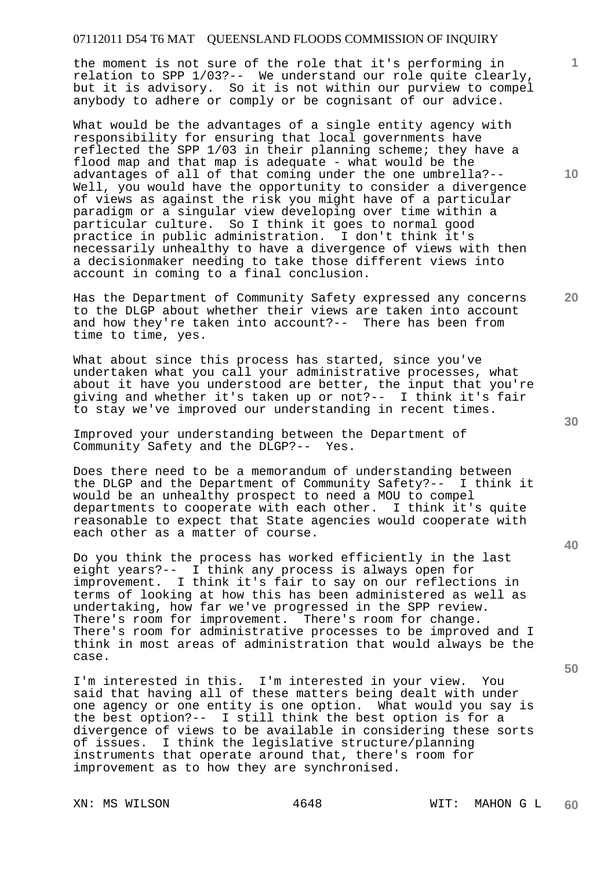the moment is not sure of the role that it's performing in relation to SPP 1/03?-- We understand our role quite clearly, but it is advisory. So it is not within our purview to compel anybody to adhere or comply or be cognisant of our advice.

What would be the advantages of a single entity agency with responsibility for ensuring that local governments have reflected the SPP 1/03 in their planning scheme; they have a flood map and that map is adequate - what would be the advantages of all of that coming under the one umbrella?-- Well, you would have the opportunity to consider a divergence of views as against the risk you might have of a particular paradigm or a singular view developing over time within a particular culture. So I think it goes to normal good practice in public administration. I don't think it's necessarily unhealthy to have a divergence of views with then a decisionmaker needing to take those different views into account in coming to a final conclusion.

Has the Department of Community Safety expressed any concerns to the DLGP about whether their views are taken into account and how they're taken into account?-- There has been from time to time, yes.

What about since this process has started, since you've undertaken what you call your administrative processes, what about it have you understood are better, the input that you're giving and whether it's taken up or not?-- I think it's fair to stay we've improved our understanding in recent times.

Improved your understanding between the Department of Community Safety and the DLGP?-- Yes.

Does there need to be a memorandum of understanding between the DLGP and the Department of Community Safety?-- I think it would be an unhealthy prospect to need a MOU to compel departments to cooperate with each other. I think it's quite reasonable to expect that State agencies would cooperate with each other as a matter of course.

Do you think the process has worked efficiently in the last eight years?-- I think any process is always open for improvement. I think it's fair to say on our reflections in terms of looking at how this has been administered as well as undertaking, how far we've progressed in the SPP review. There's room for improvement. There's room for change. There's room for administrative processes to be improved and I think in most areas of administration that would always be the case.

I'm interested in this. I'm interested in your view. You said that having all of these matters being dealt with under one agency or one entity is one option. What would you say is the best option?-- I still think the best option is for a divergence of views to be available in considering these sorts of issues. I think the legislative structure/planning instruments that operate around that, there's room for improvement as to how they are synchronised.

**10** 

**1**

**20** 

**40**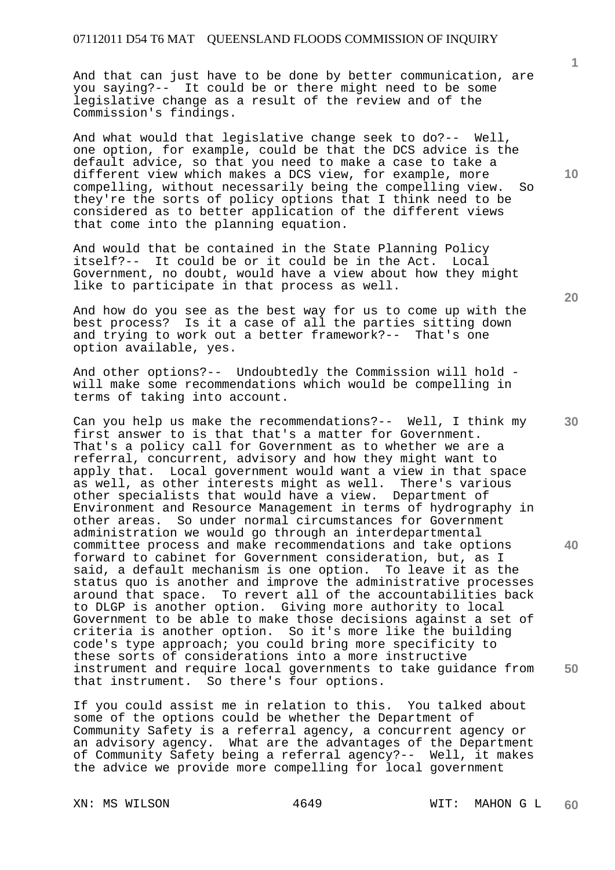And that can just have to be done by better communication, are you saying?-- It could be or there might need to be some legislative change as a result of the review and of the Commission's findings.

And what would that legislative change seek to do?-- Well, one option, for example, could be that the DCS advice is the default advice, so that you need to make a case to take a different view which makes a DCS view, for example, more compelling, without necessarily being the compelling view. So they're the sorts of policy options that I think need to be considered as to better application of the different views that come into the planning equation.

And would that be contained in the State Planning Policy itself?-- It could be or it could be in the Act. Local Government, no doubt, would have a view about how they might like to participate in that process as well.

And how do you see as the best way for us to come up with the best process? Is it a case of all the parties sitting down and trying to work out a better framework?-- That's one option available, yes.

And other options?-- Undoubtedly the Commission will hold will make some recommendations which would be compelling in terms of taking into account.

Can you help us make the recommendations?-- Well, I think my first answer to is that that's a matter for Government. That's a policy call for Government as to whether we are a referral, concurrent, advisory and how they might want to apply that. Local government would want a view in that space as well, as other interests might as well. There's various other specialists that would have a view. Department of Environment and Resource Management in terms of hydrography in other areas. So under normal circumstances for Government administration we would go through an interdepartmental committee process and make recommendations and take options forward to cabinet for Government consideration, but, as I said, a default mechanism is one option. To leave it as the status quo is another and improve the administrative processes around that space. To revert all of the accountabilities back to DLGP is another option. Giving more authority to local Government to be able to make those decisions against a set of criteria is another option. So it's more like the building code's type approach; you could bring more specificity to these sorts of considerations into a more instructive instrument and require local governments to take guidance from that instrument. So there's four options.

If you could assist me in relation to this. You talked about some of the options could be whether the Department of Community Safety is a referral agency, a concurrent agency or an advisory agency. What are the advantages of the Department of Community Safety being a referral agency?-- Well, it makes the advice we provide more compelling for local government

**10** 

**1**

**20** 

**30** 

**40**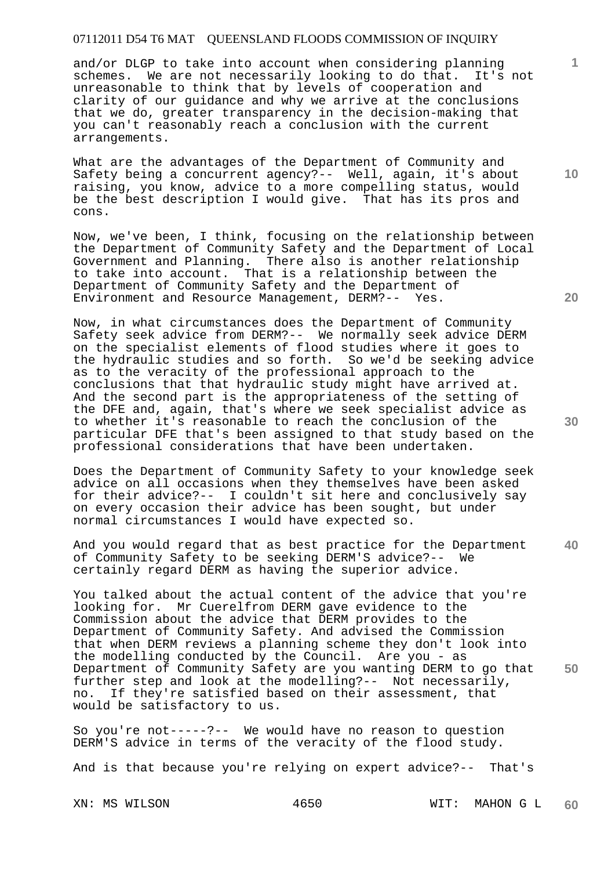and/or DLGP to take into account when considering planning schemes. We are not necessarily looking to do that. It's not unreasonable to think that by levels of cooperation and clarity of our guidance and why we arrive at the conclusions that we do, greater transparency in the decision-making that you can't reasonably reach a conclusion with the current arrangements.

What are the advantages of the Department of Community and Safety being a concurrent agency?-- Well, again, it's about raising, you know, advice to a more compelling status, would be the best description I would give. That has its pros and cons.

Now, we've been, I think, focusing on the relationship between the Department of Community Safety and the Department of Local Government and Planning. There also is another relationship to take into account. That is a relationship between the Department of Community Safety and the Department of Environment and Resource Management, DERM?-- Yes.

Now, in what circumstances does the Department of Community Safety seek advice from DERM?-- We normally seek advice DERM on the specialist elements of flood studies where it goes to the hydraulic studies and so forth. So we'd be seeking advice as to the veracity of the professional approach to the conclusions that that hydraulic study might have arrived at. And the second part is the appropriateness of the setting of the DFE and, again, that's where we seek specialist advice as to whether it's reasonable to reach the conclusion of the particular DFE that's been assigned to that study based on the professional considerations that have been undertaken.

Does the Department of Community Safety to your knowledge seek advice on all occasions when they themselves have been asked for their advice?-- I couldn't sit here and conclusively say on every occasion their advice has been sought, but under normal circumstances I would have expected so.

**40**  And you would regard that as best practice for the Department of Community Safety to be seeking DERM'S advice?-- We certainly regard DERM as having the superior advice.

**50**  You talked about the actual content of the advice that you're looking for. Mr Cuerelfrom DERM gave evidence to the Commission about the advice that DERM provides to the Department of Community Safety. And advised the Commission that when DERM reviews a planning scheme they don't look into the modelling conducted by the Council. Are you - as Department of Community Safety are you wanting DERM to go that further step and look at the modelling?-- Not necessarily, no. If they're satisfied based on their assessment, that would be satisfactory to us.

So you're not-----?-- We would have no reason to question DERM'S advice in terms of the veracity of the flood study.

And is that because you're relying on expert advice?-- That's

**20** 

**10**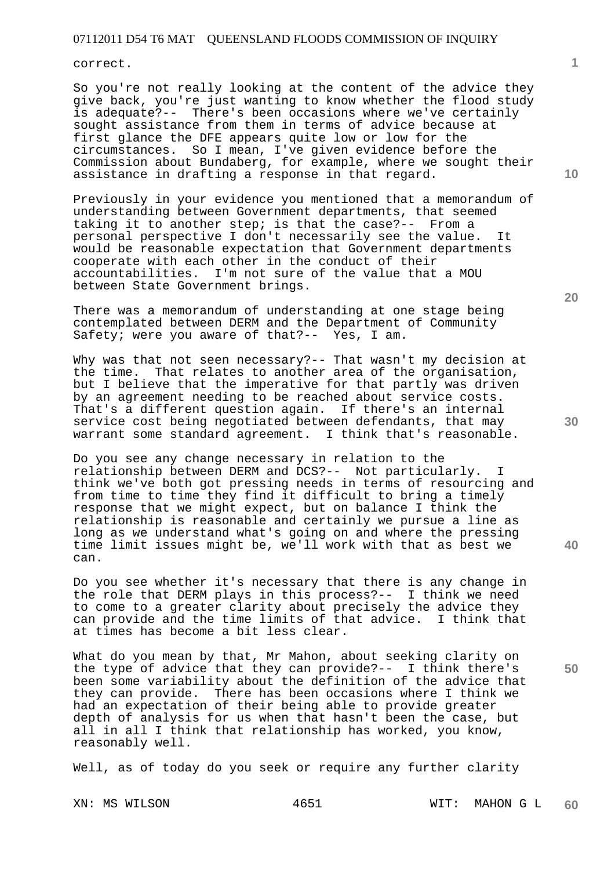correct.

So you're not really looking at the content of the advice they give back, you're just wanting to know whether the flood study is adequate?-- There's been occasions where we've certainly sought assistance from them in terms of advice because at first glance the DFE appears quite low or low for the circumstances. So I mean, I've given evidence before the Commission about Bundaberg, for example, where we sought their assistance in drafting a response in that regard.

Previously in your evidence you mentioned that a memorandum of understanding between Government departments, that seemed taking it to another step; is that the case?-- From a personal perspective I don't necessarily see the value. It would be reasonable expectation that Government departments cooperate with each other in the conduct of their accountabilities. I'm not sure of the value that a MOU between State Government brings.

There was a memorandum of understanding at one stage being contemplated between DERM and the Department of Community Safety; were you aware of that?-- Yes, I am.

Why was that not seen necessary?-- That wasn't my decision at the time. That relates to another area of the organisation, but I believe that the imperative for that partly was driven by an agreement needing to be reached about service costs. That's a different question again. If there's an internal service cost being negotiated between defendants, that may warrant some standard agreement. I think that's reasonable.

Do you see any change necessary in relation to the relationship between DERM and DCS?-- Not particularly. I think we've both got pressing needs in terms of resourcing and from time to time they find it difficult to bring a timely response that we might expect, but on balance I think the relationship is reasonable and certainly we pursue a line as long as we understand what's going on and where the pressing time limit issues might be, we'll work with that as best we can.

Do you see whether it's necessary that there is any change in the role that DERM plays in this process?-- I think we need to come to a greater clarity about precisely the advice they can provide and the time limits of that advice. I think that at times has become a bit less clear.

What do you mean by that, Mr Mahon, about seeking clarity on the type of advice that they can provide?-- I think there's been some variability about the definition of the advice that they can provide. There has been occasions where I think we had an expectation of their being able to provide greater depth of analysis for us when that hasn't been the case, but all in all I think that relationship has worked, you know, reasonably well.

Well, as of today do you seek or require any further clarity

**10** 

**1**

**30** 

**40** 

**20**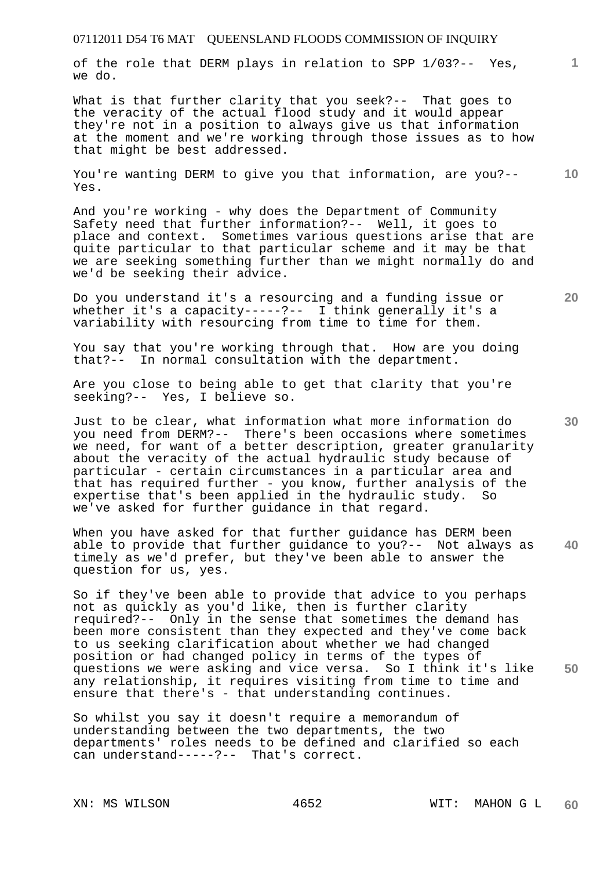of the role that DERM plays in relation to SPP 1/03?-- Yes, we do.

What is that further clarity that you seek?-- That goes to the veracity of the actual flood study and it would appear they're not in a position to always give us that information at the moment and we're working through those issues as to how that might be best addressed.

**10**  You're wanting DERM to give you that information, are you?-- Yes.

And you're working - why does the Department of Community Safety need that further information?-- Well, it goes to place and context. Sometimes various questions arise that are quite particular to that particular scheme and it may be that we are seeking something further than we might normally do and we'd be seeking their advice.

Do you understand it's a resourcing and a funding issue or whether it's a capacity-----?-- I think generally it's a variability with resourcing from time to time for them.

You say that you're working through that. How are you doing that?-- In normal consultation with the department.

Are you close to being able to get that clarity that you're seeking?-- Yes, I believe so.

Just to be clear, what information what more information do you need from DERM?-- There's been occasions where sometimes we need, for want of a better description, greater granularity about the veracity of the actual hydraulic study because of particular - certain circumstances in a particular area and that has required further - you know, further analysis of the expertise that's been applied in the hydraulic study. So we've asked for further guidance in that regard.

**40**  When you have asked for that further guidance has DERM been able to provide that further guidance to you?-- Not always as timely as we'd prefer, but they've been able to answer the question for us, yes.

**50**  So if they've been able to provide that advice to you perhaps not as quickly as you'd like, then is further clarity required?-- Only in the sense that sometimes the demand has been more consistent than they expected and they've come back to us seeking clarification about whether we had changed position or had changed policy in terms of the types of questions we were asking and vice versa. So I think it's like any relationship, it requires visiting from time to time and ensure that there's - that understanding continues.

So whilst you say it doesn't require a memorandum of understanding between the two departments, the two departments' roles needs to be defined and clarified so each can understand-----?-- That's correct.

**20**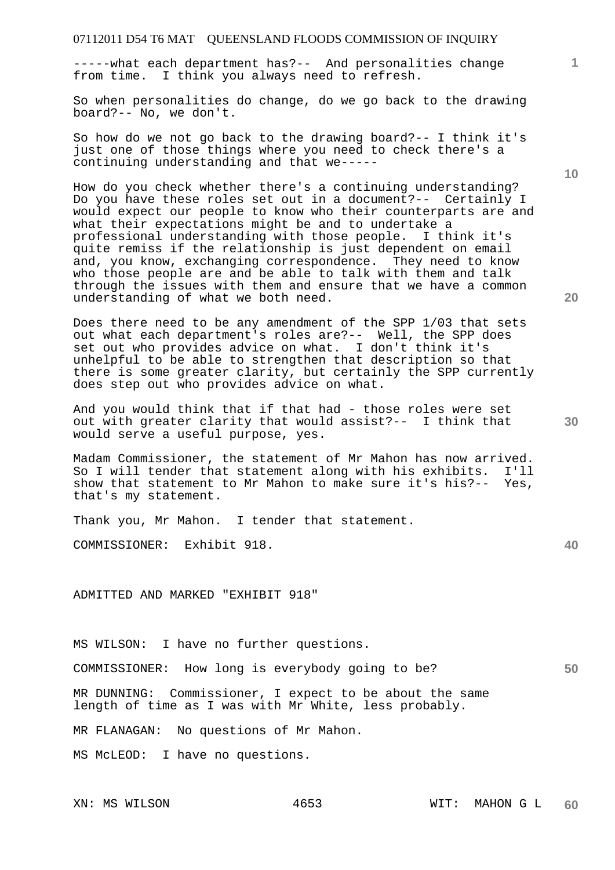-----what each department has?-- And personalities change from time. I think you always need to refresh.

So when personalities do change, do we go back to the drawing board?-- No, we don't.

So how do we not go back to the drawing board?-- I think it's just one of those things where you need to check there's a continuing understanding and that we-----

How do you check whether there's a continuing understanding? Do you have these roles set out in a document?-- Certainly I would expect our people to know who their counterparts are and what their expectations might be and to undertake a professional understanding with those people. I think it's quite remiss if the relationship is just dependent on email and, you know, exchanging correspondence. They need to know who those people are and be able to talk with them and talk through the issues with them and ensure that we have a common understanding of what we both need.

Does there need to be any amendment of the SPP 1/03 that sets out what each department's roles are?-- Well, the SPP does set out who provides advice on what. I don't think it's unhelpful to be able to strengthen that description so that there is some greater clarity, but certainly the SPP currently does step out who provides advice on what.

And you would think that if that had - those roles were set out with greater clarity that would assist?-- I think that would serve a useful purpose, yes.

Madam Commissioner, the statement of Mr Mahon has now arrived. So I will tender that statement along with his exhibits. I'll show that statement to Mr Mahon to make sure it's his?-- Yes, that's my statement.

Thank you, Mr Mahon. I tender that statement.

COMMISSIONER: Exhibit 918.

ADMITTED AND MARKED "EXHIBIT 918"

MS WILSON: I have no further questions.

COMMISSIONER: How long is everybody going to be?

MR DUNNING: Commissioner, I expect to be about the same length of time as I was with Mr White, less probably.

MR FLANAGAN: No questions of Mr Mahon.

MS McLEOD: I have no questions.

**40** 

**50** 

**30** 

**10**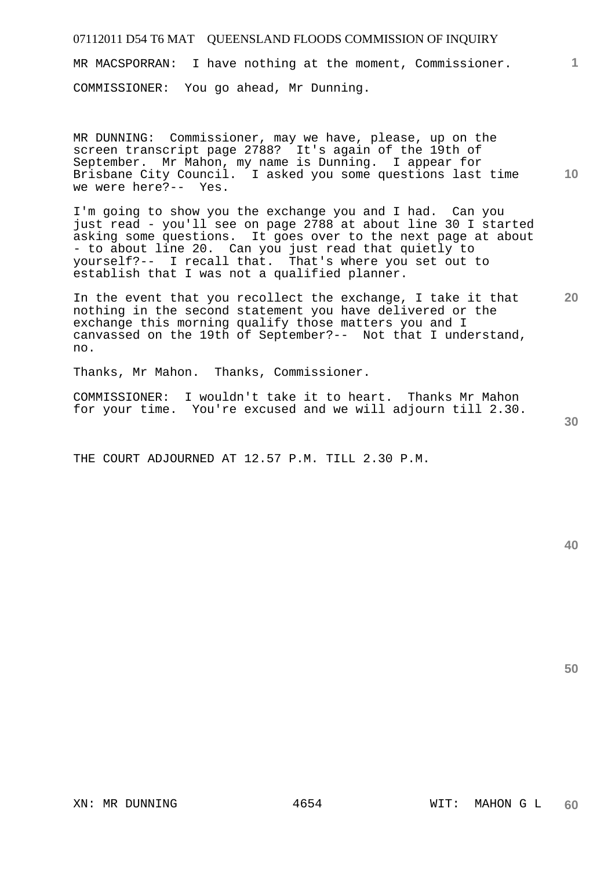MR MACSPORRAN: I have nothing at the moment, Commissioner.

COMMISSIONER: You go ahead, Mr Dunning.

**10**  MR DUNNING: Commissioner, may we have, please, up on the screen transcript page 2788? It's again of the 19th of September. Mr Mahon, my name is Dunning. I appear for Brisbane City Council. I asked you some questions last time we were here?-- Yes.

I'm going to show you the exchange you and I had. Can you just read - you'll see on page 2788 at about line 30 I started asking some questions. It goes over to the next page at about - to about line 20. Can you just read that quietly to yourself?-- I recall that. That's where you set out to establish that I was not a qualified planner.

In the event that you recollect the exchange, I take it that nothing in the second statement you have delivered or the exchange this morning qualify those matters you and I canvassed on the 19th of September?-- Not that I understand, no.

Thanks, Mr Mahon. Thanks, Commissioner.

COMMISSIONER: I wouldn't take it to heart. Thanks Mr Mahon for your time. You're excused and we will adjourn till 2.30.

THE COURT ADJOURNED AT 12.57 P.M. TILL 2.30 P.M.

**50** 

**1**

**20**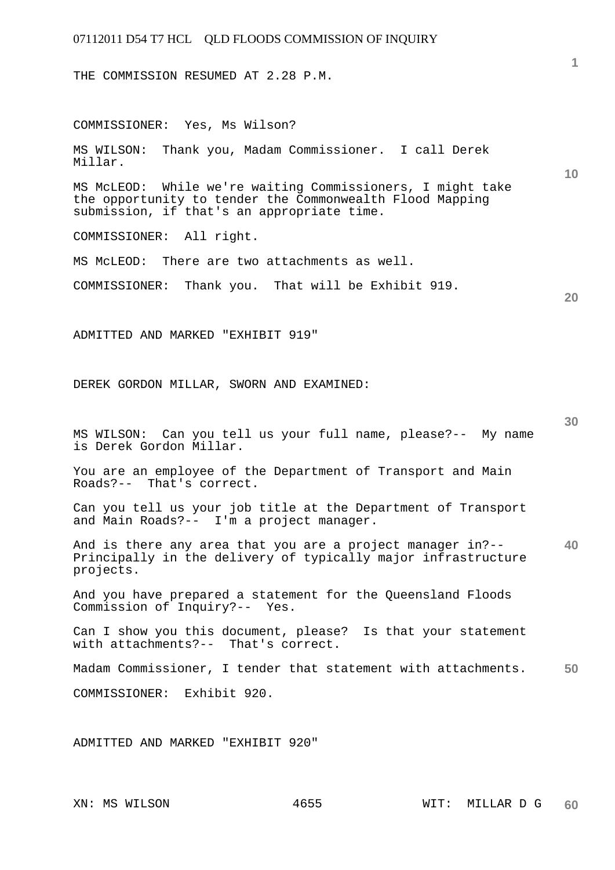THE COMMISSION RESUMED AT 2.28 P.M.

**10 20 30 40 50**  COMMISSIONER: Yes, Ms Wilson? MS WILSON: Thank you, Madam Commissioner. I call Derek Millar. MS McLEOD: While we're waiting Commissioners, I might take the opportunity to tender the Commonwealth Flood Mapping submission, if that's an appropriate time. COMMISSIONER: All right. MS McLEOD: There are two attachments as well. COMMISSIONER: Thank you. That will be Exhibit 919. ADMITTED AND MARKED "EXHIBIT 919" DEREK GORDON MILLAR, SWORN AND EXAMINED: MS WILSON: Can you tell us your full name, please?-- My name is Derek Gordon Millar. You are an employee of the Department of Transport and Main Roads?-- That's correct. Can you tell us your job title at the Department of Transport and Main Roads?-- I'm a project manager. And is there any area that you are a project manager in?-- Principally in the delivery of typically major infrastructure projects. And you have prepared a statement for the Queensland Floods Commission of Inquiry?-- Yes. Can I show you this document, please? Is that your statement with attachments?-- That's correct. Madam Commissioner, I tender that statement with attachments. COMMISSIONER: Exhibit 920. ADMITTED AND MARKED "EXHIBIT 920"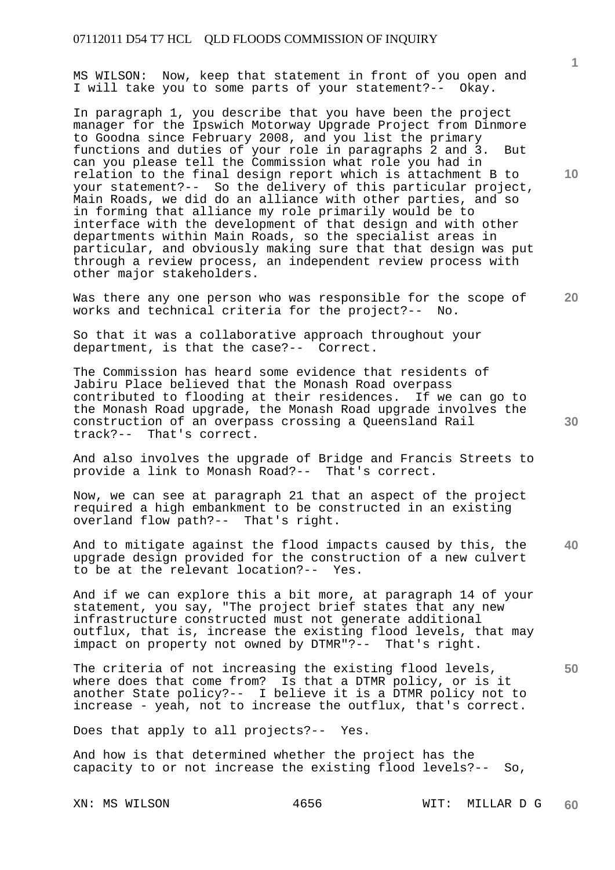MS WILSON: Now, keep that statement in front of you open and I will take you to some parts of your statement?-- Okay.

In paragraph 1, you describe that you have been the project manager for the Ipswich Motorway Upgrade Project from Dinmore to Goodna since February 2008, and you list the primary functions and duties of your role in paragraphs 2 and 3. But can you please tell the Commission what role you had in relation to the final design report which is attachment B to your statement?-- So the delivery of this particular project, Main Roads, we did do an alliance with other parties, and so in forming that alliance my role primarily would be to interface with the development of that design and with other departments within Main Roads, so the specialist areas in particular, and obviously making sure that that design was put through a review process, an independent review process with other major stakeholders.

Was there any one person who was responsible for the scope of works and technical criteria for the project?-- No.

So that it was a collaborative approach throughout your department, is that the case?-- Correct.

The Commission has heard some evidence that residents of Jabiru Place believed that the Monash Road overpass contributed to flooding at their residences. If we can go to the Monash Road upgrade, the Monash Road upgrade involves the construction of an overpass crossing a Queensland Rail track?-- That's correct.

And also involves the upgrade of Bridge and Francis Streets to provide a link to Monash Road?-- That's correct.

Now, we can see at paragraph 21 that an aspect of the project required a high embankment to be constructed in an existing overland flow path?-- That's right.

**40**  And to mitigate against the flood impacts caused by this, the upgrade design provided for the construction of a new culvert to be at the relevant location?-- Yes.

And if we can explore this a bit more, at paragraph 14 of your statement, you say, "The project brief states that any new infrastructure constructed must not generate additional outflux, that is, increase the existing flood levels, that may impact on property not owned by DTMR"?-- That's right.

The criteria of not increasing the existing flood levels, where does that come from? Is that a DTMR policy, or is it another State policy?-- I believe it is a DTMR policy not to increase - yeah, not to increase the outflux, that's correct.

Does that apply to all projects?-- Yes.

And how is that determined whether the project has the capacity to or not increase the existing flood levels?-- So,

**1**

**10** 

**20**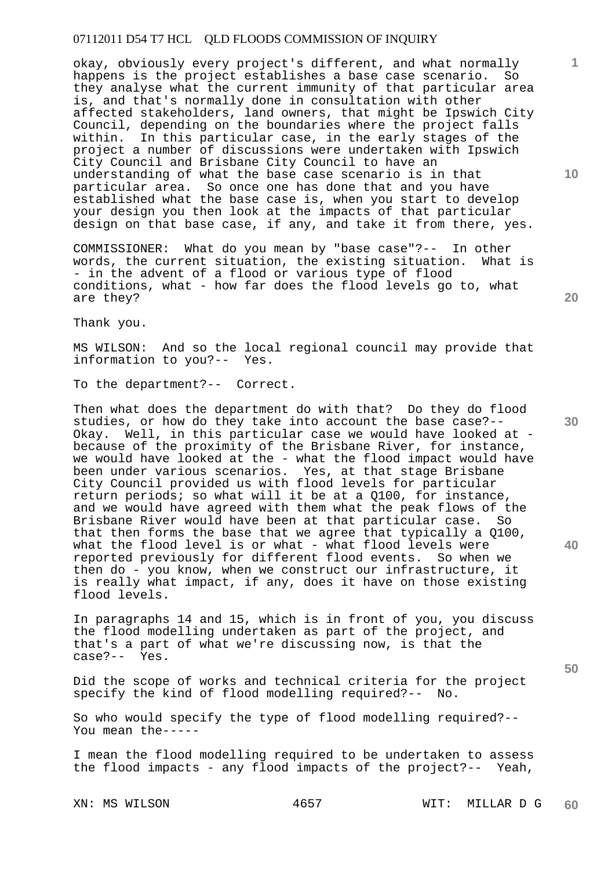okay, obviously every project's different, and what normally happens is the project establishes a base case scenario. So they analyse what the current immunity of that particular area is, and that's normally done in consultation with other affected stakeholders, land owners, that might be Ipswich City Council, depending on the boundaries where the project falls within. In this particular case, in the early stages of the project a number of discussions were undertaken with Ipswich City Council and Brisbane City Council to have an understanding of what the base case scenario is in that particular area. So once one has done that and you have established what the base case is, when you start to develop your design you then look at the impacts of that particular design on that base case, if any, and take it from there, yes.

COMMISSIONER: What do you mean by "base case"?-- In other words, the current situation, the existing situation. What is - in the advent of a flood or various type of flood conditions, what - how far does the flood levels go to, what are they?

Thank you.

MS WILSON: And so the local regional council may provide that information to you?-- Yes.

To the department?-- Correct.

Then what does the department do with that? Do they do flood studies, or how do they take into account the base case?-- Okay. Well, in this particular case we would have looked at because of the proximity of the Brisbane River, for instance, we would have looked at the - what the flood impact would have been under various scenarios. Yes, at that stage Brisbane City Council provided us with flood levels for particular return periods; so what will it be at a Q100, for instance, and we would have agreed with them what the peak flows of the Brisbane River would have been at that particular case. So that then forms the base that we agree that typically a Q100, what the flood level is or what - what flood levels were reported previously for different flood events. So when we then do - you know, when we construct our infrastructure, it is really what impact, if any, does it have on those existing flood levels.

In paragraphs 14 and 15, which is in front of you, you discuss the flood modelling undertaken as part of the project, and that's a part of what we're discussing now, is that the case?-- Yes.

Did the scope of works and technical criteria for the project<br>specify the kind of flood modelling required?-- No. specify the kind of flood modelling required?--

So who would specify the type of flood modelling required?-- You mean the-----

I mean the flood modelling required to be undertaken to assess the flood impacts - any flood impacts of the project?-- Yeah,

**10** 

**1**

**20** 

**30**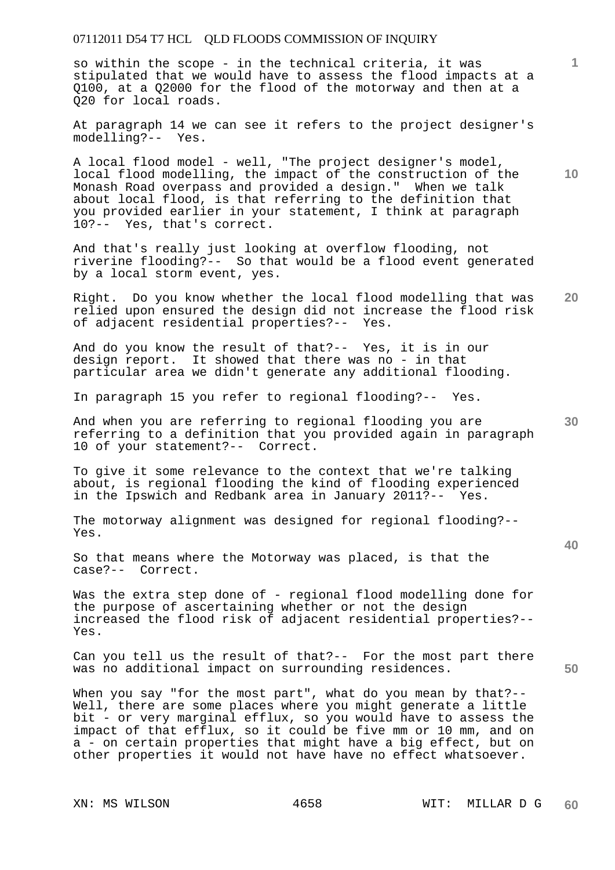so within the scope - in the technical criteria, it was stipulated that we would have to assess the flood impacts at a Q100, at a Q2000 for the flood of the motorway and then at a Q20 for local roads.

At paragraph 14 we can see it refers to the project designer's modelling?-- Yes.

A local flood model - well, "The project designer's model, local flood modelling, the impact of the construction of the Monash Road overpass and provided a design." When we talk about local flood, is that referring to the definition that you provided earlier in your statement, I think at paragraph 10?-- Yes, that's correct.

And that's really just looking at overflow flooding, not riverine flooding?-- So that would be a flood event generated by a local storm event, yes.

**20**  Right. Do you know whether the local flood modelling that was relied upon ensured the design did not increase the flood risk<br>of adjacent residential properties?-- Yes. of adjacent residential properties?--

And do you know the result of that?-- Yes, it is in our design report. It showed that there was no - in that particular area we didn't generate any additional flooding.

In paragraph 15 you refer to regional flooding?-- Yes.

And when you are referring to regional flooding you are referring to a definition that you provided again in paragraph 10 of your statement?-- Correct.

To give it some relevance to the context that we're talking about, is regional flooding the kind of flooding experienced in the Ipswich and Redbank area in January 2011?-- Yes.

The motorway alignment was designed for regional flooding?-- Yes.

So that means where the Motorway was placed, is that the case?-- Correct.

Was the extra step done of - regional flood modelling done for the purpose of ascertaining whether or not the design increased the flood risk of adjacent residential properties?-- Yes.

Can you tell us the result of that?-- For the most part there was no additional impact on surrounding residences.

When you say "for the most part", what do you mean by that?--Well, there are some places where you might generate a little bit - or very marginal efflux, so you would have to assess the impact of that efflux, so it could be five mm or 10 mm, and on a - on certain properties that might have a big effect, but on other properties it would not have have no effect whatsoever.

**1**

**10** 

**30** 

**40**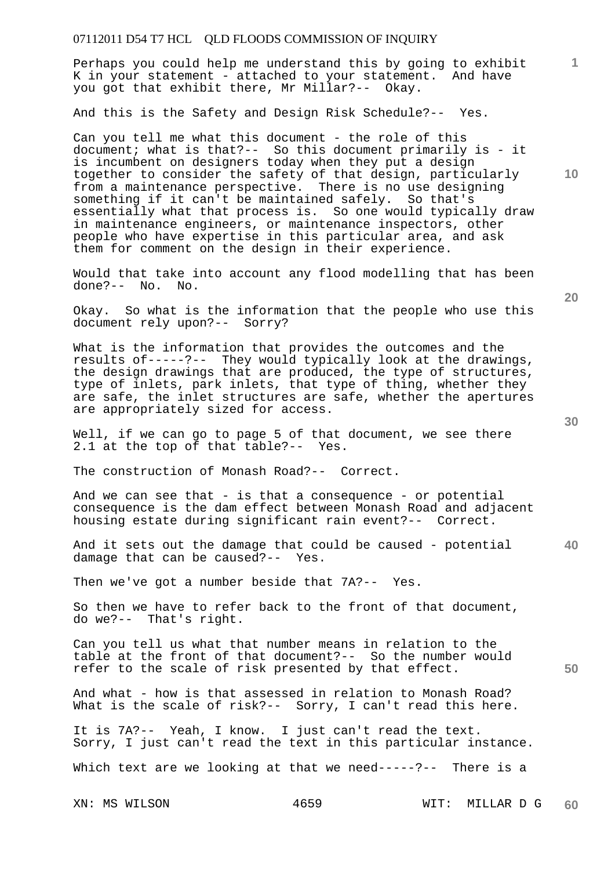Perhaps you could help me understand this by going to exhibit K in your statement - attached to your statement. And have you got that exhibit there, Mr Millar?-- Okay.

And this is the Safety and Design Risk Schedule?-- Yes.

Can you tell me what this document - the role of this document; what is that?-- So this document primarily is - it is incumbent on designers today when they put a design together to consider the safety of that design, particularly from a maintenance perspective. There is no use designing something if it can't be maintained safely. So that's essentially what that process is. So one would typically draw in maintenance engineers, or maintenance inspectors, other people who have expertise in this particular area, and ask them for comment on the design in their experience.

Would that take into account any flood modelling that has been done?-- No. No.

Okay. So what is the information that the people who use this document rely upon?-- Sorry?

What is the information that provides the outcomes and the results of-----?-- They would typically look at the drawings, the design drawings that are produced, the type of structures, type of inlets, park inlets, that type of thing, whether they are safe, the inlet structures are safe, whether the apertures are appropriately sized for access.

Well, if we can go to page 5 of that document, we see there 2.1 at the top of that table?-- Yes.

The construction of Monash Road?-- Correct.

And we can see that - is that a consequence - or potential consequence is the dam effect between Monash Road and adjacent housing estate during significant rain event?-- Correct.

**40**  And it sets out the damage that could be caused - potential damage that can be caused?-- Yes.

Then we've got a number beside that 7A?-- Yes.

So then we have to refer back to the front of that document, do we?-- That's right.

Can you tell us what that number means in relation to the table at the front of that document?-- So the number would refer to the scale of risk presented by that effect.

And what - how is that assessed in relation to Monash Road? What is the scale of risk?-- Sorry, I can't read this here.

It is 7A?-- Yeah, I know. I just can't read the text. Sorry, I just can't read the text in this particular instance.

Which text are we looking at that we need-----?-- There is a

**20** 

**10** 

**1**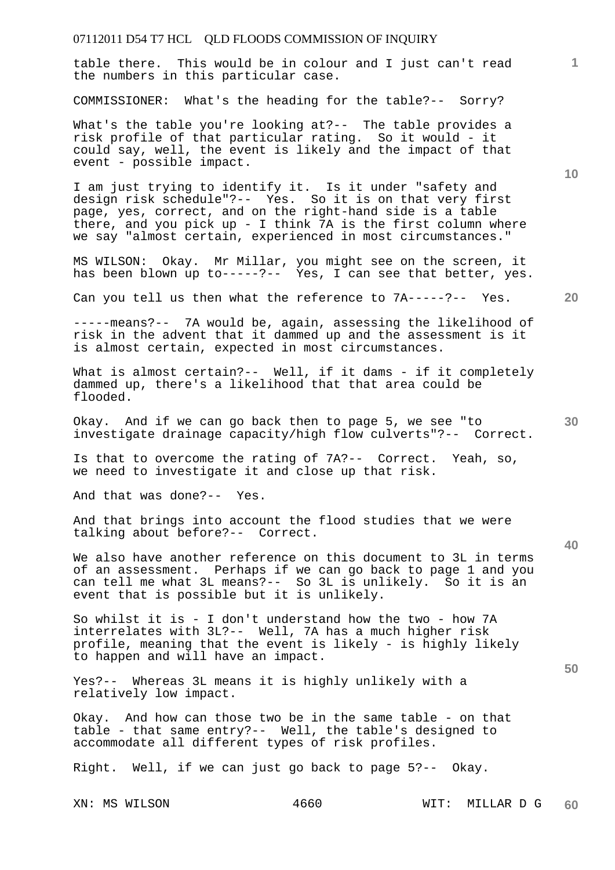table there. This would be in colour and I just can't read the numbers in this particular case.

COMMISSIONER: What's the heading for the table?-- Sorry?

What's the table you're looking at?-- The table provides a risk profile of that particular rating. So it would - it could say, well, the event is likely and the impact of that event - possible impact.

I am just trying to identify it. Is it under "safety and design risk schedule"?-- Yes. So it is on that very first page, yes, correct, and on the right-hand side is a table there, and you pick up - I think 7A is the first column where we say "almost certain, experienced in most circumstances."

MS WILSON: Okay. Mr Millar, you might see on the screen, it has been blown up to-----?-- Yes, I can see that better, yes.

Can you tell us then what the reference to 7A-----?-- Yes.

-----means?-- 7A would be, again, assessing the likelihood of risk in the advent that it dammed up and the assessment is it is almost certain, expected in most circumstances.

What is almost certain?-- Well, if it dams - if it completely dammed up, there's a likelihood that that area could be flooded.

Okay. And if we can go back then to page 5, we see "to investigate drainage capacity/high flow culverts"?-- Correct.

Is that to overcome the rating of 7A?-- Correct. Yeah, so, we need to investigate it and close up that risk.

And that was done?-- Yes.

And that brings into account the flood studies that we were talking about before?-- Correct.

We also have another reference on this document to 3L in terms of an assessment. Perhaps if we can go back to page 1 and you can tell me what 3L means?-- So 3L is unlikely. So it is an event that is possible but it is unlikely.

So whilst it is - I don't understand how the two - how 7A interrelates with 3L?-- Well, 7A has a much higher risk profile, meaning that the event is likely - is highly likely to happen and will have an impact.

Yes?-- Whereas 3L means it is highly unlikely with a relatively low impact.

Okay. And how can those two be in the same table - on that table - that same entry?-- Well, the table's designed to accommodate all different types of risk profiles.

Right. Well, if we can just go back to page 5?-- Okay.

**10** 

**1**

**30** 

**20** 

**40**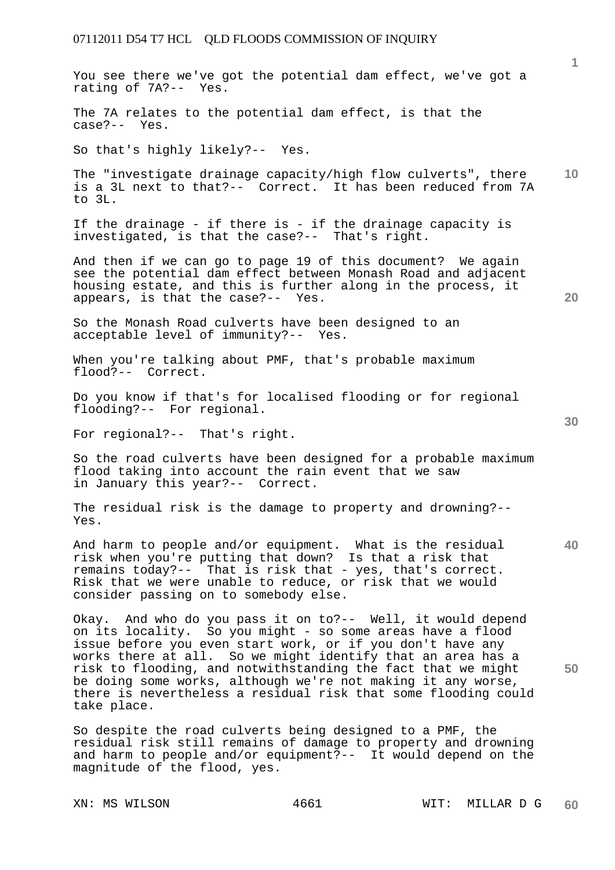|                                                                                                                                                                                                                                                                                                                                                                                                                                                                          | $\mathbf{1}$ |
|--------------------------------------------------------------------------------------------------------------------------------------------------------------------------------------------------------------------------------------------------------------------------------------------------------------------------------------------------------------------------------------------------------------------------------------------------------------------------|--------------|
| You see there we've got the potential dam effect, we've got a<br>rating of 7A?-- Yes.                                                                                                                                                                                                                                                                                                                                                                                    |              |
| The 7A relates to the potential dam effect, is that the<br>case?-- Yes.                                                                                                                                                                                                                                                                                                                                                                                                  |              |
| So that's highly likely?-- Yes.                                                                                                                                                                                                                                                                                                                                                                                                                                          |              |
| The "investigate drainage capacity/high flow culverts", there<br>is a 3L next to that?-- Correct. It has been reduced from 7A<br>to 3L.                                                                                                                                                                                                                                                                                                                                  | 10           |
| If the drainage - if there is - if the drainage capacity is<br>investigated, is that the case?-- That's right.                                                                                                                                                                                                                                                                                                                                                           |              |
| And then if we can go to page 19 of this document? We again<br>see the potential dam effect between Monash Road and adjacent<br>housing estate, and this is further along in the process, it<br>appears, is that the case?-- Yes.                                                                                                                                                                                                                                        | 20           |
| So the Monash Road culverts have been designed to an<br>acceptable level of immunity?-- Yes.                                                                                                                                                                                                                                                                                                                                                                             |              |
| When you're talking about PMF, that's probable maximum<br>flood?-- Correct.                                                                                                                                                                                                                                                                                                                                                                                              |              |
| Do you know if that's for localised flooding or for regional<br>flooding?-- For regional.                                                                                                                                                                                                                                                                                                                                                                                | 30           |
| For regional?-- That's right.                                                                                                                                                                                                                                                                                                                                                                                                                                            |              |
| So the road culverts have been designed for a probable maximum<br>flood taking into account the rain event that we saw<br>in January this year?-- Correct.                                                                                                                                                                                                                                                                                                               |              |
| The residual risk is the damage to property and drowning?--<br>Yes.                                                                                                                                                                                                                                                                                                                                                                                                      |              |
| And harm to people and/or equipment. What is the residual<br>risk when you're putting that down? Is that a risk that<br>remains today?-- That is risk that - yes, that's correct.<br>Risk that we were unable to reduce, or risk that we would<br>consider passing on to somebody else.                                                                                                                                                                                  | 40           |
| Okay. And who do you pass it on to ?-- Well, it would depend<br>on its locality. So you might - so some areas have a flood<br>issue before you even start work, or if you don't have any<br>works there at all. So we might identify that an area has a<br>risk to flooding, and notwithstanding the fact that we might<br>be doing some works, although we're not making it any worse,<br>there is nevertheless a residual risk that some flooding could<br>take place. | 50           |
| So despite the road culverts being designed to a PMF, the<br>residual risk still remains of damage to property and drowning<br>and harm to people and/or equipment?-- It would depend on the<br>magnitude of the flood, yes.                                                                                                                                                                                                                                             |              |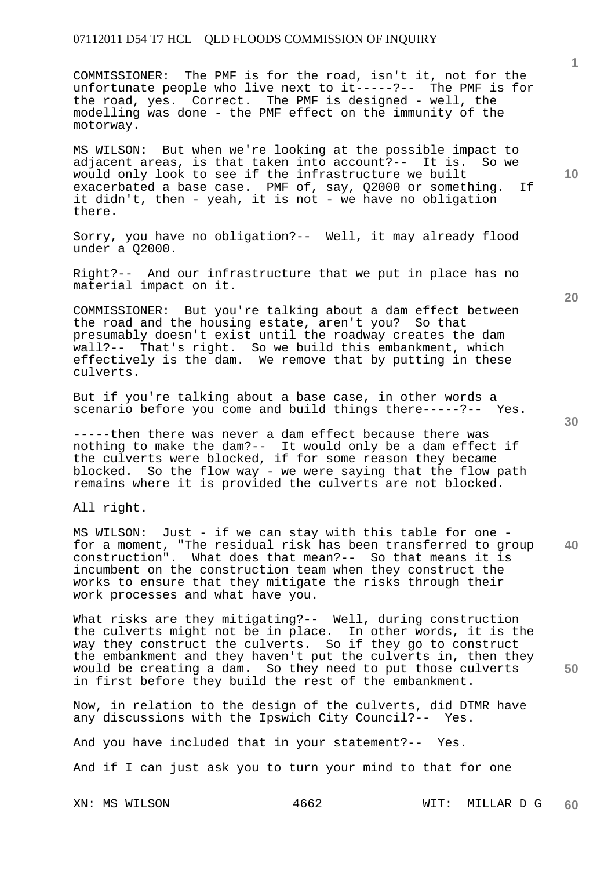COMMISSIONER: The PMF is for the road, isn't it, not for the unfortunate people who live next to it-----?-- The PMF is for the road, yes. Correct. The PMF is designed - well, the modelling was done - the PMF effect on the immunity of the motorway.

MS WILSON: But when we're looking at the possible impact to adjacent areas, is that taken into account?-- It is. So we would only look to see if the infrastructure we built exacerbated a base case. PMF of, say, Q2000 or something. If it didn't, then - yeah, it is not - we have no obligation there.

Sorry, you have no obligation?-- Well, it may already flood under a Q2000.

Right?-- And our infrastructure that we put in place has no material impact on it.

COMMISSIONER: But you're talking about a dam effect between the road and the housing estate, aren't you? So that presumably doesn't exist until the roadway creates the dam wall?-- That's right. So we build this embankment, which effectively is the dam. We remove that by putting in these culverts.

But if you're talking about a base case, in other words a scenario before you come and build things there-----?-- Yes.

-----then there was never a dam effect because there was nothing to make the dam?-- It would only be a dam effect if the culverts were blocked, if for some reason they became blocked. So the flow way - we were saying that the flow path remains where it is provided the culverts are not blocked.

All right.

**40**  MS WILSON: Just - if we can stay with this table for one for a moment, "The residual risk has been transferred to group construction". What does that mean?-- So that means it is incumbent on the construction team when they construct the works to ensure that they mitigate the risks through their work processes and what have you.

What risks are they mitigating?-- Well, during construction the culverts might not be in place. In other words, it is the way they construct the culverts. So if they go to construct the embankment and they haven't put the culverts in, then they would be creating a dam. So they need to put those culverts in first before they build the rest of the embankment.

Now, in relation to the design of the culverts, did DTMR have any discussions with the Ipswich City Council?-- Yes.

And you have included that in your statement?-- Yes.

And if I can just ask you to turn your mind to that for one

XN: MS WILSON 4662 WIT: MILLAR D G **60** 

**20** 

**50** 

**10**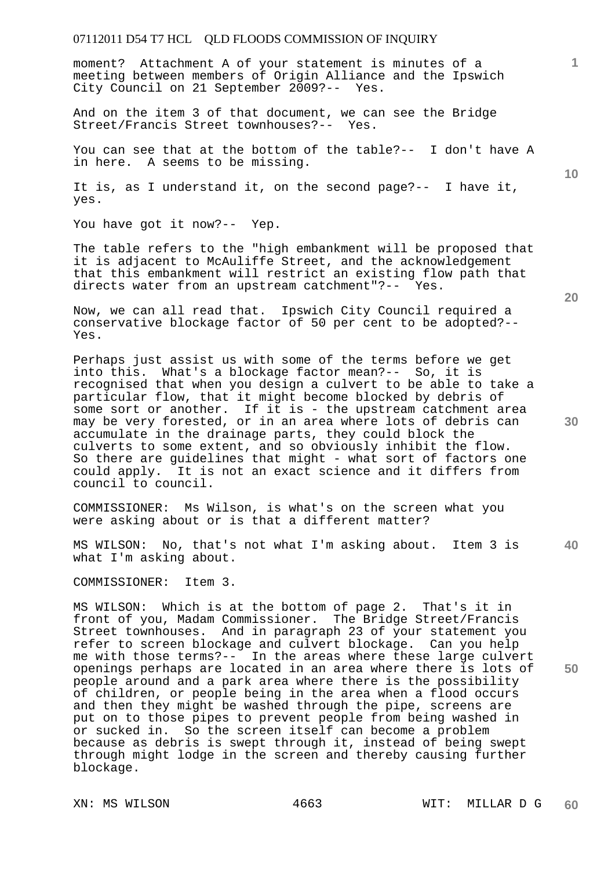moment? Attachment A of your statement is minutes of a meeting between members of Origin Alliance and the Ipswich City Council on 21 September 2009?-- Yes.

And on the item 3 of that document, we can see the Bridge Street/Francis Street townhouses?-- Yes.

You can see that at the bottom of the table?-- I don't have A in here. A seems to be missing.

It is, as I understand it, on the second page?-- I have it, yes.

You have got it now?-- Yep.

The table refers to the "high embankment will be proposed that it is adjacent to McAuliffe Street, and the acknowledgement that this embankment will restrict an existing flow path that directs water from an upstream catchment"?-- Yes.

Now, we can all read that. Ipswich City Council required a conservative blockage factor of 50 per cent to be adopted?-- Yes.

Perhaps just assist us with some of the terms before we get into this. What's a blockage factor mean?-- So, it is recognised that when you design a culvert to be able to take a particular flow, that it might become blocked by debris of some sort or another. If it is - the upstream catchment area may be very forested, or in an area where lots of debris can accumulate in the drainage parts, they could block the culverts to some extent, and so obviously inhibit the flow. So there are guidelines that might - what sort of factors one could apply. It is not an exact science and it differs from council to council.

COMMISSIONER: Ms Wilson, is what's on the screen what you were asking about or is that a different matter?

**40**  MS WILSON: No, that's not what I'm asking about. Item 3 is what I'm asking about.

COMMISSIONER: Item 3.

MS WILSON: Which is at the bottom of page 2. That's it in front of you, Madam Commissioner. The Bridge Street/Francis Street townhouses. And in paragraph 23 of your statement you refer to screen blockage and culvert blockage. Can you help me with those terms?-- In the areas where these large culvert openings perhaps are located in an area where there is lots of people around and a park area where there is the possibility of children, or people being in the area when a flood occurs and then they might be washed through the pipe, screens are put on to those pipes to prevent people from being washed in or sucked in. So the screen itself can become a problem because as debris is swept through it, instead of being swept through might lodge in the screen and thereby causing further blockage.

**20** 

**10** 

**1**

**50**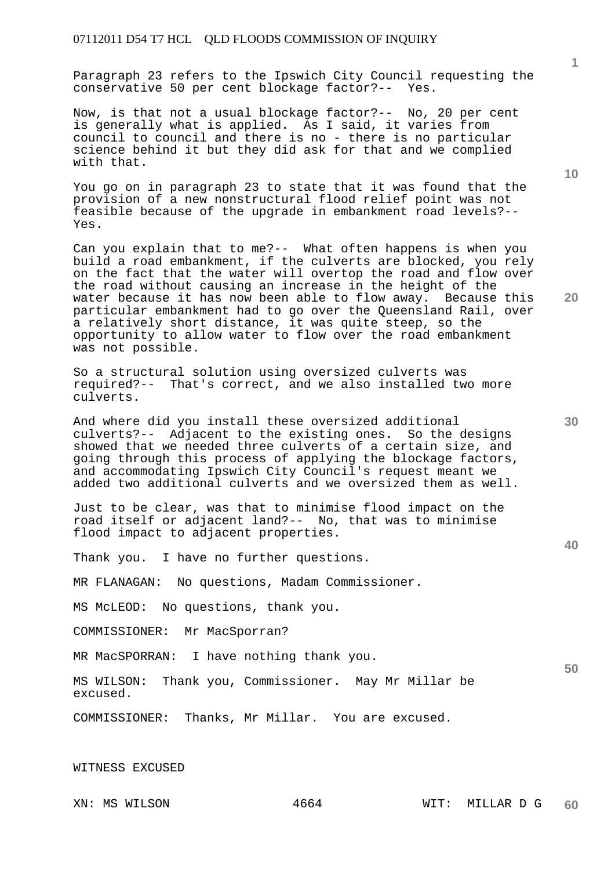Paragraph 23 refers to the Ipswich City Council requesting the conservative 50 per cent blockage factor?-- Yes.

Now, is that not a usual blockage factor?-- No, 20 per cent is generally what is applied. As I said, it varies from council to council and there is no - there is no particular science behind it but they did ask for that and we complied with that.

You go on in paragraph 23 to state that it was found that the provision of a new nonstructural flood relief point was not feasible because of the upgrade in embankment road levels?-- Yes.

Can you explain that to me?-- What often happens is when you build a road embankment, if the culverts are blocked, you rely on the fact that the water will overtop the road and flow over the road without causing an increase in the height of the water because it has now been able to flow away. Because this particular embankment had to go over the Queensland Rail, over a relatively short distance, it was quite steep, so the opportunity to allow water to flow over the road embankment was not possible.

So a structural solution using oversized culverts was required?-- That's correct, and we also installed two more culverts.

And where did you install these oversized additional culverts?-- Adjacent to the existing ones. So the designs showed that we needed three culverts of a certain size, and going through this process of applying the blockage factors, and accommodating Ipswich City Council's request meant we added two additional culverts and we oversized them as well.

Just to be clear, was that to minimise flood impact on the road itself or adjacent land?-- No, that was to minimise flood impact to adjacent properties.

Thank you. I have no further questions.

MR FLANAGAN: No questions, Madam Commissioner.

MS McLEOD: No questions, thank you.

COMMISSIONER: Mr MacSporran?

MR MacSPORRAN: I have nothing thank you.

MS WILSON: Thank you, Commissioner. May Mr Millar be excused.

COMMISSIONER: Thanks, Mr Millar. You are excused.

WITNESS EXCUSED

**10** 

**20** 

**30** 

**40**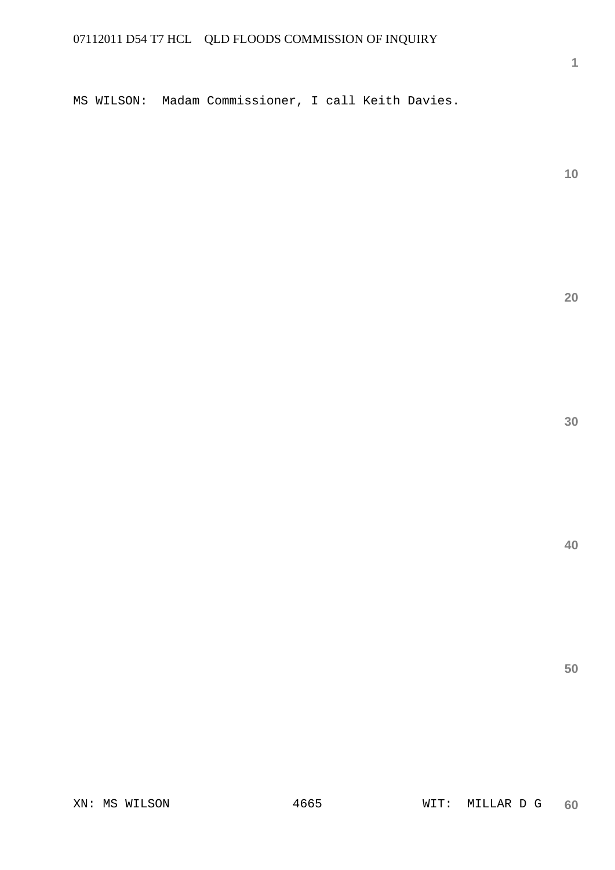MS WILSON: Madam Commissioner, I call Keith Davies.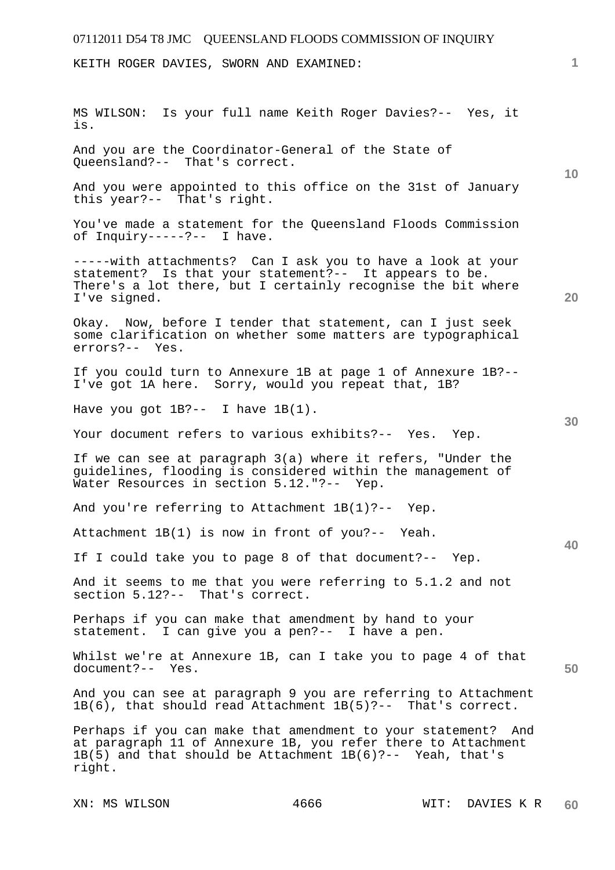KEITH ROGER DAVIES, SWORN AND EXAMINED:

XN: MS WILSON  $4666$  WIT: DAVIES K R MS WILSON: Is your full name Keith Roger Davies?-- Yes, it is. And you are the Coordinator-General of the State of Queensland?-- That's correct. And you were appointed to this office on the 31st of January this year?-- That's right. You've made a statement for the Queensland Floods Commission of Inquiry-----?-- I have. -----with attachments? Can I ask you to have a look at your statement? Is that your statement?-- It appears to be. There's a lot there, but I certainly recognise the bit where I've signed. Okay. Now, before I tender that statement, can I just seek some clarification on whether some matters are typographical errors?-- Yes. If you could turn to Annexure 1B at page 1 of Annexure 1B?-- I've got 1A here. Sorry, would you repeat that, 1B? Have you got 1B?-- I have 1B(1). Your document refers to various exhibits?-- Yes. Yep. If we can see at paragraph 3(a) where it refers, "Under the guidelines, flooding is considered within the management of Water Resources in section 5.12."?-- Yep. And you're referring to Attachment 1B(1)?-- Yep. Attachment 1B(1) is now in front of you?-- Yeah. If I could take you to page 8 of that document?-- Yep. And it seems to me that you were referring to 5.1.2 and not section 5.12?-- That's correct. Perhaps if you can make that amendment by hand to your statement. I can give you a pen?-- I have a pen. Whilst we're at Annexure 1B, can I take you to page 4 of that document?-- Yes. And you can see at paragraph 9 you are referring to Attachment 1B(6), that should read Attachment 1B(5)?-- That's correct. Perhaps if you can make that amendment to your statement? And at paragraph 11 of Annexure 1B, you refer there to Attachment 1B(5) and that should be Attachment 1B(6)?-- Yeah, that's right.

**1**

**10** 

**20** 

**30** 

**40**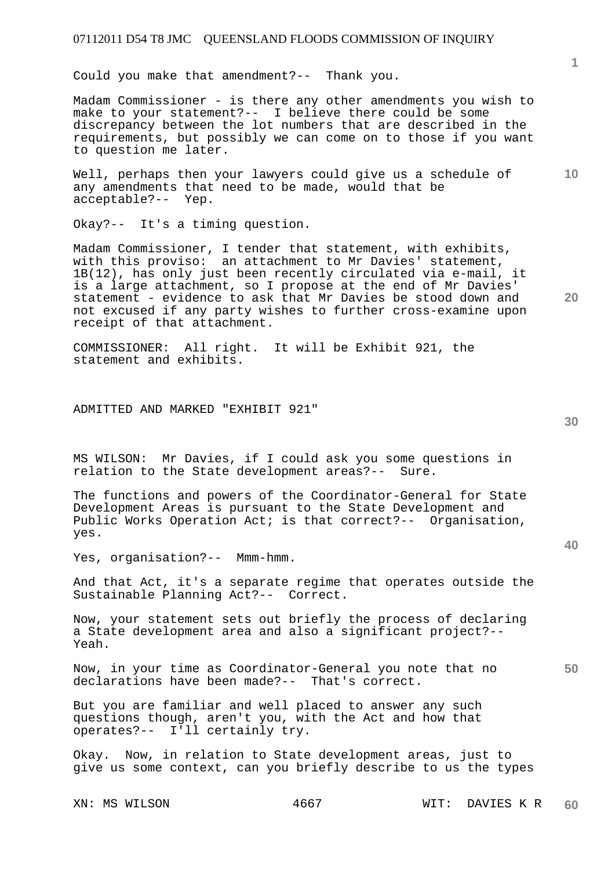Could you make that amendment?-- Thank you.

Madam Commissioner - is there any other amendments you wish to make to your statement?-- I believe there could be some discrepancy between the lot numbers that are described in the requirements, but possibly we can come on to those if you want to question me later.

Well, perhaps then your lawyers could give us a schedule of any amendments that need to be made, would that be acceptable?-- Yep.

Okay?-- It's a timing question.

Madam Commissioner, I tender that statement, with exhibits, with this proviso: an attachment to Mr Davies' statement, 1B(12), has only just been recently circulated via e-mail, it is a large attachment, so I propose at the end of Mr Davies' statement - evidence to ask that Mr Davies be stood down and not excused if any party wishes to further cross-examine upon receipt of that attachment.

COMMISSIONER: All right. It will be Exhibit 921, the statement and exhibits.

ADMITTED AND MARKED "EXHIBIT 921"

MS WILSON: Mr Davies, if I could ask you some questions in relation to the State development areas?-- Sure.

The functions and powers of the Coordinator-General for State Development Areas is pursuant to the State Development and Public Works Operation Act; is that correct?-- Organisation, yes.

Yes, organisation?-- Mmm-hmm.

And that Act, it's a separate regime that operates outside the Sustainable Planning Act?-- Correct.

Now, your statement sets out briefly the process of declaring a State development area and also a significant project?-- Yeah.

**50**  Now, in your time as Coordinator-General you note that no declarations have been made?-- That's correct.

But you are familiar and well placed to answer any such questions though, aren't you, with the Act and how that operates?-- I'll certainly try.

Okay. Now, in relation to State development areas, just to give us some context, can you briefly describe to us the types

**1**

**10** 

**30** 

**20**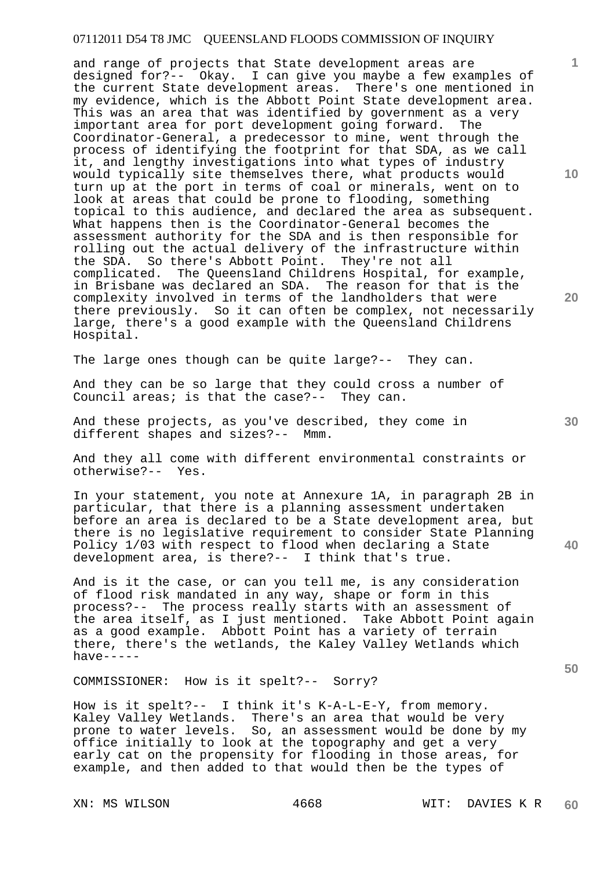and range of projects that State development areas are designed for?-- Okay. I can give you maybe a few examples of the current State development areas. There's one mentioned in my evidence, which is the Abbott Point State development area. This was an area that was identified by government as a very important area for port development going forward. The Coordinator-General, a predecessor to mine, went through the process of identifying the footprint for that SDA, as we call it, and lengthy investigations into what types of industry would typically site themselves there, what products would turn up at the port in terms of coal or minerals, went on to look at areas that could be prone to flooding, something topical to this audience, and declared the area as subsequent. What happens then is the Coordinator-General becomes the assessment authority for the SDA and is then responsible for rolling out the actual delivery of the infrastructure within the SDA. So there's Abbott Point. They're not all complicated. The Queensland Childrens Hospital, for example, in Brisbane was declared an SDA. The reason for that is the complexity involved in terms of the landholders that were there previously. So it can often be complex, not necessarily large, there's a good example with the Queensland Childrens Hospital.

The large ones though can be quite large?-- They can.

And they can be so large that they could cross a number of Council areas; is that the case?-- They can.

And these projects, as you've described, they come in different shapes and sizes?-- Mmm. different shapes and sizes?--

And they all come with different environmental constraints or otherwise?-- Yes.

In your statement, you note at Annexure 1A, in paragraph 2B in particular, that there is a planning assessment undertaken before an area is declared to be a State development area, but there is no legislative requirement to consider State Planning Policy 1/03 with respect to flood when declaring a State development area, is there?-- I think that's true.

And is it the case, or can you tell me, is any consideration of flood risk mandated in any way, shape or form in this process?-- The process really starts with an assessment of the area itself, as I just mentioned. Take Abbott Point again as a good example. Abbott Point has a variety of terrain there, there's the wetlands, the Kaley Valley Wetlands which have-----

COMMISSIONER: How is it spelt?-- Sorry?

How is it spelt?-- I think it's K-A-L-E-Y, from memory. Kaley Valley Wetlands. There's an area that would be very prone to water levels. So, an assessment would be done by my office initially to look at the topography and get a very early cat on the propensity for flooding in those areas, for example, and then added to that would then be the types of

**10** 

**1**

**20** 

**30** 

**40**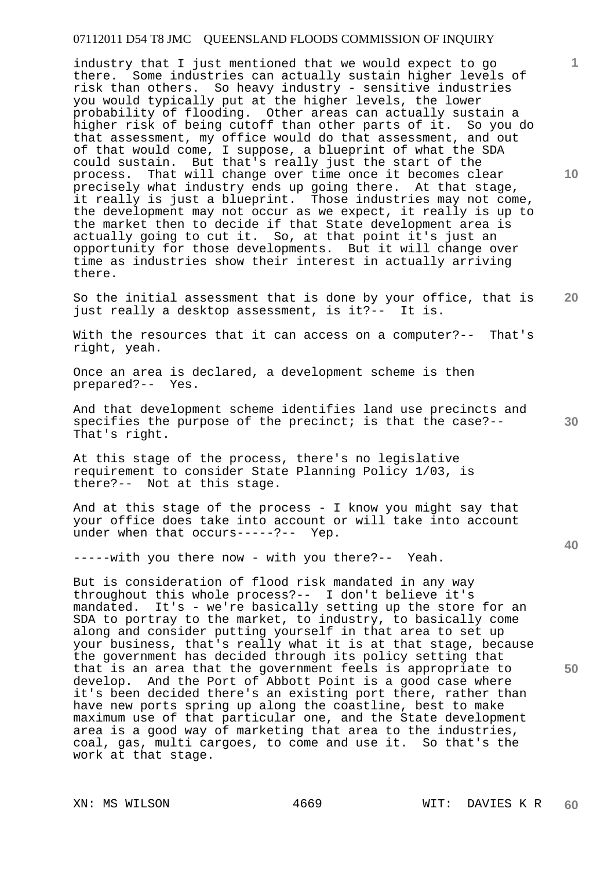industry that I just mentioned that we would expect to go there. Some industries can actually sustain higher levels of risk than others. So heavy industry - sensitive industries you would typically put at the higher levels, the lower probability of flooding. Other areas can actually sustain a higher risk of being cutoff than other parts of it. So you do that assessment, my office would do that assessment, and out of that would come, I suppose, a blueprint of what the SDA could sustain. But that's really just the start of the process. That will change over time once it becomes clear precisely what industry ends up going there. At that stage, it really is just a blueprint. Those industries may not come, the development may not occur as we expect, it really is up to the market then to decide if that State development area is actually going to cut it. So, at that point it's just an opportunity for those developments. But it will change over time as industries show their interest in actually arriving there.

**20**  So the initial assessment that is done by your office, that is just really a desktop assessment, is it?-- It is.

With the resources that it can access on a computer?-- That's right, yeah.

Once an area is declared, a development scheme is then prepared?-- Yes.

And that development scheme identifies land use precincts and specifies the purpose of the precinct; is that the case?-- That's right.

At this stage of the process, there's no legislative requirement to consider State Planning Policy 1/03, is there?-- Not at this stage.

And at this stage of the process - I know you might say that your office does take into account or will take into account under when that occurs-----?-- Yep.

-----with you there now - with you there?-- Yeah.

But is consideration of flood risk mandated in any way throughout this whole process?-- I don't believe it's mandated. It's - we're basically setting up the store for an SDA to portray to the market, to industry, to basically come along and consider putting yourself in that area to set up your business, that's really what it is at that stage, because the government has decided through its policy setting that that is an area that the government feels is appropriate to develop. And the Port of Abbott Point is a good case where it's been decided there's an existing port there, rather than have new ports spring up along the coastline, best to make maximum use of that particular one, and the State development area is a good way of marketing that area to the industries, coal, gas, multi cargoes, to come and use it. So that's the work at that stage.

**10** 

**1**

**30**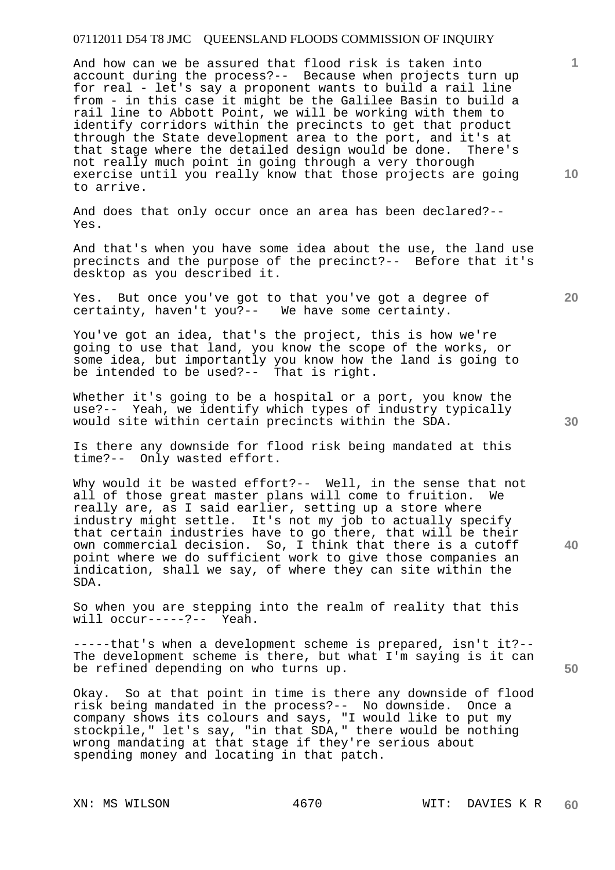And how can we be assured that flood risk is taken into account during the process?-- Because when projects turn up for real - let's say a proponent wants to build a rail line from - in this case it might be the Galilee Basin to build a rail line to Abbott Point, we will be working with them to identify corridors within the precincts to get that product through the State development area to the port, and it's at that stage where the detailed design would be done. There's not really much point in going through a very thorough exercise until you really know that those projects are going to arrive.

And does that only occur once an area has been declared?-- Yes.

And that's when you have some idea about the use, the land use precincts and the purpose of the precinct?-- Before that it's desktop as you described it.

Yes. But once you've got to that you've got a degree of certainty, haven't you?-- We have some certainty.

You've got an idea, that's the project, this is how we're going to use that land, you know the scope of the works, or some idea, but importantly you know how the land is going to be intended to be used?-- That is right.

Whether it's going to be a hospital or a port, you know the use?-- Yeah, we identify which types of industry typically would site within certain precincts within the SDA.

Is there any downside for flood risk being mandated at this time?-- Only wasted effort.

Why would it be wasted effort?-- Well, in the sense that not all of those great master plans will come to fruition. really are, as I said earlier, setting up a store where industry might settle. It's not my job to actually specify that certain industries have to go there, that will be their own commercial decision. So, I think that there is a cutoff point where we do sufficient work to give those companies an indication, shall we say, of where they can site within the SDA.

So when you are stepping into the realm of reality that this will occur-----?-- Yeah.

-----that's when a development scheme is prepared, isn't it?-- The development scheme is there, but what I'm saying is it can be refined depending on who turns up.

Okay. So at that point in time is there any downside of flood risk being mandated in the process?-- No downside. Once a company shows its colours and says, "I would like to put my stockpile," let's say, "in that SDA," there would be nothing wrong mandating at that stage if they're serious about spending money and locating in that patch.

**10** 

**1**

**30** 

**20**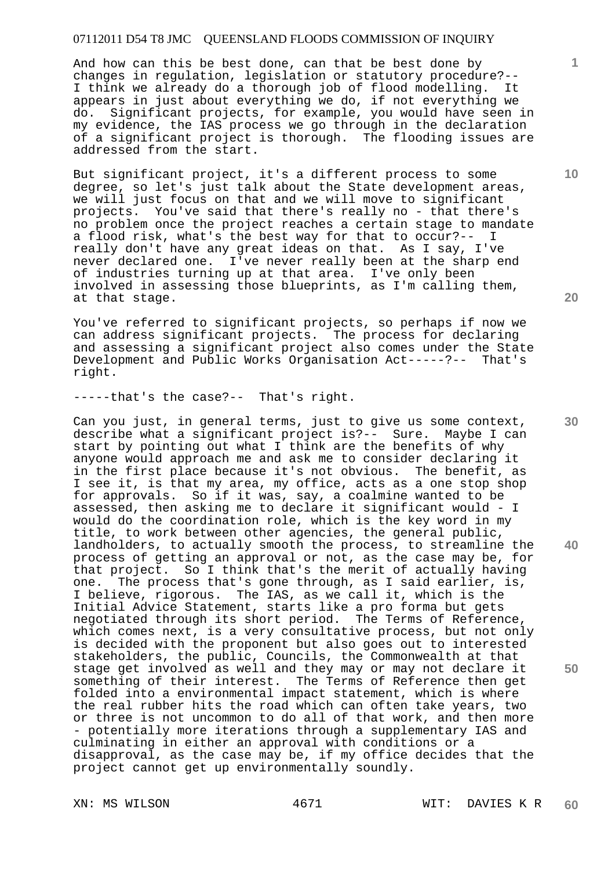And how can this be best done, can that be best done by changes in regulation, legislation or statutory procedure?-- I think we already do a thorough job of flood modelling. It appears in just about everything we do, if not everything we do. Significant projects, for example, you would have seen in my evidence, the IAS process we go through in the declaration of a significant project is thorough. The flooding issues are addressed from the start.

But significant project, it's a different process to some degree, so let's just talk about the State development areas, we will just focus on that and we will move to significant projects. You've said that there's really no - that there's no problem once the project reaches a certain stage to mandate a flood risk, what's the best way for that to occur?-- I really don't have any great ideas on that. As I say, I've never declared one. I've never really been at the sharp end of industries turning up at that area. I've only been involved in assessing those blueprints, as I'm calling them, at that stage.

You've referred to significant projects, so perhaps if now we can address significant projects. The process for declaring and assessing a significant project also comes under the State Development and Public Works Organisation Act-----?-- That's right.

-----that's the case?-- That's right.

Can you just, in general terms, just to give us some context, describe what a significant project is?-- Sure. Maybe I can start by pointing out what I think are the benefits of why anyone would approach me and ask me to consider declaring it in the first place because it's not obvious. The benefit, as I see it, is that my area, my office, acts as a one stop shop for approvals. So if it was, say, a coalmine wanted to be assessed, then asking me to declare it significant would - I would do the coordination role, which is the key word in my title, to work between other agencies, the general public, landholders, to actually smooth the process, to streamline the process of getting an approval or not, as the case may be, for that project. So I think that's the merit of actually having one. The process that's gone through, as I said earlier, is, I believe, rigorous. The IAS, as we call it, which is the Initial Advice Statement, starts like a pro forma but gets negotiated through its short period. The Terms of Reference, which comes next, is a very consultative process, but not only is decided with the proponent but also goes out to interested stakeholders, the public, Councils, the Commonwealth at that stage get involved as well and they may or may not declare it something of their interest. The Terms of Reference then get folded into a environmental impact statement, which is where the real rubber hits the road which can often take years, two or three is not uncommon to do all of that work, and then more - potentially more iterations through a supplementary IAS and culminating in either an approval with conditions or a disapproval, as the case may be, if my office decides that the project cannot get up environmentally soundly.

**10** 

**1**

**30** 

**40** 

**50**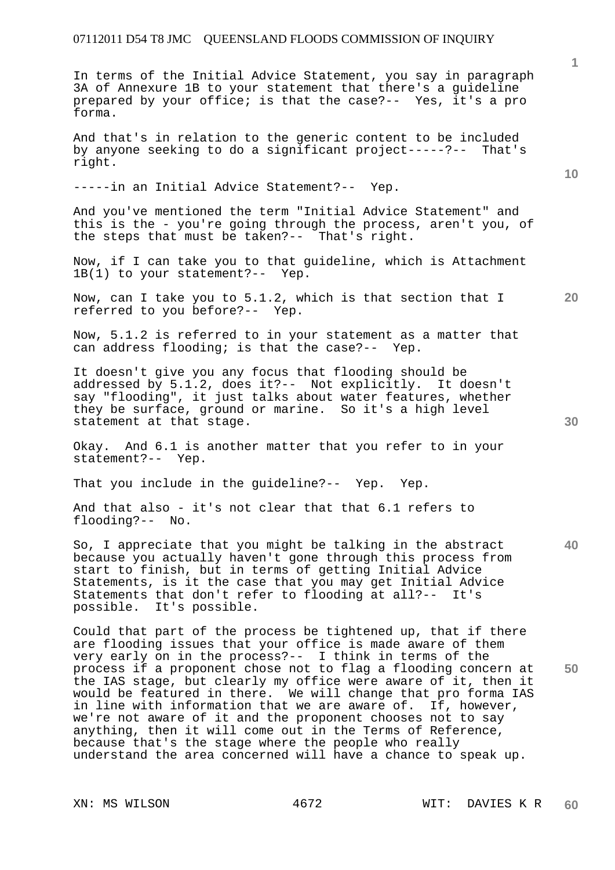In terms of the Initial Advice Statement, you say in paragraph 3A of Annexure 1B to your statement that there's a guideline prepared by your office; is that the case?-- Yes, it's a pro forma.

And that's in relation to the generic content to be included by anyone seeking to do a significant project-----?-- That's right.

-----in an Initial Advice Statement?-- Yep.

And you've mentioned the term "Initial Advice Statement" and this is the - you're going through the process, aren't you, of the steps that must be taken?-- That's right.

Now, if I can take you to that guideline, which is Attachment 1B(1) to your statement?-- Yep.

Now, can I take you to 5.1.2, which is that section that I referred to you before?-- Yep.

Now, 5.1.2 is referred to in your statement as a matter that can address flooding; is that the case?-- Yep.

It doesn't give you any focus that flooding should be addressed by 5.1.2, does it?-- Not explicitly. It doesn't say "flooding", it just talks about water features, whether they be surface, ground or marine. So it's a high level statement at that stage.

Okay. And 6.1 is another matter that you refer to in your statement?-- Yep.

That you include in the guideline?-- Yep. Yep.

And that also - it's not clear that that 6.1 refers to flooding?-- No.

So, I appreciate that you might be talking in the abstract because you actually haven't gone through this process from start to finish, but in terms of getting Initial Advice Statements, is it the case that you may get Initial Advice Statements that don't refer to flooding at all?-- It's possible. It's possible.

Could that part of the process be tightened up, that if there are flooding issues that your office is made aware of them very early on in the process?-- I think in terms of the process if a proponent chose not to flag a flooding concern at the IAS stage, but clearly my office were aware of it, then it would be featured in there. We will change that pro forma IAS in line with information that we are aware of. If, however, we're not aware of it and the proponent chooses not to say anything, then it will come out in the Terms of Reference, because that's the stage where the people who really understand the area concerned will have a chance to speak up.

**10** 

**1**

**20** 

**30** 

**50**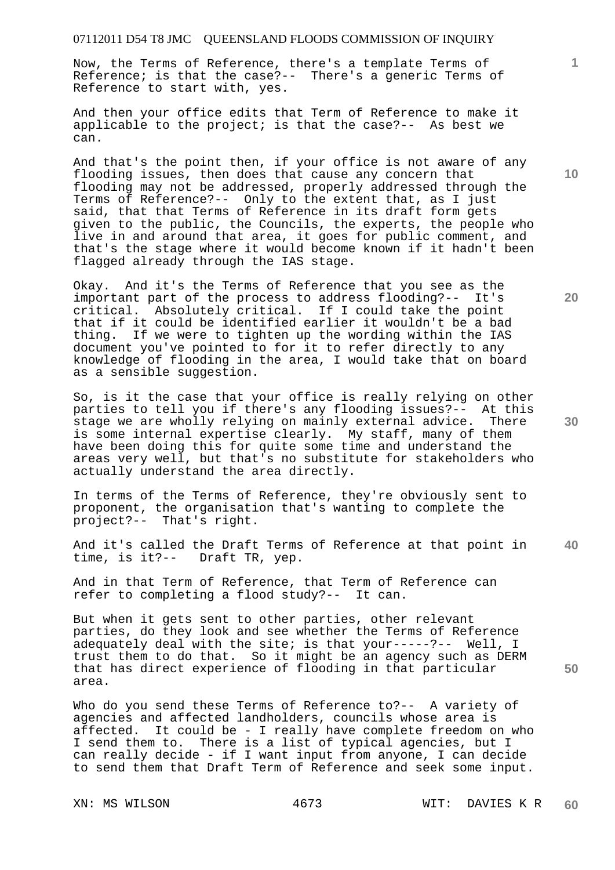Now, the Terms of Reference, there's a template Terms of Reference; is that the case?-- There's a generic Terms of Reference to start with, yes.

And then your office edits that Term of Reference to make it applicable to the project; is that the case?-- As best we can.

And that's the point then, if your office is not aware of any flooding issues, then does that cause any concern that flooding may not be addressed, properly addressed through the Terms of Reference?-- Only to the extent that, as I just said, that that Terms of Reference in its draft form gets given to the public, the Councils, the experts, the people who live in and around that area, it goes for public comment, and that's the stage where it would become known if it hadn't been flagged already through the IAS stage.

Okay. And it's the Terms of Reference that you see as the important part of the process to address flooding?-- It's critical. Absolutely critical. If I could take the point that if it could be identified earlier it wouldn't be a bad thing. If we were to tighten up the wording within the IAS document you've pointed to for it to refer directly to any knowledge of flooding in the area, I would take that on board as a sensible suggestion.

So, is it the case that your office is really relying on other parties to tell you if there's any flooding issues?-- At this stage we are wholly relying on mainly external advice. There is some internal expertise clearly. My staff, many of them have been doing this for quite some time and understand the areas very well, but that's no substitute for stakeholders who actually understand the area directly.

In terms of the Terms of Reference, they're obviously sent to proponent, the organisation that's wanting to complete the project?-- That's right.

**40**  And it's called the Draft Terms of Reference at that point in time, is it?-- Draft TR, yep. Draft TR, yep.

And in that Term of Reference, that Term of Reference can refer to completing a flood study?-- It can.

But when it gets sent to other parties, other relevant parties, do they look and see whether the Terms of Reference adequately deal with the site; is that your-----?-- Well, I trust them to do that. So it might be an agency such as DERM that has direct experience of flooding in that particular area.

Who do you send these Terms of Reference to ?-- A variety of agencies and affected landholders, councils whose area is affected. It could be - I really have complete freedom on who I send them to. There is a list of typical agencies, but I can really decide - if I want input from anyone, I can decide to send them that Draft Term of Reference and seek some input.

**10** 

**1**

**20** 

**30**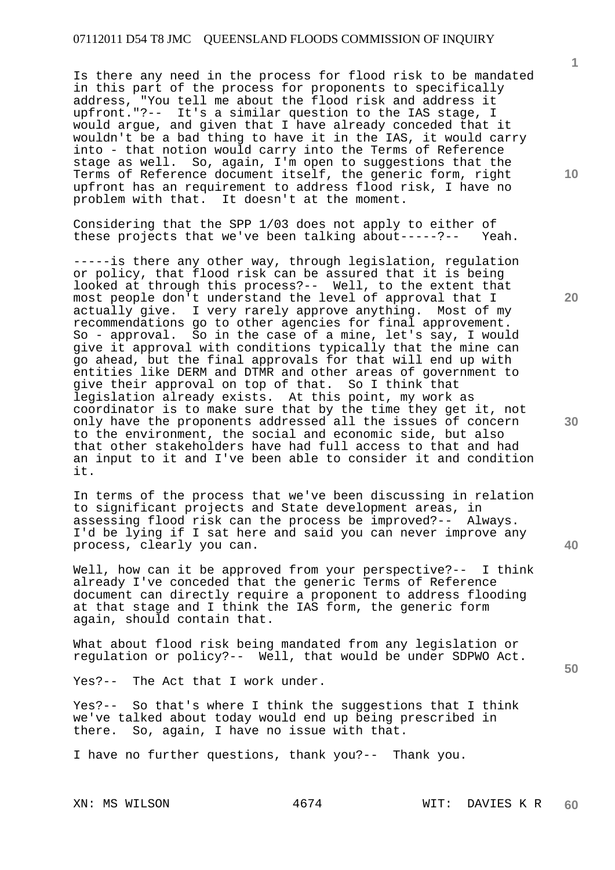Is there any need in the process for flood risk to be mandated in this part of the process for proponents to specifically address, "You tell me about the flood risk and address it upfront."?-- It's a similar question to the IAS stage, I would argue, and given that I have already conceded that it wouldn't be a bad thing to have it in the IAS, it would carry into - that notion would carry into the Terms of Reference stage as well. So, again, I'm open to suggestions that the Terms of Reference document itself, the generic form, right upfront has an requirement to address flood risk, I have no problem with that. It doesn't at the moment.

Considering that the SPP 1/03 does not apply to either of<br>these projects that we've been talking about-----?-- Yeah. these projects that we've been talking about-----?--

-----is there any other way, through legislation, regulation or policy, that flood risk can be assured that it is being looked at through this process?-- Well, to the extent that most people don't understand the level of approval that I actually give. I very rarely approve anything. Most of my recommendations go to other agencies for final approvement. So - approval. So in the case of a mine, let's say, I would give it approval with conditions typically that the mine can go ahead, but the final approvals for that will end up with entities like DERM and DTMR and other areas of government to give their approval on top of that. So I think that legislation already exists. At this point, my work as coordinator is to make sure that by the time they get it, not only have the proponents addressed all the issues of concern to the environment, the social and economic side, but also that other stakeholders have had full access to that and had an input to it and I've been able to consider it and condition it.

In terms of the process that we've been discussing in relation to significant projects and State development areas, in assessing flood risk can the process be improved?-- Always. I'd be lying if I sat here and said you can never improve any process, clearly you can.

Well, how can it be approved from your perspective?-- I think already I've conceded that the generic Terms of Reference document can directly require a proponent to address flooding at that stage and I think the IAS form, the generic form again, should contain that.

What about flood risk being mandated from any legislation or regulation or policy?-- Well, that would be under SDPWO Act.

Yes?-- The Act that I work under.

Yes?-- So that's where I think the suggestions that I think we've talked about today would end up being prescribed in there. So, again, I have no issue with that.

I have no further questions, thank you?-- Thank you.

**1**

**10** 

**20** 

**40**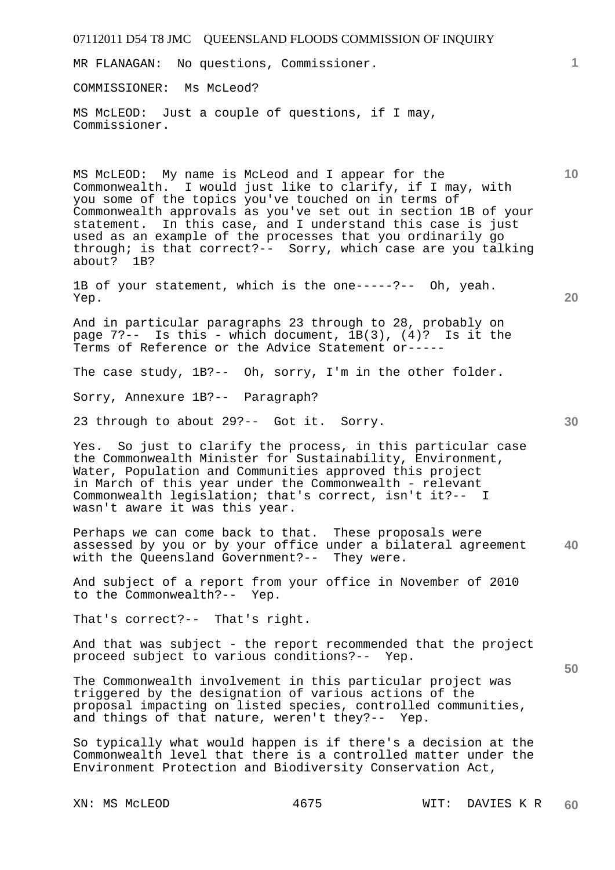| 07112011 D54 T8 JMC QUEENSLAND FLOODS COMMISSION OF INQUIRY                                                                                                                                                                                                                                                                                                                                                                                           |                 |
|-------------------------------------------------------------------------------------------------------------------------------------------------------------------------------------------------------------------------------------------------------------------------------------------------------------------------------------------------------------------------------------------------------------------------------------------------------|-----------------|
| No questions, Commissioner.<br>MR FLANAGAN:                                                                                                                                                                                                                                                                                                                                                                                                           | $\mathbf{1}$    |
| COMMISSIONER: Ms McLeod?                                                                                                                                                                                                                                                                                                                                                                                                                              |                 |
| MS McLEOD: Just a couple of questions, if I may,<br>Commissioner.                                                                                                                                                                                                                                                                                                                                                                                     |                 |
| MS McLEOD: My name is McLeod and I appear for the<br>Commonwealth. I would just like to clarify, if I may, with<br>you some of the topics you've touched on in terms of<br>Commonwealth approvals as you've set out in section 1B of your<br>statement. In this case, and I understand this case is just<br>used as an example of the processes that you ordinarily go<br>through; is that correct?-- Sorry, which case are you talking<br>about? 1B? | 10 <sup>°</sup> |
| 1B of your statement, which is the one-----?-- Oh, yeah.<br>Yep.                                                                                                                                                                                                                                                                                                                                                                                      | 20              |
| And in particular paragraphs 23 through to 28, probably on<br>page $7$ ?-- Is this - which document, $1B(3)$ , $(4)$ ? Is it the<br>Terms of Reference or the Advice Statement or-----                                                                                                                                                                                                                                                                |                 |
| The case study, 1B?-- Oh, sorry, I'm in the other folder.                                                                                                                                                                                                                                                                                                                                                                                             |                 |
| Sorry, Annexure 1B?-- Paragraph?                                                                                                                                                                                                                                                                                                                                                                                                                      |                 |
| 23 through to about 29?-- Got it. Sorry.                                                                                                                                                                                                                                                                                                                                                                                                              | 30              |
| Yes. So just to clarify the process, in this particular case<br>the Commonwealth Minister for Sustainability, Environment,<br>Water, Population and Communities approved this project<br>in March of this year under the Commonwealth - relevant<br>Commonwealth legislation; that's correct, isn't it ?-- I<br>wasn't aware it was this year.                                                                                                        |                 |
| Perhaps we can come back to that. These proposals were<br>assessed by you or by your office under a bilateral agreement<br>with the Queensland Government?-- They were.                                                                                                                                                                                                                                                                               | 40              |
| And subject of a report from your office in November of 2010<br>to the Commonwealth?-- Yep.                                                                                                                                                                                                                                                                                                                                                           |                 |
| That's correct?-- That's right.                                                                                                                                                                                                                                                                                                                                                                                                                       |                 |
| And that was subject - the report recommended that the project<br>proceed subject to various conditions?-- Yep.                                                                                                                                                                                                                                                                                                                                       | 50              |
| The Commonwealth involvement in this particular project was<br>triggered by the designation of various actions of the<br>proposal impacting on listed species, controlled communities,<br>and things of that nature, weren't they?-- Yep.                                                                                                                                                                                                             |                 |
| So typically what would happen is if there's a decision at the<br>Commonwealth level that there is a controlled matter under the<br>Environment Protection and Biodiversity Conservation Act,                                                                                                                                                                                                                                                         |                 |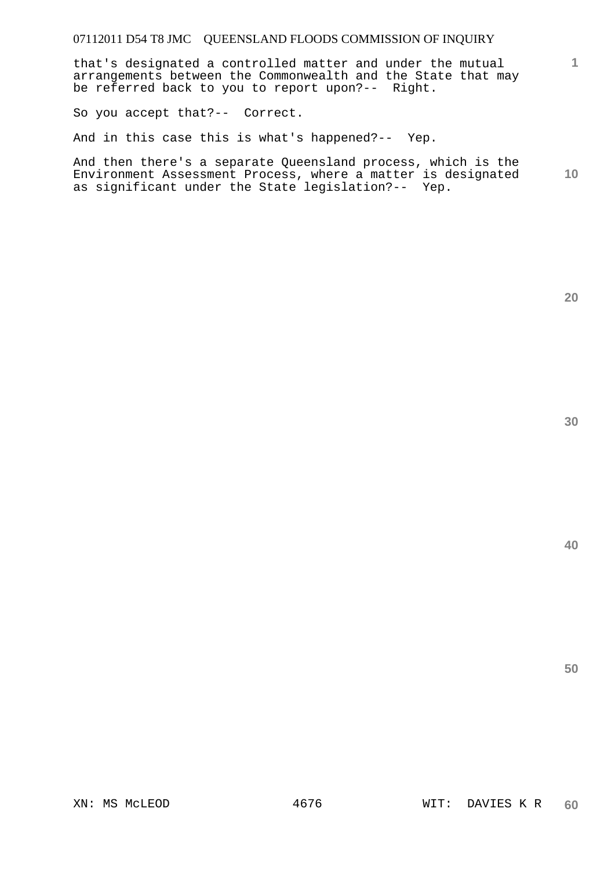that's designated a controlled matter and under the mutual arrangements between the Commonwealth and the State that may be referred back to you to report upon?-- Right.

So you accept that?-- Correct.

And in this case this is what's happened?-- Yep.

**10**  And then there's a separate Queensland process, which is the Environment Assessment Process, where a matter is designated as significant under the State legislation?-- Yep.

**20** 

**1**

**40**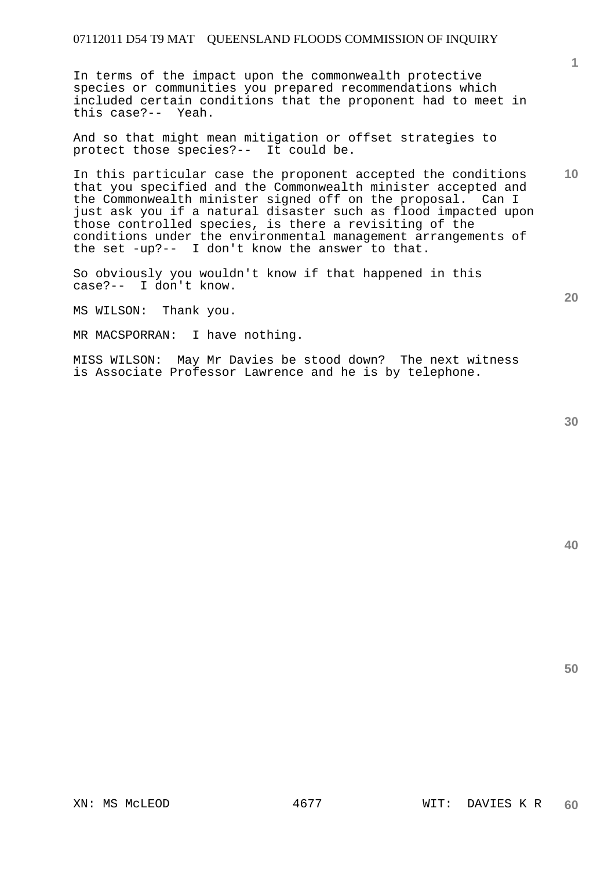In terms of the impact upon the commonwealth protective species or communities you prepared recommendations which included certain conditions that the proponent had to meet in this case?-- Yeah.

And so that might mean mitigation or offset strategies to protect those species?-- It could be.

In this particular case the proponent accepted the conditions that you specified and the Commonwealth minister accepted and the Commonwealth minister signed off on the proposal. Can I just ask you if a natural disaster such as flood impacted upon those controlled species, is there a revisiting of the conditions under the environmental management arrangements of the set -up?-- I don't know the answer to that.

So obviously you wouldn't know if that happened in this case?-- I don't know.

MS WILSON: Thank you.

MR MACSPORRAN: I have nothing.

MISS WILSON: May Mr Davies be stood down? The next witness is Associate Professor Lawrence and he is by telephone.

**40** 

**50** 

**1**

**10**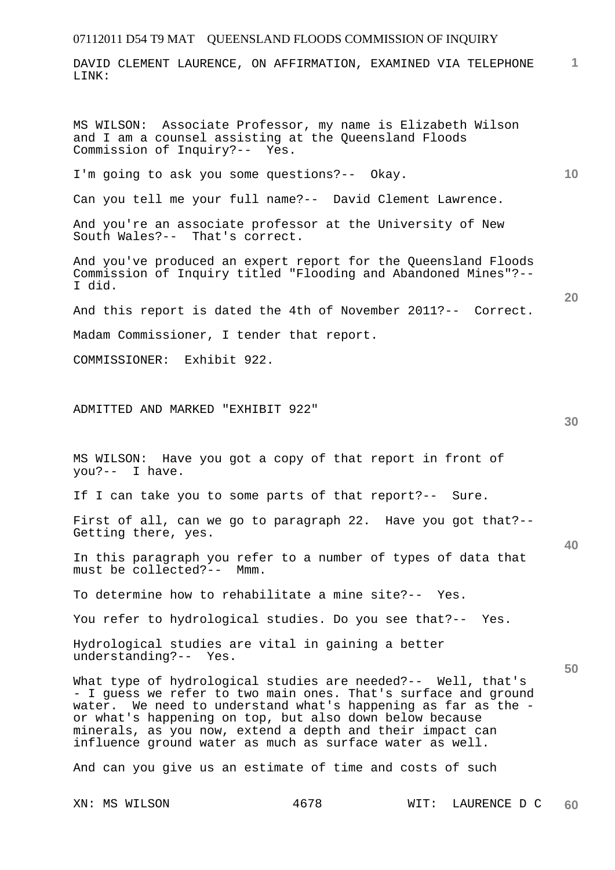DAVID CLEMENT LAURENCE, ON AFFIRMATION, EXAMINED VIA TELEPHONE LINK:

MS WILSON: Associate Professor, my name is Elizabeth Wilson and I am a counsel assisting at the Queensland Floods Commission of Inquiry?-- Yes.

I'm going to ask you some questions?-- Okay.

Can you tell me your full name?-- David Clement Lawrence.

And you're an associate professor at the University of New South Wales?-- That's correct.

And you've produced an expert report for the Queensland Floods Commission of Inquiry titled "Flooding and Abandoned Mines"?-- I did.

And this report is dated the 4th of November 2011?-- Correct.

Madam Commissioner, I tender that report.

COMMISSIONER: Exhibit 922.

ADMITTED AND MARKED "EXHIBIT 922"

MS WILSON: Have you got a copy of that report in front of you?-- I have.

If I can take you to some parts of that report?-- Sure.

First of all, can we go to paragraph 22. Have you got that?-- Getting there, yes.

In this paragraph you refer to a number of types of data that must be collected?-- Mmm.

To determine how to rehabilitate a mine site?-- Yes.

You refer to hydrological studies. Do you see that?-- Yes.

Hydrological studies are vital in gaining a better understanding?-- Yes.

What type of hydrological studies are needed?-- Well, that's - I guess we refer to two main ones. That's surface and ground water. We need to understand what's happening as far as the or what's happening on top, but also down below because minerals, as you now, extend a depth and their impact can influence ground water as much as surface water as well.

And can you give us an estimate of time and costs of such

**1**

**10** 

**20** 

**30** 

**40**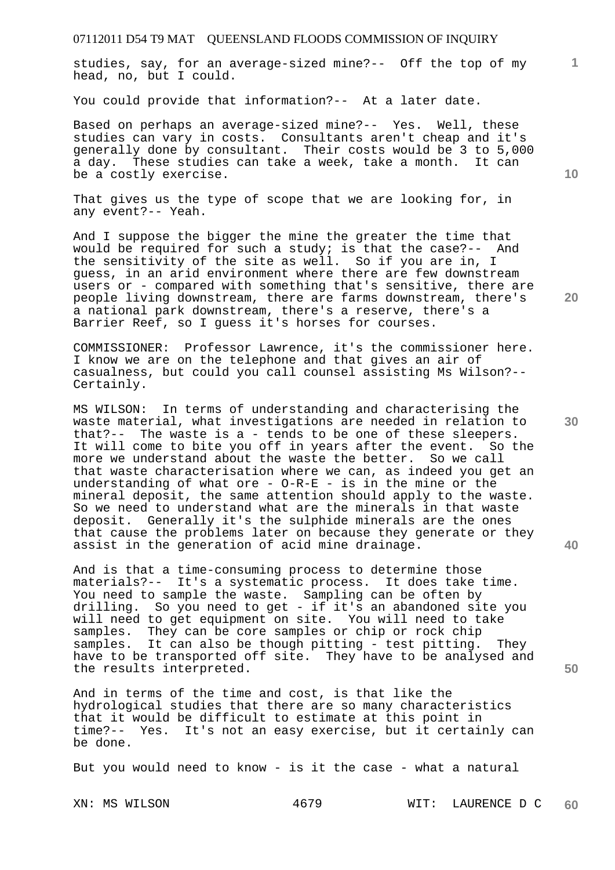studies, say, for an average-sized mine?-- Off the top of my head, no, but I could.

You could provide that information?-- At a later date.

Based on perhaps an average-sized mine?-- Yes. Well, these studies can vary in costs. Consultants aren't cheap and it's generally done by consultant. Their costs would be 3 to 5,000 a day. These studies can take a week, take a month. It can be a costly exercise.

That gives us the type of scope that we are looking for, in any event?-- Yeah.

And I suppose the bigger the mine the greater the time that would be required for such a study; is that the case?-- And the sensitivity of the site as well. So if you are in, I guess, in an arid environment where there are few downstream users or - compared with something that's sensitive, there are people living downstream, there are farms downstream, there's a national park downstream, there's a reserve, there's a Barrier Reef, so I guess it's horses for courses.

COMMISSIONER: Professor Lawrence, it's the commissioner here. I know we are on the telephone and that gives an air of casualness, but could you call counsel assisting Ms Wilson?-- Certainly.

MS WILSON: In terms of understanding and characterising the waste material, what investigations are needed in relation to that?-- The waste is a - tends to be one of these sleepers. It will come to bite you off in years after the event. So the more we understand about the waste the better. So we call that waste characterisation where we can, as indeed you get an understanding of what ore - O-R-E - is in the mine or the mineral deposit, the same attention should apply to the waste. So we need to understand what are the minerals in that waste deposit. Generally it's the sulphide minerals are the ones that cause the problems later on because they generate or they assist in the generation of acid mine drainage.

And is that a time-consuming process to determine those materials?-- It's a systematic process. It does take time. You need to sample the waste. Sampling can be often by drilling. So you need to get - if it's an abandoned site you will need to get equipment on site. You will need to take samples. They can be core samples or chip or rock chip samples. It can also be though pitting - test pitting. They have to be transported off site. They have to be analysed and the results interpreted.

And in terms of the time and cost, is that like the hydrological studies that there are so many characteristics that it would be difficult to estimate at this point in time?-- Yes. It's not an easy exercise, but it certainly can be done.

But you would need to know - is it the case - what a natural

**10** 

**1**

**20** 

**50**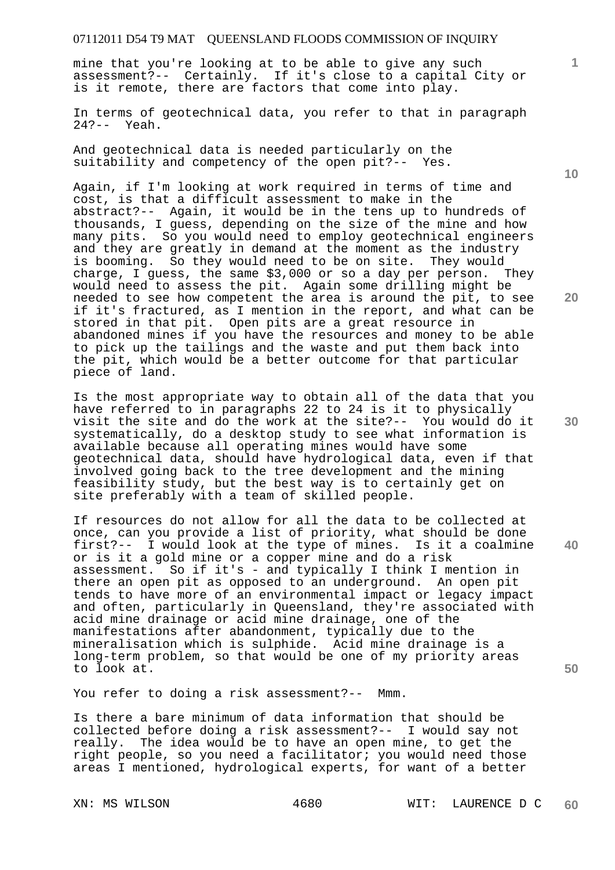mine that you're looking at to be able to give any such assessment?-- Certainly. If it's close to a capital City or is it remote, there are factors that come into play.

In terms of geotechnical data, you refer to that in paragraph 24?-- Yeah.

And geotechnical data is needed particularly on the suitability and competency of the open pit?-- Yes.

Again, if I'm looking at work required in terms of time and cost, is that a difficult assessment to make in the abstract?-- Again, it would be in the tens up to hundreds of thousands, I guess, depending on the size of the mine and how many pits. So you would need to employ geotechnical engineers and they are greatly in demand at the moment as the industry is booming. So they would need to be on site. They would charge, I guess, the same \$3,000 or so a day per person. They would need to assess the pit. Again some drilling might be needed to see how competent the area is around the pit, to see if it's fractured, as I mention in the report, and what can be stored in that pit. Open pits are a great resource in abandoned mines if you have the resources and money to be able to pick up the tailings and the waste and put them back into the pit, which would be a better outcome for that particular piece of land.

Is the most appropriate way to obtain all of the data that you have referred to in paragraphs 22 to 24 is it to physically visit the site and do the work at the site?-- You would do it systematically, do a desktop study to see what information is available because all operating mines would have some geotechnical data, should have hydrological data, even if that involved going back to the tree development and the mining feasibility study, but the best way is to certainly get on site preferably with a team of skilled people.

If resources do not allow for all the data to be collected at once, can you provide a list of priority, what should be done first?-- I would look at the type of mines. Is it a coalmine or is it a gold mine or a copper mine and do a risk assessment. So if it's - and typically I think I mention in there an open pit as opposed to an underground. An open pit tends to have more of an environmental impact or legacy impact and often, particularly in Queensland, they're associated with acid mine drainage or acid mine drainage, one of the manifestations after abandonment, typically due to the mineralisation which is sulphide. Acid mine drainage is a long-term problem, so that would be one of my priority areas to look at.

You refer to doing a risk assessment?-- Mmm.

Is there a bare minimum of data information that should be collected before doing a risk assessment?-- I would say not really. The idea would be to have an open mine, to get the right people, so you need a facilitator; you would need those areas I mentioned, hydrological experts, for want of a better

**10** 

**1**

**20** 

**40** 

**30**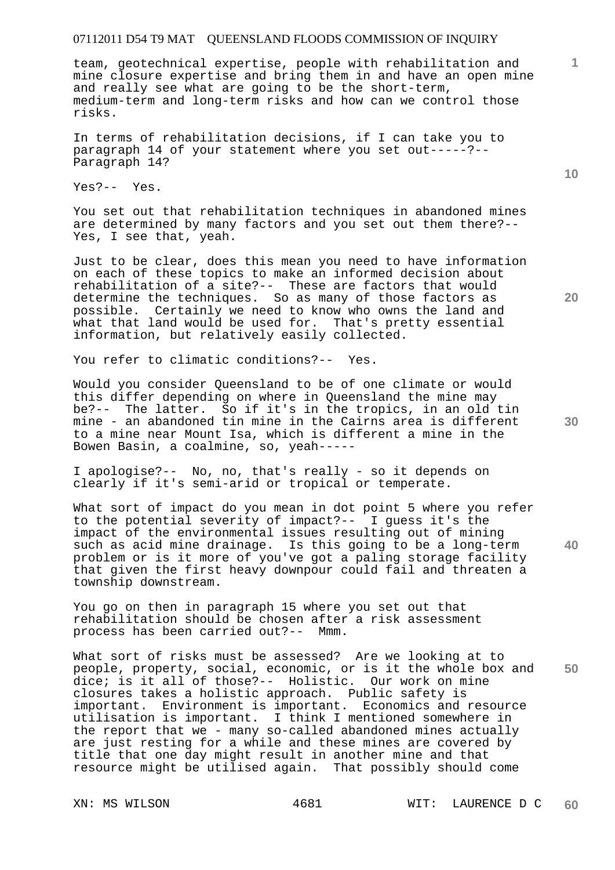team, geotechnical expertise, people with rehabilitation and mine closure expertise and bring them in and have an open mine and really see what are going to be the short-term, medium-term and long-term risks and how can we control those risks.

In terms of rehabilitation decisions, if I can take you to paragraph 14 of your statement where you set out-----?-- Paragraph 14?

Yes?-- Yes.

You set out that rehabilitation techniques in abandoned mines are determined by many factors and you set out them there?-- Yes, I see that, yeah.

Just to be clear, does this mean you need to have information on each of these topics to make an informed decision about rehabilitation of a site?-- These are factors that would determine the techniques. So as many of those factors as possible. Certainly we need to know who owns the land and what that land would be used for. That's pretty essential information, but relatively easily collected.

You refer to climatic conditions?-- Yes.

Would you consider Queensland to be of one climate or would this differ depending on where in Queensland the mine may be?-- The latter. So if it's in the tropics, in an old tin mine - an abandoned tin mine in the Cairns area is different to a mine near Mount Isa, which is different a mine in the Bowen Basin, a coalmine, so, yeah-----

I apologise?-- No, no, that's really - so it depends on clearly if it's semi-arid or tropical or temperate.

What sort of impact do you mean in dot point 5 where you refer to the potential severity of impact?-- I guess it's the impact of the environmental issues resulting out of mining such as acid mine drainage. Is this going to be a long-term problem or is it more of you've got a paling storage facility that given the first heavy downpour could fail and threaten a township downstream.

You go on then in paragraph 15 where you set out that rehabilitation should be chosen after a risk assessment process has been carried out?-- Mmm.

**50**  What sort of risks must be assessed? Are we looking at to people, property, social, economic, or is it the whole box and dice; is it all of those?-- Holistic. Our work on mine closures takes a holistic approach. Public safety is important. Environment is important. Economics and resource utilisation is important. I think I mentioned somewhere in the report that we - many so-called abandoned mines actually are just resting for a while and these mines are covered by title that one day might result in another mine and that resource might be utilised again. That possibly should come

**20** 

**1**

**10**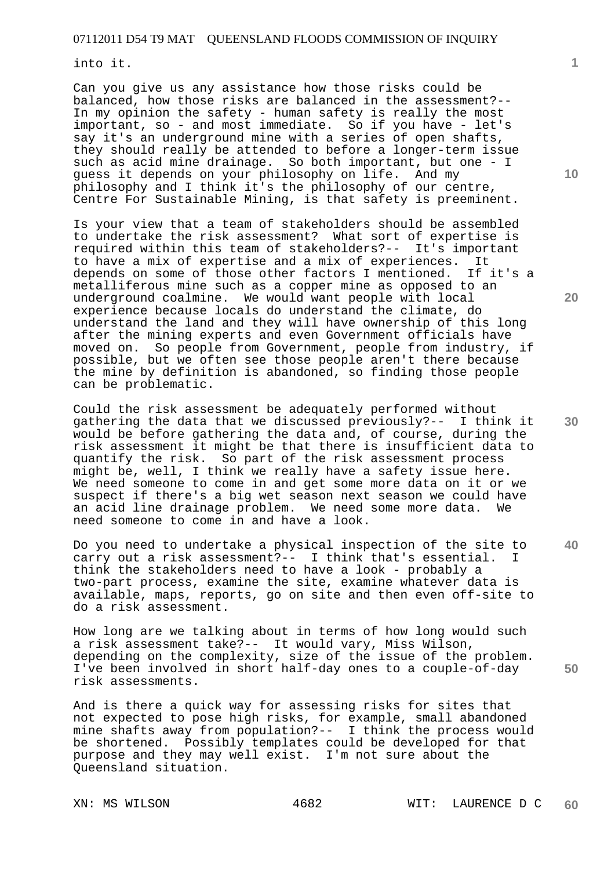into it.

Can you give us any assistance how those risks could be balanced, how those risks are balanced in the assessment?-- In my opinion the safety - human safety is really the most important, so - and most immediate. So if you have - let's say it's an underground mine with a series of open shafts, they should really be attended to before a longer-term issue such as acid mine drainage. So both important, but one - I guess it depends on your philosophy on life. And my philosophy and I think it's the philosophy of our centre, Centre For Sustainable Mining, is that safety is preeminent.

Is your view that a team of stakeholders should be assembled to undertake the risk assessment? What sort of expertise is required within this team of stakeholders?-- It's important to have a mix of expertise and a mix of experiences. It depends on some of those other factors I mentioned. If it's a metalliferous mine such as a copper mine as opposed to an underground coalmine. We would want people with local experience because locals do understand the climate, do understand the land and they will have ownership of this long after the mining experts and even Government officials have moved on. So people from Government, people from industry, if possible, but we often see those people aren't there because the mine by definition is abandoned, so finding those people can be problematic.

Could the risk assessment be adequately performed without gathering the data that we discussed previously?-- I think it would be before gathering the data and, of course, during the risk assessment it might be that there is insufficient data to quantify the risk. So part of the risk assessment process might be, well, I think we really have a safety issue here. We need someone to come in and get some more data on it or we suspect if there's a big wet season next season we could have an acid line drainage problem. We need some more data. We need someone to come in and have a look.

Do you need to undertake a physical inspection of the site to carry out a risk assessment?-- I think that's essential. I think the stakeholders need to have a look - probably a two-part process, examine the site, examine whatever data is available, maps, reports, go on site and then even off-site to do a risk assessment.

How long are we talking about in terms of how long would such a risk assessment take?-- It would vary, Miss Wilson, depending on the complexity, size of the issue of the problem. I've been involved in short half-day ones to a couple-of-day risk assessments.

And is there a quick way for assessing risks for sites that not expected to pose high risks, for example, small abandoned mine shafts away from population?-- I think the process would be shortened. Possibly templates could be developed for that purpose and they may well exist. I'm not sure about the Queensland situation.

**10** 

**1**

**30** 

**40**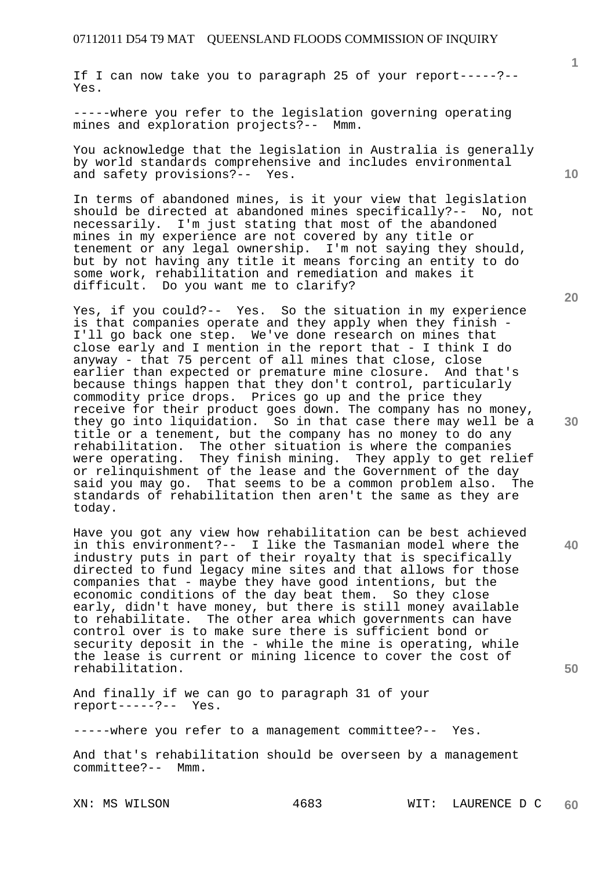If I can now take you to paragraph 25 of your report-----?-- Yes.

-----where you refer to the legislation governing operating mines and exploration projects?-- Mmm.

You acknowledge that the legislation in Australia is generally by world standards comprehensive and includes environmental and safety provisions?-- Yes.

In terms of abandoned mines, is it your view that legislation should be directed at abandoned mines specifically?-- No, not necessarily. I'm just stating that most of the abandoned mines in my experience are not covered by any title or tenement or any legal ownership. I'm not saying they should, but by not having any title it means forcing an entity to do some work, rehabilitation and remediation and makes it difficult. Do you want me to clarify?

Yes, if you could?-- Yes. So the situation in my experience is that companies operate and they apply when they finish - I'll go back one step. We've done research on mines that close early and I mention in the report that - I think I do anyway - that 75 percent of all mines that close, close earlier than expected or premature mine closure. And that's because things happen that they don't control, particularly commodity price drops. Prices go up and the price they receive for their product goes down. The company has no money, they go into liquidation. So in that case there may well be a title or a tenement, but the company has no money to do any rehabilitation. The other situation is where the companies were operating. They finish mining. They apply to get relief or relinquishment of the lease and the Government of the day said you may go. That seems to be a common problem also. The standards of rehabilitation then aren't the same as they are today.

Have you got any view how rehabilitation can be best achieved in this environment?-- I like the Tasmanian model where the industry puts in part of their royalty that is specifically directed to fund legacy mine sites and that allows for those companies that - maybe they have good intentions, but the economic conditions of the day beat them. So they close early, didn't have money, but there is still money available to rehabilitate. The other area which governments can have control over is to make sure there is sufficient bond or security deposit in the - while the mine is operating, while the lease is current or mining licence to cover the cost of rehabilitation.

And finally if we can go to paragraph 31 of your report-----?-- Yes.

-----where you refer to a management committee?-- Yes.

And that's rehabilitation should be overseen by a management committee?-- Mmm.

**1**

**30** 

**20** 

**40**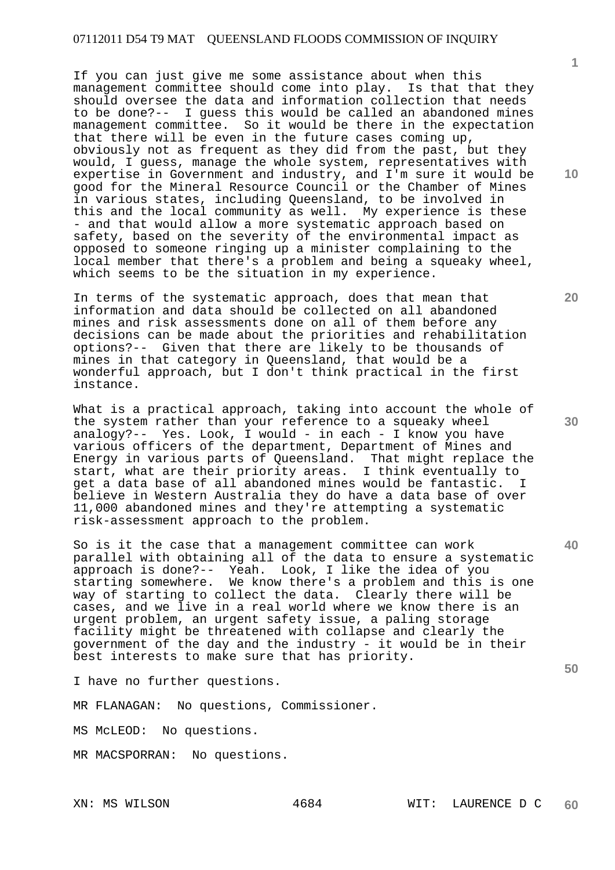If you can just give me some assistance about when this management committee should come into play. Is that that they should oversee the data and information collection that needs to be done?-- I guess this would be called an abandoned mines management committee. So it would be there in the expectation that there will be even in the future cases coming up, obviously not as frequent as they did from the past, but they would, I guess, manage the whole system, representatives with expertise in Government and industry, and I'm sure it would be good for the Mineral Resource Council or the Chamber of Mines in various states, including Queensland, to be involved in this and the local community as well. My experience is these - and that would allow a more systematic approach based on safety, based on the severity of the environmental impact as opposed to someone ringing up a minister complaining to the local member that there's a problem and being a squeaky wheel, which seems to be the situation in my experience.

In terms of the systematic approach, does that mean that information and data should be collected on all abandoned mines and risk assessments done on all of them before any decisions can be made about the priorities and rehabilitation options?-- Given that there are likely to be thousands of mines in that category in Queensland, that would be a wonderful approach, but I don't think practical in the first instance.

What is a practical approach, taking into account the whole of the system rather than your reference to a squeaky wheel analogy?-- Yes. Look, I would - in each - I know you have various officers of the department, Department of Mines and Energy in various parts of Queensland. That might replace the start, what are their priority areas. I think eventually to get a data base of all abandoned mines would be fantastic. I believe in Western Australia they do have a data base of over 11,000 abandoned mines and they're attempting a systematic risk-assessment approach to the problem.

So is it the case that a management committee can work parallel with obtaining all of the data to ensure a systematic approach is done?-- Yeah. Look, I like the idea of you starting somewhere. We know there's a problem and this is one way of starting to collect the data. Clearly there will be cases, and we live in a real world where we know there is an urgent problem, an urgent safety issue, a paling storage facility might be threatened with collapse and clearly the government of the day and the industry - it would be in their best interests to make sure that has priority.

I have no further questions.

MR FLANAGAN: No questions, Commissioner.

MS McLEOD: No questions.

MR MACSPORRAN: No questions.

**10** 

**1**

**20** 

**30** 

**40**